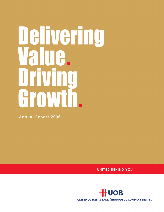# Delivering AITG. IT Growth.

**Annual Report 2006** 

**UNITED BEHIND YOU** 

**HH UOB** UNITED OVERSEAS BANK (THAI) PUBLIC COMPANY LIMITED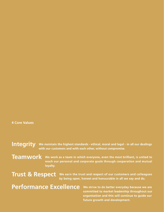# **4 Core Values**

Integrity We maintain the highest standards - ethical, moral and legal - in all our dealings with our customers and with each other, without compromise.

**Teamwork** 

We work as a team in which everyone, even the most brilliant, is united to reach our personal and corporate goals through cooperation and mutual loyalty.

**Trust & Respect** 

We earn the trust and respect of our customers and colleagues by being open, honest and honourable in all we say and do.

Performance Excellence

We strive to do better everyday because we are committed to market leadership throughout our organisation and this will continue to guide our future growth and development.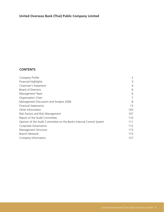# **United Overseas Bank (Thai) Public Company Limited**

# **CONTENTS**

| Company Profile                                                      | 2   |
|----------------------------------------------------------------------|-----|
| <b>Financial Highlights</b>                                          | 3   |
| Chairman's Statement                                                 | 4   |
| <b>Board of Directors</b>                                            | 6   |
| Management Team                                                      | 6   |
| Organization Chart                                                   | 7   |
| Management Discussion and Analysis 2006                              | 8   |
| <b>Financial Statements</b>                                          | 13  |
| Other Information                                                    | 103 |
| Risk Factors and Risk Management                                     | 107 |
| Report of the Audit Committee                                        | 110 |
| Opinion of the Audit Committee on the Bank's Internal Control System | 111 |
| Corporate Governance                                                 | 112 |
| Management Structure                                                 | 113 |
| Branch Network                                                       | 115 |
| Company Information                                                  | 127 |
|                                                                      |     |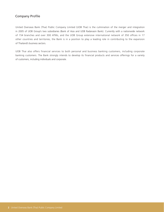# Company Profile

United Overseas Bank (Thai) Public Company Limited (UOB Thai) is the culmination of the merger and integration in 2005 of UOB Group's two subsidiaries (Bank of Asia and UOB Radanasin Bank). Currently with a nationwide network of 154 branches and over 300 ATMs, and the UOB Group extensive international network of 350 offices in 17 other countries and territories, the Bank is in a position to play a leading role in contributing to the expansion of Thailand's business sectors.

UOB Thai also offers financial services to both personal and business banking customers, including corporate banking customers. The Bank strongly intends to develop its financial products and services offerings for a variety of customers, including individuals and corporate.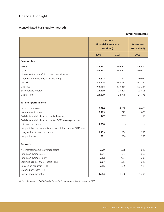# Financial Highlights

# **(consolidated basis-equity method)**

**(Unit : Million Baht)**

|                                                               | <b>Statutory</b><br><b>Financial Statements</b><br>(Audited) | Pro-forma*<br>(Unaudited) |         |
|---------------------------------------------------------------|--------------------------------------------------------------|---------------------------|---------|
|                                                               | 2006                                                         | 2005                      | 2005    |
| <b>Balance sheet</b>                                          |                                                              |                           |         |
| Assets                                                        | 188,243                                                      | 196,692                   | 196,692 |
| Loans                                                         | 157,543                                                      | 159,601                   | 159,601 |
| Allowance for doubtful accounts and allowance                 |                                                              |                           |         |
| for loss on trouble debt restructuring                        | 11,872                                                       | 10,922                    | 10,922  |
| Deposits                                                      | 149,475                                                      | 152,781                   | 152,781 |
| Liabilities                                                   | 163,934                                                      | 173,284                   | 173,284 |
| Shareholders' equity                                          | 24,309                                                       | 23,408                    | 23,408  |
| Capital funds                                                 | 23,679                                                       | 24,775                    | 24,775  |
| <b>Earnings performance</b>                                   |                                                              |                           |         |
| Net interest income                                           | 6,324                                                        | 4,660                     | 6,475   |
| Non-interest income                                           | 2,469                                                        | 729                       | 1,001   |
| Bad debts and doubtful accounts (Reversal)                    | 447                                                          | (387)                     | 15      |
| Bad debts and doubtful accounts - BOT's new regulations       |                                                              |                           |         |
| to loan provisions                                            | 1,538                                                        |                           |         |
| Net profit before bad debts and doubtful accounts - BOT's new |                                                              |                           |         |
| regulations to loan provisions                                | 2,139                                                        | 954                       | 1,238   |
| Net profit (loss)                                             | 601                                                          | 954                       | 1,238   |
| Ratios (%)                                                    |                                                              |                           |         |
| Net interest income to average assets                         | 3.29                                                         | 2.58                      | 3.13    |
| Return on average assets                                      | 0.31                                                         | 0.53                      | 0.60    |
| Return on average equity                                      | 2.52                                                         | 4.94                      | 5.39    |
| Earning (loss) per share - Basic (THB)                        | 0.07                                                         | 0.17                      | 0.15    |
| Book value per share (THB)                                    | 2.96                                                         | 2.85                      | 2.85    |
| Dividend per share (THB)                                      |                                                              |                           |         |
| Capital adequacy ratio                                        | 17.44                                                        | 15.96                     | 15.96   |

*Note : \*Summation of UOBR and BOA as if it is one single entity for whole of 2005*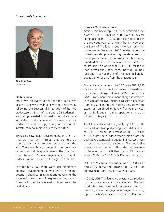# Chairman's Statement



**Wee Cho Yaw** *Chairman*

# 2006 Review

2006 was an eventful year for the Bank. We began the new year with a new name and identity following the successful integration of its two predecessors - Bank of Asia and UOB Radanasin. We then proceeded full speed to introduce more innovative products to meet the needs of our customers and by upgrading our channels infrastructure to improve our services further.

2006 also saw major developments in the Thai financial market. Interest rates trended up significantly by about 2% points during the year. There was heavy competition for customer deposits as well as quality assets. The Thai Baht strengthened 13% year-on-year against the US dollar, in line with the rest of the regional currencies.

Throughout 2006, there were also significant political developments as well as focus on the potential changes in regulations governing the shareholding structure of foreign-owned companies. These factors led to increased cautiousness in the marketplace.

# Bank's 2006 Performance

Amidst this backdrop, UOB Thai achieved a net profit of THB 2,139 million in 2006, a 73% increase compared to the THB 1,238 million recorded in the previous year (pro-forma basis). However, the Bank of Thailand issued new loan provision guidelines in December 2006 to strengthen the industry-wide provisioning levels ahead of the implementation of International Accounting Standard Number 39 framework. The Bank had to set aside an additional THB 1,538 million in loan provisions under these new guidelines, resulting in a net profit of THB 601 million for 2006, a 51% decline from the previous year.

Overall income improved by 17.6% to THB 8,793 million primarily due to a once-off investment impairment charge taken in 2005 (under Thai GAAP, investment impairment charge is reflected in "Gain/loss on Investment"). Despite higher staff numbers and inflationary pressures, operating expenses remained relatively flat year-on-year as the Bank began to reap operational synergies following integration.

Total loans declined marginally by 1% to THB 157.5 billion. Non-performing loans (NPLs) stood at THB 18.3 billion, an increase of THB 1.5 billion or 9% from the previous year arising from the qualitative downgrading due to financial weakness of several performing accounts. This qualitative downgrading does not affect the performance of these accounts. UOB Thai's gross NPLs ratio as at end-2006 was 11.6% or 5.1% on a net basis.

UOB Thai's capital adequacy ratio (CAR) as at end-2006 remained strong at 17.5%, an improvement from 16.0% as at end-2005.

In 2006, UOB Thai launched several new products for the convenience of our customers. The new products introduced include several deposits products, a few mortgage-loan programs offering higher flexibility repayment schemes," Platinum"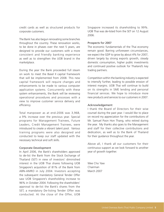credit cards as well as structured products for corporate customers.

The Bank has also begun renovating some branches throughout the country. These renovation works, to be done in phases over the next 5 years, are designed to provide our customers with a more consistent and friendly banking experience as well as to strengthen the UOB brand in the marketplace.

During the year the Bank proceeded full steam on work to meet the Basel II capital framework that will be implemented from 2008. This new capital framework will require changes and enhancements to be made to various computer application systems. Concurrently with these system enhancements, the Bank will be reviewing operational procedures and processes with a view to improve customer service delivery and efficiency.

Total manpower as at end-2006 was 3,968, a 9% increase over the previous year. Special programs for Management Trainees, Future Leaders, Credit Management Trainees, were introduced to create a vibrant talent pool. Various training programs were also designed and conducted to keep our staff updated with the necessary technical and soft skills.

# Corporate Development

In April 2006, the Bank's shareholders approved to de-list the Bank from the Stock Exchange of Thailand (SET) in view of investors' diminished interest in the UOB Thai shares following UOB Singapore's acquisition of 81% of the Bank from ABN-AMRO in July 2004. Investors accepting the subsequent mandatory General Tender Offer saw UOB Singapore's shareholding increase to 96% in October 2004. Following the shareholders' approval to de-list the Bank's shares from the SET, a mandatory De-listing Tender Offer was conducted. At the close of the Offer, UOB

Singapore increased its shareholding to 99%. UOB Thai was de-listed from the SET on 12 August 2006.

# Prospects for 2007

The economic fundamentals of the Thai economy remain good. Barring unforeseen circumstances, we expect the GDP to grow by about 4% for 2007, driven largely by strong exports growth, steady domestic consumption, higher public investments and continued positive outlook for Thailand's key trading partners.

Competition within the banking industry is expected to intensify further, leading to possible erosion of interest margins. UOB Thai will continue to build on its strengths in SME lending and personal financial services. We hope to introduce more new products and services to our customers in 2007.

# Acknowledgement

I thank the Board of Directors for their wise counsel during the past year. I would like to place on record my appreciation for the contributions of Mr. Samuel Poon Hon Thang, who retired during the year. My thanks also goes to the Management and staff for their collective contributions and dedication, as well as to the Bank of Thailand for their guidance throughout the year.

Above all, I thank all our customers for their continuous support as we look forward to another year of growth together.

Wee Cho Yaw Chairman March 2007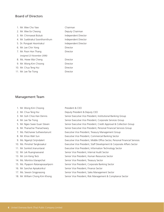# Board of Directors

| 1 Mr Wee Cho Yaw                | Chairman             |
|---------------------------------|----------------------|
| 2. Mr. Wee Ee Cheong            | Deputy Chairman      |
| 3. Mr. Chinnawat Bulsuk         | Independent Director |
| 4. Mr. Suebtrakul Soonthornthum | Independent Director |
| 5. Dr. Pongsak Hoontrakul       | Independent Director |
| 6. Mr. Lee Chin Yong            | Director             |
| 7. Mr. Poon Hon Thang           | Director             |
| (resigned 23 November 2006)     |                      |
| 8. Ms. Hwee Wai Cheng           | Director             |
| 9. Mr. Wong Kim Choong          | Director             |
| 10. Mr. Chua Teng Hui           | Director             |
| 11. Mr. Lee Tse Tiong           | Director             |

# Management Team

| 1. Mr. Wong Kim Choong             | President & CEO                                                             |
|------------------------------------|-----------------------------------------------------------------------------|
| 2. Mr. Chua Teng Hui               | Deputy President & Deputy CEO                                               |
| 3. Mr. Goh Choo Han Dennis         | Senior Executive Vice President, Institutional Banking Group                |
| 4. Mr. Lee Tse Tiong               | Senior Executive Vice President, Corporate Services Group                   |
| 5. Mr. Ngeo Swee Guan Steven       | Senior Executive Vice President, Credit Approval & Collection Group         |
| 6. Mr. Thanachai Thanachaiary      | Senior Executive Vice President, Personal Financial Services Group          |
| 7. Ms. Patchanee Sutheevitanunt    | Executive Vice President, Treasury Management Group                         |
| 8. Mr. Khoo Wah Sun                | Executive Vice President, Commercial Banking Sector                         |
| 9. Ms. Ngamjit Sirijindalert       | Executive Vice President, Middle Office Sector, Personal Financial Services |
| 10. Ms. Pimolrat Tangkosakul       | Executive Vice President, Staff Development & Corporate Affairs Sector      |
| 11. Mr. Somkid Jiranuntarat        | Executive Vice President, Information Technology Sector                     |
| 12. Mr. Lek Ruangnaovarat          | Senior Vice President, Internal Audit Sector                                |
| 13. Mr. Lim Keng Teck              | Senior Vice President, Human Resources Sector                               |
| 14. Ms. Montira Utarapichat        | Senior Vice President, Treasury Sector                                      |
| 15. Ms. Piyaporn Ratanaprasartporn | Senior Vice President, Corporate Banking Sector                             |
| 16. Mr. Sanchai Apisaksirikul      | Senior Vice President, Finance Sector                                       |
| 17. Ms. Sewsin Singprasong         | Senior Vice President, Sales Management Sector                              |
| 18. Mr. William Chong Kim Khong    | Senior Vice President, Risk Management & Compliance Sector                  |
|                                    |                                                                             |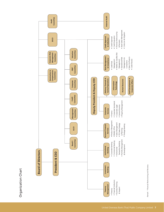Organization Chart Organization Chart



Remark: \* Financial Restructuring and Recovery *Remark : \*Financial Restructuring and Recovery*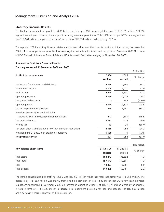# **Statutory Financial Results**

The Bank's consolidated net profit for 2006 before provision per BOT's new regulations was THB 2,139 million, 124.3% higher than last year. However, the net profit including one-time provision of THB 1,538 million per BOT's new regulations was THB 601 million, compared to last year's net profit of THB 954 million, a decrease by 37.0%.

The reported 2005 statutory financial statements shown below was the financial position of the January to November 2005 (11 months) performance of Bank of Asia together with its subsidiaries, and net profit of December 2005 (1 month) of UOB Thai (which is sum of Bank of Asia and UOB Radanasin Bank) after merging on November 28, 2005.

# **Summarized Statutory Financial Results For the year ended 31 December 2006 and 2005**

|         |         | THB million |
|---------|---------|-------------|
| 2006    | 2005    | % change    |
| audited | audited |             |
| 6,324   | 4,660   | 35.7        |
| 2,744   | 2,471   | 11.0        |
| 9,068   | 7,131   | 27.2        |
| 6,194   | 4,419   | 40.2        |
|         | 384     | (100.0)     |
| 2,874   | 2,328   | 23.5        |
| 275     | 1,741   | (84.2)      |
|         |         |             |
| 447     | (387)   | 215.5       |
| 2,152   | 974     | 120.9       |
| 13      | 20      | (35.0)      |
| 2,139   | 954     | 124.2       |
| 1,538   | 0       | N.M.        |
| 601     | 954     | (37.0)      |
|         |         |             |

|                                |            |            | THB million |
|--------------------------------|------------|------------|-------------|
| <b>Key Balance Sheet Items</b> | 31 Dec. 06 | 31 Dec. 05 | % change    |
|                                | audited    | audited    |             |
| Total assets                   | 188,243    | 196,692    | (4.3)       |
| Total loans                    | 157,543    | 159.601    | (1.3)       |
| <b>NPLs</b>                    | 18,277     | 16.781     | 8.9         |
| Total deposits                 | 149,475    | 152.781    | (2.2)       |

The Bank's consolidated net profit for 2006 was THB 601 million while last year's net profit was THB 954 million. The decrease by THB 353 million was mainly from one-time provision of THB 1,538 million per BOT's new loan provision regulations announced in December 2006, an increase in operating expense of THB 1,775 million offset by an increase in total income of THB 1,937 million, a decrease in impairment provision for loan and securities of THB 632 million and a decrease in merger expenses of THB 384 million.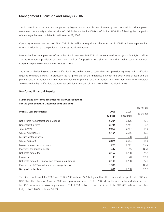The increase in total income was supported by higher interest and dividend income by THB 1,664 million. The improved result was due primarily to the inclusion of UOB Radanasin Bank (UOBR) portfolio into UOB Thai following the completion of the merger between both Banks on November 28, 2005.

Operating expenses went up 40.2% to THB 6,194 million mainly due to the inclusion of UOBR's full year expenses into UOB Thai following the completion of merger as mentioned above.

Meanwhile, loss on impairment of securities of this year was THB 275 million, compared to last year's THB 1,741 million. The Bank made a provision of THB 1,492 million for possible loss sharing from the Thai Asset Management Corporation promissory notes (TAMC Notes) in 2005.

The Bank of Thailand issued a new Notification in December 2006 to strengthen loan provisioning levels. This notification required commercial banks to gradually set full provision for the difference between the book value of loan and the present value of expected cash flow from the debtors or present value of expected cash flows from the sale of collateral. To comply with this notification, the Bank had additional provision of THB 1,538 million set aside in 2006.

# **Pro-forma Financial Results**

# **Summarized Pro-forma Financial Results (Consolidated) For the year ended 31 December 2006 and 2005**

|                                                        |         |           | THB million |
|--------------------------------------------------------|---------|-----------|-------------|
| <b>Profit &amp; Loss statements</b>                    | 2006    | 2005      | % change    |
|                                                        | audited | unaudited |             |
| Net income from interest and dividends                 | 6,324   | 6,476     | (2.3)       |
| Non-interest income                                    | 2,744   | 2,741     | 0.1         |
| Total income                                           | 9,068   | 9,217     | (1.6)       |
| Operating expenses                                     | 6,194   | 5,615     | 10.3        |
| Merger-related expenses                                |         | 588       | (100.0)     |
| Operating profit                                       | 2,874   | 3,014     | (4.6)       |
| Loss on impairment of securities                       | 275     | 1,741     | (84.2)      |
| Provisions for doubtful debts                          | 447     | 15        | N.M.        |
| Net profit before tax                                  | 2,152   | 1,258     | 71.1        |
| Income tax                                             | 13      | 20        | (35.0)      |
| Net profit before BOT's new loan provision regulations | 2,139   | 1,238     | 72.8        |
| Provision per BOT's new loan provision regulations     | 1,538   |           | N.M.        |
| Net profit after tax                                   | 601     | 1,238     | (51.5)      |

The Bank's net profit for 2006 was THB 2,139 million, 72.8% higher than the combined net profit of UOBR and UOB Thai (then Bank of Asia) for 2005 on a pro-forma basis of THB 1,238 million. However, after including provision for BOT's new loan provision regulations of THB 1,538 million, the net profit would be THB 601 million, lower than last year by THB 637 million or 51.5%.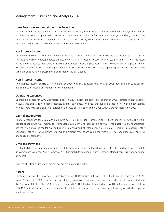### **Loan Provision and Impairment on Securities**

To comply with the BOT's new regulation on loan provision, the Bank set aside an additional THB 1,538 million in provisions in 2006. Together with normal provision, total provision set for 2006 was THB 1,985 million, compared to THB 15 million in 2005. Moreover, the Bank set aside THB 1,492 million for impairment of TAMC notes in last year compared to THB 244 million in 2006 for the same TAMC notes.

# **Net interest income**

Net interest income in 2006 was THB 6,324 million, 2.3% lower than that of 2005. Interest income grew 21.1% to THB 10,362 million, whereas interest expense grew at a faster pace of 94.0% to THB 4,038 million. This was the result of the upward interest rates trend in lending and deposits over the past year. The stiff competition for deposits among all banks resulted in overall fixed deposit rates increasing by 150-200 basis points, depending on various tiers, while the Minimum Lending Rate increased by a lower rate of 130 basis points.

### **Non-interest income**

Non-interest income of THB 2,744 million for 2006 was 10.3% lower than that of 2005 due primarily to lower fee and commission income arising from heavy competition.

# **Operating expenses**

Operating expenses for 2006 was recorded at THB 6,194 million, the same level as that of 2005. Increase in staff expense in 2006 was due largely to higher headcount and salary base, while tax and duties increase in line with higher interest income. There was also a one-time integration expenses of THB 588 million in 2005 which were not repeated in 2006.

### **Capital Expenditure**

Capital expenditure for 2006 was amounted to THB 309 million, compared to THB 608 million in 2005. The 2006 capital expenditure was mainly for computer equipment and application software for Basel II & Standardization project, while most of capital expenditure in 2005 consisted of integration related projects, including improvements / enhancements to IT infrastructure, systems and premise renovations combined with assets for operating lease business of a subsidiary company.

### **Dividend Payment**

The Bank did not declare any dividends for 2006 since it still had a retained loss of THB 33,815 million as of end-2006 (in compliance with the Public Company Act that prohibits companies with negative retained earnings from declaring dividends).

Likewise, the Bank's subsidiaries did not declare any dividends in 2006.

# **Assets**

The total assets of the Bank and its subsidiaries as at 31 December 2006 was THB 188,243 million, a decline of 4.3% from 31 December 2005. The decline was largely from lower interbank and money market assets, which declined 37.8% from 2005 to THB 7,718 million as at end-2006. Outstanding loans declined by THB 2,058 million or 1.3% to THB 157,543 million due to a combination of resolution of restructured loans and early loan pay-off which outpaced good loans growth.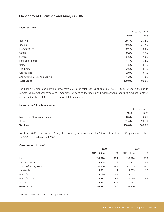# **Loans portfolio**

|                                 | % to total loans |         |
|---------------------------------|------------------|---------|
|                                 | 2006             | 2005    |
| Housing                         | 29.4%            | 25.2%   |
| Trading                         | 19.6%            | 21.2%   |
| Manufacturing                   | 19.6%            | 18.8%   |
| Others                          | 9.2%             | $9.7\%$ |
| Services                        | 5.6%             | 7.3%    |
| Bank and Finance                | 4.4%             | 5.2%    |
| Utility                         | 4.5%             | 4.1%    |
| Real Estate                     | 3.6%             | 4.1%    |
| Construction                    | 2.8%             | 3.1%    |
| Agriculture Forestry and Mining | 1.3%             | 1.3%    |
| <b>Total Loans</b>              | 100.0%           | 100.0%  |

The Bank's housing loan portfolio grew from 25.2% of total loan as at end-2005 to 29.4% as at end-2006 due to competitive promotional campaigns. Proportions of loans to the trading and manufacturing industries remained relatively unchanged at about 20% each of the Bank's total loan portfolio.

### **Loans to top 10 customer groups**

|                                |         | % to total loans |  |
|--------------------------------|---------|------------------|--|
|                                | 2006    | 2005             |  |
| Loan to top 10 customer groups | $8.6\%$ | 9.9%             |  |
| Others                         | 91.4%   | 90.1%            |  |
| <b>Total loans</b>             | 100.0%  | 100.0%           |  |

As at end-2006, loans to the 10 largest customer groups accounted for 8.6% of total loans, 1.3% points lower than the 9.9% recorded as at end-2005.

# **Classification of loans\***

|                        | 2006               |       | 2005        |       |
|------------------------|--------------------|-------|-------------|-------|
|                        | <b>THB million</b> | %     | THB million | $\%$  |
| Pass                   | 137,998            | 87.2  | 137,828     | 86.2  |
| Special mention        | 1,908              | 1.2   | 5,311       | 3.3   |
| Total Performing loans | 139,906            | 88.4  | 143,139     | 89.5  |
| Substandard            | 1,951              | 1.2   | 1,555       | 1.0   |
| Doubtful               | 1,029              | 0.7   | 1,027       | 0.6   |
| Doubtful of loss       | 15,297             | 9.7   | 14,199      | 8.9   |
| <b>Total NPLs</b>      | 18,277             | 11.6  | 16,781      | 10.5  |
| <b>Grand total</b>     | 158,183            | 100.0 | 159,920     | 100.0 |
|                        |                    |       |             |       |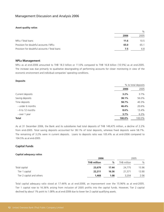# **Asset quality ratios**

|                                               | $\%$ |                 |
|-----------------------------------------------|------|-----------------|
|                                               | 2006 | 2005            |
| NPLs / Total loans                            | 11.6 | 10 <sub>5</sub> |
| Provision for doubtful accounts / NPLs        | 65.0 | 65.1            |
| Provision for doubtful accounts / Total loans | 7.5  | 6.8             |

# **NPLs Management**

NPLs as at end-2006 amounted to THB 18.3 billion or 11.6% compared to THB 16.8 billion (10.5%) as at end-2005. The increase was due primarily to qualitative downgrading of performing accounts for closer monitoring in view of the economic environment and individual companies' operating conditions.

# **Deposits**

|                  | % to total deposits |        |
|------------------|---------------------|--------|
|                  | 2006                | 2005   |
| Current deposits | 3.2%                | 3.7%   |
| Saving deposits  | 38.1%               | 56.0%  |
| Time deposits    | 58.7%               | 40.3%  |
| - under 6 months | 46.4%               | 20.6%  |
| - 6 to 12 months | 8.6%                | 13.4%  |
| - over 1 year    | 3.7%                | 6.3%   |
| <b>Total</b>     | 100.0%              | 100.0% |

As at 31 December 2006, the Bank and its subsidiaries had total deposits of THB 149,475 million, a decline of 2.2% from end-2005. Total saving deposits accounted for 38.1% of total deposits, whereas fixed deposits were 58.7%. The remaining of 3.2% were in current deposits. Loans to deposits ratio was 105.4% as at end-2006 compared to 104.5% as at end-2005.

# **Capital Funds**

# **Capital adequacy ratios**

|                           | 2006               |       |             | 2005  |
|---------------------------|--------------------|-------|-------------|-------|
|                           | <b>THB million</b> | %     | THB million | $\%$  |
| Total capital             | 23,679             | 17.44 | 24,775      | 15.96 |
| Tier 1 capital            | 22,211             | 16.36 | 21.571      | 13.90 |
| Tier 2 capital and others | 1,468              | 1.08  | 3.204       | 2.06  |

Total capital adequacy ratio stood at 17.44% as at end-2006, an improvement over the 15.96% as at end-2005. Tier 1 capital rose to 16.36% arising from inclusion of 2005 profits into the capital funds. However, Tier 2 capital declined by about 1% point to 1.08% as at end-2006 due to lower tier 2 capital qualifying assets.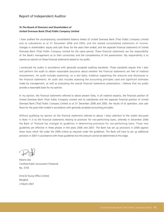# Report of Independent Auditor

# **To The Board of Directors and Shareholders of United Overseas Bank (Thai) Public Company Limited**

I have audited the accompanying consolidated balance sheets of United Overseas Bank (Thai) Public Company Limited and its subsidiaries as at 31 December 2006 and 2005, and the related consolidated statements of income, changes in shareholders' equity and cash flows for the years then ended, and the separate financial statements of United Overseas Bank (Thai) Public Company Limited for the same period. These financial statements are the responsibility of the Bank's management as to their correctness and the completeness of the presentation. My responsibility is to express an opinion on these financial statements based on my audits.

I conducted my audits in accordance with generally accepted auditing standards. Those standards require that I plan and perform the audit to obtain reasonable assurance about whether the financial statements are free of material misstatement. An audit includes examining, on a test basis, evidence supporting the amounts and disclosures in the financial statements. An audit also includes assessing the accounting principles used and significant estimates made by management, as well as evaluating the overall financial statements presentation. I believe that my audits provide a reasonable basis for my opinion.

In my opinion, the financial statements referred to above present fairly, in all material respects, the financial position of United Overseas Bank (Thai) Public Company Limited and its subsidiaries and the separate financial position of United Overseas Bank (Thai) Public Company Limited as at 31 December 2006 and 2005, the results of its operation, and cash flows for the years then ended in accordance with generally accepted accounting principles.

Without qualifying my opinion on the financial statements referred to above, I draw attention to the matter discussed in Note 11.5 to the financial statements relating to provision for non-performing loans, whereby in December 2006 the Bank of Thailand has changed its guidelines in determining provisions for non-performing loans. Those new guidelines are effective in three phases in the years 2006 and 2007. The Bank has set up provisions in 2006 against those loans which fall under the 2006 criteria as required under the guidelines. The Bank will have to set up additional provision in 2007 in accordance with those guidelines but the amount cannot be determined at this stage.

Ratana Jala Certified Public Accountant (Thailand) No. 3734

Ernst & Young Office Limited Bangkok 2 March 2007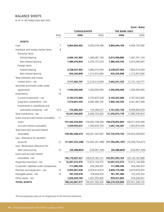# BALANCE SHEETS

AS AT 31 DECEMBER 2006 AND 2005

# **(Unit : Baht)**

|                                          |      | <b>CONSOLIDATED</b> |                  | THE BANK ONLY    |                     |
|------------------------------------------|------|---------------------|------------------|------------------|---------------------|
|                                          | Note | 2006                | 2005             | 2006             | 2005                |
| <b>ASSETS</b>                            |      |                     |                  |                  |                     |
| Cash                                     | 7    | 3,864,803,062       | 4,934,239,398    | 3,864,644,169    | 4,934,193,582       |
| Interbank and money market items         | 8    |                     |                  |                  |                     |
| Domestic items                           |      |                     |                  |                  |                     |
| Interest bearing                         |      | 2,066,167,983       | 1,066,487,146    | 2,013,948,880    | 1,001,761,124       |
| Non-interest bearing                     |      | 1,486,476,824       | 2,076,137,223    | 1,486,424,545    | 2,073,485,947       |
| Foreign items                            |      |                     |                  |                  |                     |
| Interest bearing                         |      | 3,238,637,002       | 7,863,013,094    | 3,238,637,002    | 7,863,013,094       |
| Non-interest bearing                     |      | 926,320,898         | 1,212,872,606    | 926,320,898      | 1,212,872,606       |
| Total interbank and money                |      |                     |                  |                  |                     |
| market items - net                       |      | 7,717,602,707       | 12,218,510,069   | 7,665,331,325    | 12, 151, 132, 771   |
| Securities purchased under resale        |      |                     |                  |                  |                     |
| agreements                               | 9    | 1,590,000,000       | 1,000,000,000    | 1,590,000,000    | 1,000,000,000       |
| Investments                              | 10   |                     |                  |                  |                     |
| Current investments - net                |      | 3,193,272,889       | 2,579,837,528    | 3,192,022,689    | 2,557,923,682       |
| Long-term investments - net              |      | 7,014,861,536       | 6,940,496,745    | 7,006,160,329    | 6,921,667,449       |
| Investments in subsidiaries and          |      |                     |                  |                  |                     |
| associated companies - net               | 10.6 | 133,806,465         | 126,369,327      | 1,161,632,160    | 8,409,804,679       |
| Total investments - net                  |      | 10,341,940,890      | 9,646,703,600    | 11,359,815,178   | 17,889,395,810      |
| Loans and accrued interest receivables   | 11   |                     |                  |                  |                     |
| Loans                                    |      | 157,542,554,843     | 159,600,738,264  | 156,678,852,869  | 158,917,635,008     |
| Accrued interest receivables             |      | 1,039,993,631       | 1,000,605,703    | 1,047,126,287    | 1,005,874,595       |
| Total loans and accrued interest         |      |                     |                  |                  |                     |
| receivables                              |      | 158,582,548,474     | 160,601,343,967  | 157,725,979,156  | 159,923,509,603     |
| Less : Allowance for doubtful            |      |                     |                  |                  |                     |
| accounts                                 | 12   | (11,841,552,248)    | (10,692,591,488) | (11,704,495,187) | (10, 558, 754, 427) |
| Less: Revaluation allowance for          |      |                     |                  |                  |                     |
| debt restructuring                       | 13   | (30, 388, 805)      | (228, 967, 328)  | (30, 388, 805)   | (228, 967, 328)     |
| Loans and accrued interest               |      |                     |                  |                  |                     |
| receivables - net                        |      | 146,710,607,421     | 149,679,785,151  | 145,991,095,164  | 149, 135, 787, 848  |
| Properties foreclosed - net              | 14   | 12,097,415,475      | 13,012,144,572   | 12,097,415,473   | 13,012,144,569      |
| Customers' liabilities under acceptances |      | 111,086,566         | 426,266,427      | 111,086,566      | 426,266,427         |
| Premises and equipment - net             | 15   | 3,995,461,038       | 3,978,414,873    | 3,849,719,588    | 3,679,876,955       |
| Intangible assets - net                  | 16   | 787,530,078         | 728,446,505      | 781,781,480      | 723,229,322         |
| Other assets - net                       |      | 1,026,434,740       | 1,067,055,800    | 959,431,865      | 979,240,851         |
| <b>TOTAL ASSETS</b>                      |      | 188,242,881,977     | 196,691,566,395  | 188,270,320,808  | 203,931,268,135     |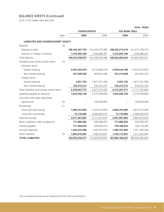# BALANCE SHEETS (Continued)

AS AT 31 DECEMBER 2006 AND 2005

|                                             |      |                     |                 |                      | (Unit: Baht)    |
|---------------------------------------------|------|---------------------|-----------------|----------------------|-----------------|
|                                             |      | <b>CONSOLIDATED</b> |                 | <b>THE BANK ONLY</b> |                 |
|                                             | Note | 2006                | 2005            | 2006                 | 2005            |
| <b>LIABILITIES AND SHAREHOLDERS' EQUITY</b> |      |                     |                 |                      |                 |
| Deposits                                    | 18   |                     |                 |                      |                 |
| Deposits in Baht                            |      | 148, 164, 397, 733  | 151,444,570,285 | 148,332,213,514      | 151,471,378,570 |
| Deposits in foreign currencies              |      | 1,310,393,140       | 1,336,086,301   | 1,310,393,140        | 1,336,086,301   |
| Total deposits                              |      | 149,474,790,873     | 152,780,656,586 | 149,642,606,654      | 152,807,464,871 |
| Interbank and money market items            | 19   |                     |                 |                      |                 |
| Domestic items                              |      |                     |                 |                      |                 |
| Interest bearing                            |      | 5,497,424,370       | 6,310,984,534   | 5,456,629,108        | 13,913,673,816  |
| Non-interest bearing                        |      | 327,209,028         | 400,825,048     | 327,214,028          | 403,355,229     |
| Foreign items                               |      |                     |                 |                      |                 |
| Interest bearing                            |      | 3,051,103           | 1,817,521,596   | 3,051,103            | 1,817,521,596   |
| Non-interest bearing                        |      | 726,373,272         | 978,242,225     | 726,373,272          | 978,242,225     |
| Total interbank and money market items      |      | 6,554,057,773       | 9,507,573,403   | 6,513,267,511        | 17,112,792,866  |
| Liabilities payable on demand               |      | 1,816,596,138       | 2,210,349,658   | 1,816,596,138        | 2,210,349,658   |
| Securities sold under repurchase            |      |                     |                 |                      |                 |
| agreements                                  | 20   |                     | 100,000,000     |                      | 100,000,000     |
| Borrowings                                  | 21   |                     |                 |                      |                 |
| Short-term borrowings                       |      | 1,996,797,683       | 3,103,210,000   | 2,046,797,683        | 2,873,210,000   |
| Long-term borrowings                        |      | 15,170,000          | 2,008,463,679   | 15,170,000           | 2,008,463,679   |
| Total borrowings                            |      | 2,011,967,683       | 5,111,673,679   | 2,061,967,683        | 4,881,673,679   |
| Bank's liabilities under acceptances        |      | 111,086,566         | 426,266,427     | 111,086,566          | 426,266,427     |
| Interest payable                            |      | 717,944,634         | 328,004,410     | 718,180,635          | 328,124,382     |
| Accrued expenses                            |      | 1,442,225,948       | 1,420,797,053   | 1,385,767,406        | 1,351,785,296   |
| Other liabilities                           | 22   | 1,805,676,962       | 1,398,333,837   | 1,736,712,032        | 1,311,035,654   |
| <b>TOTAL LIABILITIES</b>                    |      | 163,934,346,577     | 173,283,655,053 | 163,986,184,625      | 180,529,492,833 |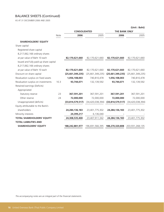# BALANCE SHEETS (Continued)

AS AT 31 DECEMBER 2006 AND 2005

|                                        |      |                     |                     |                      | (UIII). Daniy       |
|----------------------------------------|------|---------------------|---------------------|----------------------|---------------------|
|                                        |      | <b>CONSOLIDATED</b> |                     | <b>THE BANK ONLY</b> |                     |
|                                        | Note | 2006                | 2005                | 2006                 | 2005                |
| <b>SHAREHOLDERS' EQUITY</b>            |      |                     |                     |                      |                     |
| Share capital                          |      |                     |                     |                      |                     |
| Registered share capital               |      |                     |                     |                      |                     |
| 8,217,062,166 ordinary shares          |      |                     |                     |                      |                     |
| at par value of Baht 10 each           |      | 82,170,621,660      | 82,170,621,660      | 82,170,621,660       | 82,170,621,660      |
| Issued and fully paid-up share capital |      |                     |                     |                      |                     |
| 8,217,062,166 ordinary shares          |      |                     |                     |                      |                     |
| at par value of Baht 10 each           |      | 82,170,621,660      | 82,170,621,660      | 82,170,621,660       | 82,170,621,660      |
| Discount on share capital              |      | (25,661,349,235)    | (25,661,349,235)    | (25,661,349,235)     | (25,661,349,235)    |
| Revaluation surplus on fixed assets    |      | 1,056,108,003       | 740,810,478         | 1,056,108,003        | 740,810,478         |
| Revaluation surplus on investments     | 10.3 | 93,744,071          | 132, 139, 592       | 93,744,071           | 132,139,592         |
| Retained earnings (Deficits)           |      |                     |                     |                      |                     |
| Appropriated                           |      |                     |                     |                      |                     |
| Statutory reserve                      | 23   | 367,591,201         | 367,591,201         | 367,591,201          | 367,591,201         |
| Other reserve                          | 24   | 72,000,000          | 72,000,000          | 72,000,000           | 72,000,000          |
| Unappropriated (deficits)              |      | (33,814,579,517)    | (34, 420, 038, 394) | (33,814,579,517)     | (34, 420, 038, 394) |
| Equity attributable to the Bank's      |      |                     |                     |                      |                     |
| shareholders                           |      | 24,284,136,183      | 23,401,775,302      | 24,284,136,183       | 23,401,775,302      |
| Minority interests                     |      | 24,399,217          | 6,136,040           |                      |                     |
| <b>TOTAL SHAREHOLDERS' EQUITY</b>      |      | 24,308,535,400      | 23,407,911,342      | 24,284,136,183       | 23,401,775,302      |
| <b>TOTAL LIABILITIES AND</b>           |      |                     |                     |                      |                     |
| <b>SHAREHOLDERS' EQUITY</b>            |      | 188,242,881,977     | 196,691,566,395     | 188,270,320,808      | 203,931,268,135     |

**(Unit : Baht)**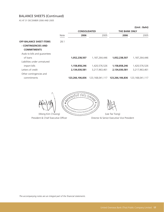# BALANCE SHEETS (Continued)

AS AT 31 DECEMBER 2006 AND 2005

|                                |             | <b>CONSOLIDATED</b> |                 | <b>THE BANK ONLY</b> |                 |
|--------------------------------|-------------|---------------------|-----------------|----------------------|-----------------|
|                                | <b>Note</b> | 2006                | 2005            | 2006                 | 2005            |
| <b>OFF-BALANCE SHEET ITEMS</b> | 28.1        |                     |                 |                      |                 |
| - CONTINGENCIES AND            |             |                     |                 |                      |                 |
| <b>COMMITMENTS</b>             |             |                     |                 |                      |                 |
| Avals to bills and quarantees  |             |                     |                 |                      |                 |
| of loans                       |             | 1,052,238,507       | 1,187,264,446   | 1,052,238,507        | 1,187,264,446   |
| Liabilities under unmatured    |             |                     |                 |                      |                 |
| import bills                   |             | 1,158,858,246       | 1,420,576,526   | 1.158.858.246        | 1,420,576,526   |
| Letters of credit              |             | 2,134,030,581       | 3,217,963,461   | 2,134,030,581        | 3,217,963,461   |
| Other contingencies and        |             |                     |                 |                      |                 |
| commitments                    |             | 123,266,106,836     | 123.168.041.117 | 123,266,106,836      | 123,168,041,117 |

 $\begin{picture}(130,10) \put(0,0){\line(1,0){155}} \put(15,0){\line(1,0){155}} \put(15,0){\line(1,0){155}} \put(15,0){\line(1,0){155}} \put(15,0){\line(1,0){155}} \put(15,0){\line(1,0){155}} \put(15,0){\line(1,0){155}} \put(15,0){\line(1,0){155}} \put(15,0){\line(1,0){155}} \put(15,0){\line(1,0){155}} \put(15,0){\line(1,0){155}}$ **12121911** 10000 (Wong Kim Choong) (Lee Tse Tiong)

President & Chief Executive Officer **Director & Senior Executive Vice President** 

**(Unit : Baht)**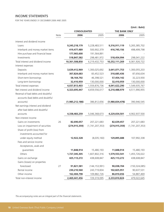# INCOME STATEMENTS

FOR THE YEARS ENDED 31 DECEMBER 2006 AND 2005

|                                    |      | <b>CONSOLIDATED</b> |                 | THE BANK ONLY   |                 |
|------------------------------------|------|---------------------|-----------------|-----------------|-----------------|
|                                    | Note | 2006                | 2005            | 2006            | 2005            |
| Interest and dividend income       |      |                     |                 |                 |                 |
| Loans                              |      | 9,245,218,179       | 5,228,483,511   | 9,316,911,119   | 5,265,385,702   |
| Interbank and money market items   |      | 419,477,489         | 500,902,379     | 416,745,156     | 498,499,798     |
| Hire purchase and financial lease  |      | 177,965,600         | 191,564,891     |                 |                 |
| Investments                        |      | 518,847,582         | 298,481,972     | 518,454,994     | 298,041,222     |
| Total interest and dividend income |      | 10,361,508,850      | 6,219,432,753   | 10,252,111,269  | 6,061,926,722   |
| Interest expenses                  |      |                     |                 |                 |                 |
| Deposits                           |      | 3,639,412,969       | 1,300,025,692   | 3,641,071,753   | 1,300,055,203   |
| Interbank and money market items   |      | 307,824,683         | 83,452,523      | 310,685,436     | 87,656,634      |
| Short-term borrowings              |      | 58,164,792          | 46,398,521      | 57,454,142      | 32,223,930      |
| Long-term borrowings               |      | 32,410,959          | 130,000,000     | 32,410,959      | 130,000,000     |
| Total interest expenses            |      | 4,037,813,403       | 1,559,876,736   | 4,041,622,290   | 1,549,935,767   |
| Net interest and dividend income   |      | 6,323,695,447       | 4,659,556,017   | 6,210,488,979   | 4,511,990,955   |
| Reversal of bad debts and doubtful |      |                     |                 |                 |                 |
| accounts (bad debts and doubtful   |      |                     |                 |                 |                 |
| accounts)                          |      | (1,985,212,188)     | 386,812,656     | (1,980,834,478) | 390,946,545     |
| Net earnings interest and dividend |      |                     |                 |                 |                 |
| after bad debts and doubtful       |      |                     |                 |                 |                 |
| accounts                           |      | 4,338,483,259       | 5,046,368,673   | 4,229,654,501   | 4,902,937,500   |
| Non-interest income                |      |                     |                 |                 |                 |
| Gains on investments               | 26   | 82,690,057          | 207,221,683     | 82,639,457      | 207,221,683     |
| Loss on impairment of securities   |      | (274, 915, 359)     | (1,741,207,353) | (274, 915, 359) | (1,741,207,353) |
| Share of profit (loss) from        |      |                     |                 |                 |                 |
| investments accounted for          |      |                     |                 |                 |                 |
| under equity method                |      | 12,922,328          | (8,035,160)     | 129,895,688     | 107,992,338     |
| Fees and service income            |      |                     |                 |                 |                 |
| Acceptances, avals and             |      |                     |                 |                 |                 |
| guarantees                         |      | 11,848,914          | 15,480,193      | 11,848,914      | 15,480,193      |
| Others                             |      | 1,727,345,305       | 1,607,802,316   | 1,579,553,541   | 1,455,726,022   |
| Gains on exchange                  |      | 425,113,272         | 438,608,847     | 425,113,272     | 438,608,847     |
| Gains (losses) on properties       |      |                     |                 |                 |                 |
| foreclosed                         | 27   | 91,821,581          | (144, 153, 991) | 90,038,704      | (150, 324, 085) |
| Rental income                      |      | 230,210,560         | 243,719,834     | 102,825,951     | 90,637,531      |
| Other income                       |      | 162,404,798         | 109,882,726     | 86,810,656      | 54,887,469      |
| Total non-interest income          |      | 2,469,441,456       | 729,319,095     | 2,233,810,824   | 479,022,645     |

**(Unit : Baht)**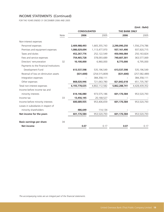# INCOME STATEMENTS (Continued)

FOR THE YEARS ENDED 31 DECEMBER 2006 AND 2005

|                                        |      | <b>CONSOLIDATED</b> |                 | THE BANK ONLY |                 |
|----------------------------------------|------|---------------------|-----------------|---------------|-----------------|
|                                        | Note | 2006                | 2005            | 2006          | 2005            |
| Non-interest expenses                  |      |                     |                 |               |                 |
| Personnel expenses                     |      | 2,409,988,493       | 1,665,355,743   | 2,290,090,250 | 1,556,274,786   |
| Premises and equipment expenses        |      | 1,086,029,694       | 1,113,477,970   | 937,161,490   | 937,920,715     |
| Taxes and duties                       |      | 452,267,776         | 252,122,549     | 450,906,084   | 250, 163, 824   |
| Fees and service expenses              |      | 754,465,728         | 378,093,689     | 740,607,301   | 363,577,069     |
| Directors' remuneration                | 32   | 10,100,000          | 6,960,000       | 8,775,000     | 6,795,000       |
| Payments to the Financial Institutions |      |                     |                 |               |                 |
| Development Fund                       |      | 613,537,598         | 535,196,549     | 613,537,598   | 535,196,549     |
| Reversal of loss on diminution assets  |      | (631, 600)          | (254, 515, 809) | (631, 600)    | (257, 582, 489) |
| Integration expenses                   |      |                     | 384,358,111     |               | 384,358,111     |
| Other expenses                         |      | 868,020,946         | 721,063,780     | 821,842,618   | 651,735,787     |
| Total non-interest expenses            |      | 6,193,778,635       | 4,802,112,582   | 5,862,288,741 | 4,428,439,352   |
| Income before income tax and           |      |                     |                 |               |                 |
| minority interests                     |      | 614,146,080         | 973,575,186     | 601,176,584   | 953,520,793     |
| Income tax                             | 33   | 13,456,145          | 20,168,527      |               |                 |
| Income before minority interests       |      | 600,689,935         | 953,406,659     | 601,176,584   | 953,520,793     |
| Losses in subsidiaries in respect of   |      |                     |                 |               |                 |
| minority shareholders                  |      | 486,649             | 114,134         |               |                 |
| Net income for the years               |      | 601,176,584         | 953,520,793     | 601,176,584   | 953,520,793     |
| <b>Basic earnings per share</b>        | 34   |                     |                 |               |                 |
| <b>Net income</b>                      |      | 0.07                | 0.17            | 0.07          | 0.17            |

# **(Unit : Baht)**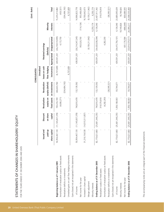|                                                     |                       |                                 |               |                                             | <b>CONSOLIDATED</b>            |             |                                         |            | (Unit: Baht)       |
|-----------------------------------------------------|-----------------------|---------------------------------|---------------|---------------------------------------------|--------------------------------|-------------|-----------------------------------------|------------|--------------------|
|                                                     |                       |                                 |               |                                             | Unrealised                     |             |                                         |            |                    |
|                                                     | Issued and<br>paid-up | Discount<br>on share            | Revaluation   | Revaluation<br>surplus on surplus (deficit) | losses on cash<br>flow hedging |             | Retained earnings<br>(Deficits)         | Minority   |                    |
|                                                     | share capital         | capital                         | fixed assets  | on investments                              |                                |             | instruments Appropriated Unappropriated | interests  | Total              |
| Beginning balance as of 1 January 2005              | 50,954,467,130        | (11, 145, 837, 378)             | 745,416,749   | 466,633,784                                 | (6, 737, 609)                  | 439,591,201 | (26, 218, 519, 995)                     |            | 15,235,013,882     |
| Amortisation of revaluation surplus on fixed assets |                       |                                 | (4,606,271)   |                                             |                                |             | 4,172,750                               |            | (433, 521)         |
| Revaluation deficits on investments                 |                       |                                 |               | (334, 494, 192)                             |                                |             |                                         |            | (334, 494, 192)    |
| Unrealised gains on cash flow hedging instruments   |                       |                                 |               |                                             | 6,737,609                      |             |                                         |            | 6,737,609          |
| Gains (losses) not yet recognised in the statements |                       |                                 |               |                                             |                                |             |                                         |            |                    |
| of income                                           | 50,954,467,130        | (11, 145, 837, 378)             | 740,810,478   | 132, 139, 592                               |                                | 439,591,201 | (26, 214, 347, 245)                     |            | 14,906,823,778     |
| Net income for the year                             |                       |                                 |               |                                             |                                |             | 953,520,793                             | (114, 134) | 953,406,659        |
| Increased in share capital                          | 31,216,154,530        | ,515,511,857)<br>(14,           |               |                                             |                                |             |                                         |            | 16,700,642,673     |
| Merger adjustment                                   |                       |                                 |               |                                             |                                |             | (9, 159, 211, 942)                      |            | (9, 159, 211, 942) |
| Minority interests                                  |                       |                                 |               |                                             |                                |             |                                         | 6,250,174  | 6,250,174          |
| Ending balance as of 31 December 2005               | 82,170,621,660        | 661,349,235)<br>(25,            | 740,810,478   | 132, 139, 592                               |                                | 439,591,201 | (34,420,038,394)                        | 6,136,040  | 23,407,911,342     |
| Revaluation surplus on fixed assets                 |                       |                                 | 319,579,818   |                                             |                                |             |                                         |            | 319,579,818        |
| Amortisation of revaluation surplus on fixed assets |                       |                                 | (4,282,293)   |                                             |                                |             | 4,282,293                               |            |                    |
| Revaluation deficits on investments                 |                       |                                 |               | (38, 395, 521)                              |                                |             |                                         |            | (38, 395, 521)     |
| Gains (losses) not yet recognised in the statements |                       |                                 |               |                                             |                                |             |                                         |            |                    |
| of income                                           | 82,170,621,660        | ,661,349,235)<br>(25)           | 1,056,108,003 | 93,744,071                                  |                                |             | 439,591,201 (34,415,756,101)            | 6,136,040  | 23,689,095,639     |
| Minority interests                                  |                       |                                 |               |                                             |                                |             |                                         | 18,749,826 | 18,749,826         |
| Net income for the year                             |                       |                                 |               |                                             |                                |             | 601,176,584                             | (486, 649) | 600,689,935        |
| Ending balance as of 31 December 2006               | 82,170,621,660        | ,661,349,235)<br>$\frac{25}{2}$ | 1,056,108,003 | 93,744,071                                  |                                | 439,591,201 | (33, 814, 579, 517)                     | 24,399,217 | 24,308,535,400     |

The accompanying notes are an integral part of the financial statements. *The accompanying notes are an integral part of the financial statements.*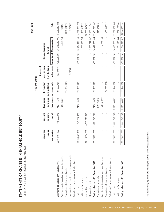|                                                     |                |                     |               |                   |                |             |                                             | (Unit:Baht)        |
|-----------------------------------------------------|----------------|---------------------|---------------|-------------------|----------------|-------------|---------------------------------------------|--------------------|
|                                                     |                |                     |               | THE BANK ONLY     |                |             |                                             |                    |
|                                                     |                |                     |               |                   | Unrealised     |             |                                             |                    |
|                                                     | Issued and     | Discount            | Revaluation   | Revaluation       | losses on cash |             | Retained earnings                           |                    |
|                                                     | paid-up        | on share            | surplus on    | surplus (deficit) | flow hedging   |             | (Deficits)                                  |                    |
|                                                     | share capital  | capital             | fixed assets  | on investments    |                |             | instruments Appropriated Unappropriated     | Total              |
| Beginning balance as of 1 January 2005              | 50,954,467,130 | (11, 145, 837, 378) | 745,416,749   | 466,633,784       | (6,737,609)    | 439,591,201 | $(26,218,519,995)$ $15,235,013,882$         |                    |
| Amortisation of revaluation surplus on fixed assets |                |                     | (4,606,271)   |                   |                |             | 4,172,750                                   | (433,521)          |
| Revaluation deficits on investments                 |                |                     |               | (334, 494, 192)   |                |             |                                             | (334,494,192)      |
| Unrealised gains on cash flow hedging instruments   |                |                     |               |                   | 6,737,609      |             |                                             | 6,737,609          |
| Gains (losses) not yet recognised in the statements |                |                     |               |                   |                |             |                                             |                    |
| of income                                           | 50,954,467,130 | (11, 145, 837, 378) | 740,810,478   | 132, 139, 592     |                | 439,591,201 | $(26, 214, 347, 245)$ 14,906,823,778        |                    |
| Net income for the year                             |                |                     |               |                   |                |             | 953,520,793                                 | 953,520,793        |
| Increased in share capital                          | 31,216,154,530 | (14, 515, 511, 857) |               |                   |                |             |                                             | 16,700,642,673     |
| Merger adjustment                                   |                |                     |               |                   |                |             | (9, 159, 211, 942)                          | (9, 159, 211, 942) |
| Ending balance as of 31 December 2005               | 82,170,621,660 | (25, 661, 349, 235) | 740,810,478   | 132, 139, 592     |                | 439,591,201 | $(34, 420, 038, 394)$ 23, 401, 775, 302     |                    |
| Revaluation surplus on fixed assets                 |                |                     | 319,579,818   |                   |                |             |                                             | 319,579,818        |
| Amortisation of revaluation surplus on fixed assets |                |                     | (4,282,293)   |                   |                |             | 4,282,293                                   |                    |
| Revaluation deficits on investments                 |                |                     |               | (38, 395, 521)    |                |             |                                             | (38, 395, 521)     |
| Gains (losses) not yet recognised in the statements |                |                     |               |                   |                |             |                                             |                    |
| of income                                           | 82,170,621,660 | (25, 661, 349, 235) | 1,056,108,003 | 93,744,071        |                |             | 439,591,201 (34,415,756,101) 23,682,959,599 |                    |
| Net income for the year                             |                |                     |               |                   |                |             | 601,176,584                                 | 601,176,584        |
| Ending balance as of 31 December 2006               | 82,170,621,660 | (25, 661, 349, 235) | 1,056,108,003 | 93,744,071        |                | 439,591,201 | (33,814,579,517)                            | 24,284,136,183     |

STATEMENTS OF CHANGES IN SHAREHOLDERS' EQUITY STATEMENTS OF CHANGES IN SHAREHOLDERS' EQUITY

FOR THE YEARS ENDED 31 DECEMBER 2006 AND 2005 FOR THE YEARS ENDED 31 DECEMBER 2006 AND 2005

The accompanying notes are an integral part of the financial statements. *The accompanying notes are an integral part of the financial statements.*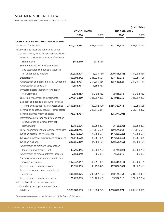# STATEMENTS OF CASH FLOWS

FOR THE YEARS ENDED 31 DECEMBER 2006 AND 2005

|                                                   | <b>CONSOLIDATED</b> |                 | <b>THE BANK ONLY</b> | (Unit: Baht)    |
|---------------------------------------------------|---------------------|-----------------|----------------------|-----------------|
|                                                   | 2006                | 2005            | 2006                 | 2005            |
| <b>CASH FLOWS FROM OPERATING ACTIVITIES</b>       |                     |                 |                      |                 |
| Net income for the years                          | 601,176,584         | 953,520,793     | 601,176,584          | 953,520,793     |
| Adjustments to reconcile net income to net        |                     |                 |                      |                 |
| cash provided by (used in) operating activities : |                     |                 |                      |                 |
| Losses in subsidiaries in respect of minority     |                     |                 |                      |                 |
| shareholders                                      | (486, 649)          | (114, 134)      |                      |                 |
| Share of (profits) losses of subsidiaries         |                     |                 |                      |                 |
| and associated companies accounted                |                     |                 |                      |                 |
| for under equity method                           | (12, 922, 328)      | 8,035,160       | (129, 895, 688)      | (107, 992, 338) |
| Depreciation                                      | 453,394,342         | 341,238,501     | 327,130,256          | 160,251,138     |
| Amortisation and losses on assets written off     | 105,673,705         | 254,305,066     | 105,689,524          | 207,461,114     |
| Amortisation of goodwill                          | 1,654,767           | 1,654,767       |                      |                 |
| Unrealised losses (gains) on revaluation          |                     |                 |                      |                 |
| of investments                                    | 2,838,353           | (7, 792, 962)   | 2,838,353            | (7, 792, 962)   |
| Losses on impairment of investments               | 274,915,359         | 1,741,207,353   | 274,915,359          | 1,741,207,353   |
| Bad debt and doubtful accounts (reversal)         |                     |                 |                      |                 |
| - loans and accrued interest receivables          | 2,459,583,411       | (148, 902, 980) | 2,456,363,411        | (153, 256, 535) |
| Reversal of doubtful accounts - other assets      |                     | (248, 676, 811) |                      | (251, 743, 492) |
| Reversal on impairment of assets                  | (75, 371, 791)      |                 | (75, 371, 791)       |                 |
| Interest income recognised by amortisation        |                     |                 |                      |                 |
| of revaluation allowance from debt                |                     |                 |                      |                 |
| restructuring                                     | (3, 156, 936)       | (5,953,427)     | (3, 156, 936)        | (5,953,427)     |
| Losses on impairment of properties foreclosed     | 208,281,745         | 312,146,655     | 209,674,864          | 312,146,657     |
| Gains on disposal of investments                  | (47, 349, 823)      | (177,063,634)   | (47, 299, 223)       | (177,063,634)   |
| Gains on disposal of premises and equipment       | (76, 614, 620)      | (6,961,935)     | (17, 256, 848)       | (6,961,935)     |
| Gains on exchange                                 | (220, 655, 469)     | (4,068,171)     | (220, 655, 469)      | (4,068,171)     |
| Amortisation of premium (discount) on             |                     |                 |                      |                 |
| long-term investments - net                       | (3,795,415)         | 49,808,284      | (3,725,827)          | 49,808,284      |
| Amortisation of prepaid interest expenses         | 7,569,010           | 506,897         | 7,569,010            | 506,897         |
| (Decrease) increase in interest and dividend      |                     |                 |                      |                 |
| income receivables                                | (102, 347, 017)     | 45,251,361      | (103, 415, 410)      | 43,009,139      |
| Increase in accrued other income                  | (9,935,915)         | (39, 458, 429)  | (17, 827, 962)       | (1,962,693)     |
| Increase (decrease) in accrued interest           |                     |                 |                      |                 |
| expenses                                          | 390,008,325         | (232, 767, 184) | 390, 124, 354        | (231, 938, 453) |
| Increase in accrued other expenses                | 21,428,895          | 179,169,555     | 33,982,110           | 174,062,234     |
| Net cash flows from operating activities          |                     |                 |                      |                 |
| before changes in operating assets and            |                     |                 |                      |                 |
| liabilities                                       | 3,973,888,533       | 3,015,084,725   | 3,790,858,671        | 2,693,239,969   |
|                                                   |                     |                 |                      |                 |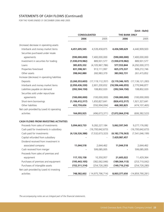# STATEMENTS OF CASH FLOWS (Continued)

FOR THE YEARS ENDED 31 DECEMBER 2006 AND 2005

| <b>CONSOLIDATED</b><br>THE BANK ONLY<br>2006<br>2005<br>2006<br>2005<br>Interbank and money market items<br>4,440,909,920<br>4,451,695,545<br>4,539,458,875<br>4,436,589,629<br>Securities purchased under resale<br>(590,000,000)<br>7,400,000,000<br>(590,000,000)<br>7,400,000,000<br>agreements<br>Investment in securities for trading<br>(1,930,019,982)<br>889,931,577<br>(1,930,019,982)<br>385,835,332<br>(4, 105, 967, 786)<br>577,553,844<br>(4,292,000,377)<br>Loans<br>909,272,746<br>Properties foreclosed<br>831,598,361<br>913,111,997<br>825,375,537<br>Other assets<br>261,415,852<br>398,042,880<br>260,983,379<br>383,902,731<br>Increase (decrease) in operating liabilities<br>Deposits<br>(3,260,353,603)<br>(17, 119, 112, 357)<br>(3, 119, 346, 107)<br>(2,950,436,330)<br>(10, 596, 446, 055)<br>Interbank and money market items<br>2,601,200,652<br>2,770,946,877<br>Liabilities payable on demand<br>(392, 504, 150)<br>108,802,020<br>(392, 504, 150)<br>108,802,020<br>Securities sold under repurchase<br>(100,000,000)<br>(100,000,000)<br>(100,000,000)<br>(100,000,000)<br>agreements<br>Short-term borrowings<br>(1, 106, 412, 317)<br>1,650,827,641<br>(826, 412, 317)<br>1,921,327,641<br>Other liabilities<br>452,759,656<br>(550, 994, 094)<br>468,383,825<br>(474, 107, 465)<br>Net cash provided by (used in) operating<br>activities<br>164,093,925<br>(496, 673, 371)<br>(7,072,064,374)<br>(606, 382, 523)<br><b>CASH FLOWS FROM INVESTING ACTIVITIES</b><br>Proceeds from sales of investments<br>5,094,663,733<br>9,282,227,184<br>5,062,597,545<br>9,277,176,082<br>Cash paid for investments in subsidiary<br>(16,700,642,673)<br>(16,700,642,673)<br>Cash paid for investments<br>(4, 126, 526, 388)<br>(7,532,673,323)<br>(7, 541, 046, 199)<br>(4, 182, 776, 563)<br>Capital refunded from subsidiary<br>7,429,987,457<br>Dividend received from investment in<br>associated company<br>11,044,518<br>2,644,462<br>11,044,518<br>2,644,462<br>599,085,005<br>599,085,005<br>Cash received from merger<br>Proceeds from sales of premises and<br>21,605,022<br>11,429,364<br>equipment<br>117, 155, 158<br>10,350,957<br>Purchases of premises and equipment<br>(189, 364, 113)<br>(253, 710, 042)<br>(195, 443, 105)<br>(382,062,046) |                                         |  | (Unit: Baht) |
|-------------------------------------------------------------------------------------------------------------------------------------------------------------------------------------------------------------------------------------------------------------------------------------------------------------------------------------------------------------------------------------------------------------------------------------------------------------------------------------------------------------------------------------------------------------------------------------------------------------------------------------------------------------------------------------------------------------------------------------------------------------------------------------------------------------------------------------------------------------------------------------------------------------------------------------------------------------------------------------------------------------------------------------------------------------------------------------------------------------------------------------------------------------------------------------------------------------------------------------------------------------------------------------------------------------------------------------------------------------------------------------------------------------------------------------------------------------------------------------------------------------------------------------------------------------------------------------------------------------------------------------------------------------------------------------------------------------------------------------------------------------------------------------------------------------------------------------------------------------------------------------------------------------------------------------------------------------------------------------------------------------------------------------------------------------------------------------------------------------------------------------------------------------------------------------------------------------------------------------------------------------------------------------------|-----------------------------------------|--|--------------|
| 889,931,577<br>(17, 136, 121, 283)                                                                                                                                                                                                                                                                                                                                                                                                                                                                                                                                                                                                                                                                                                                                                                                                                                                                                                                                                                                                                                                                                                                                                                                                                                                                                                                                                                                                                                                                                                                                                                                                                                                                                                                                                                                                                                                                                                                                                                                                                                                                                                                                                                                                                                                        |                                         |  |              |
|                                                                                                                                                                                                                                                                                                                                                                                                                                                                                                                                                                                                                                                                                                                                                                                                                                                                                                                                                                                                                                                                                                                                                                                                                                                                                                                                                                                                                                                                                                                                                                                                                                                                                                                                                                                                                                                                                                                                                                                                                                                                                                                                                                                                                                                                                           |                                         |  |              |
|                                                                                                                                                                                                                                                                                                                                                                                                                                                                                                                                                                                                                                                                                                                                                                                                                                                                                                                                                                                                                                                                                                                                                                                                                                                                                                                                                                                                                                                                                                                                                                                                                                                                                                                                                                                                                                                                                                                                                                                                                                                                                                                                                                                                                                                                                           | (Increase) decrease in operating assets |  |              |
|                                                                                                                                                                                                                                                                                                                                                                                                                                                                                                                                                                                                                                                                                                                                                                                                                                                                                                                                                                                                                                                                                                                                                                                                                                                                                                                                                                                                                                                                                                                                                                                                                                                                                                                                                                                                                                                                                                                                                                                                                                                                                                                                                                                                                                                                                           |                                         |  |              |
|                                                                                                                                                                                                                                                                                                                                                                                                                                                                                                                                                                                                                                                                                                                                                                                                                                                                                                                                                                                                                                                                                                                                                                                                                                                                                                                                                                                                                                                                                                                                                                                                                                                                                                                                                                                                                                                                                                                                                                                                                                                                                                                                                                                                                                                                                           |                                         |  |              |
|                                                                                                                                                                                                                                                                                                                                                                                                                                                                                                                                                                                                                                                                                                                                                                                                                                                                                                                                                                                                                                                                                                                                                                                                                                                                                                                                                                                                                                                                                                                                                                                                                                                                                                                                                                                                                                                                                                                                                                                                                                                                                                                                                                                                                                                                                           |                                         |  |              |
|                                                                                                                                                                                                                                                                                                                                                                                                                                                                                                                                                                                                                                                                                                                                                                                                                                                                                                                                                                                                                                                                                                                                                                                                                                                                                                                                                                                                                                                                                                                                                                                                                                                                                                                                                                                                                                                                                                                                                                                                                                                                                                                                                                                                                                                                                           |                                         |  |              |
|                                                                                                                                                                                                                                                                                                                                                                                                                                                                                                                                                                                                                                                                                                                                                                                                                                                                                                                                                                                                                                                                                                                                                                                                                                                                                                                                                                                                                                                                                                                                                                                                                                                                                                                                                                                                                                                                                                                                                                                                                                                                                                                                                                                                                                                                                           |                                         |  |              |
|                                                                                                                                                                                                                                                                                                                                                                                                                                                                                                                                                                                                                                                                                                                                                                                                                                                                                                                                                                                                                                                                                                                                                                                                                                                                                                                                                                                                                                                                                                                                                                                                                                                                                                                                                                                                                                                                                                                                                                                                                                                                                                                                                                                                                                                                                           |                                         |  |              |
|                                                                                                                                                                                                                                                                                                                                                                                                                                                                                                                                                                                                                                                                                                                                                                                                                                                                                                                                                                                                                                                                                                                                                                                                                                                                                                                                                                                                                                                                                                                                                                                                                                                                                                                                                                                                                                                                                                                                                                                                                                                                                                                                                                                                                                                                                           |                                         |  |              |
|                                                                                                                                                                                                                                                                                                                                                                                                                                                                                                                                                                                                                                                                                                                                                                                                                                                                                                                                                                                                                                                                                                                                                                                                                                                                                                                                                                                                                                                                                                                                                                                                                                                                                                                                                                                                                                                                                                                                                                                                                                                                                                                                                                                                                                                                                           |                                         |  |              |
|                                                                                                                                                                                                                                                                                                                                                                                                                                                                                                                                                                                                                                                                                                                                                                                                                                                                                                                                                                                                                                                                                                                                                                                                                                                                                                                                                                                                                                                                                                                                                                                                                                                                                                                                                                                                                                                                                                                                                                                                                                                                                                                                                                                                                                                                                           |                                         |  |              |
|                                                                                                                                                                                                                                                                                                                                                                                                                                                                                                                                                                                                                                                                                                                                                                                                                                                                                                                                                                                                                                                                                                                                                                                                                                                                                                                                                                                                                                                                                                                                                                                                                                                                                                                                                                                                                                                                                                                                                                                                                                                                                                                                                                                                                                                                                           |                                         |  |              |
|                                                                                                                                                                                                                                                                                                                                                                                                                                                                                                                                                                                                                                                                                                                                                                                                                                                                                                                                                                                                                                                                                                                                                                                                                                                                                                                                                                                                                                                                                                                                                                                                                                                                                                                                                                                                                                                                                                                                                                                                                                                                                                                                                                                                                                                                                           |                                         |  |              |
|                                                                                                                                                                                                                                                                                                                                                                                                                                                                                                                                                                                                                                                                                                                                                                                                                                                                                                                                                                                                                                                                                                                                                                                                                                                                                                                                                                                                                                                                                                                                                                                                                                                                                                                                                                                                                                                                                                                                                                                                                                                                                                                                                                                                                                                                                           |                                         |  |              |
|                                                                                                                                                                                                                                                                                                                                                                                                                                                                                                                                                                                                                                                                                                                                                                                                                                                                                                                                                                                                                                                                                                                                                                                                                                                                                                                                                                                                                                                                                                                                                                                                                                                                                                                                                                                                                                                                                                                                                                                                                                                                                                                                                                                                                                                                                           |                                         |  |              |
|                                                                                                                                                                                                                                                                                                                                                                                                                                                                                                                                                                                                                                                                                                                                                                                                                                                                                                                                                                                                                                                                                                                                                                                                                                                                                                                                                                                                                                                                                                                                                                                                                                                                                                                                                                                                                                                                                                                                                                                                                                                                                                                                                                                                                                                                                           |                                         |  |              |
|                                                                                                                                                                                                                                                                                                                                                                                                                                                                                                                                                                                                                                                                                                                                                                                                                                                                                                                                                                                                                                                                                                                                                                                                                                                                                                                                                                                                                                                                                                                                                                                                                                                                                                                                                                                                                                                                                                                                                                                                                                                                                                                                                                                                                                                                                           |                                         |  |              |
|                                                                                                                                                                                                                                                                                                                                                                                                                                                                                                                                                                                                                                                                                                                                                                                                                                                                                                                                                                                                                                                                                                                                                                                                                                                                                                                                                                                                                                                                                                                                                                                                                                                                                                                                                                                                                                                                                                                                                                                                                                                                                                                                                                                                                                                                                           |                                         |  |              |
|                                                                                                                                                                                                                                                                                                                                                                                                                                                                                                                                                                                                                                                                                                                                                                                                                                                                                                                                                                                                                                                                                                                                                                                                                                                                                                                                                                                                                                                                                                                                                                                                                                                                                                                                                                                                                                                                                                                                                                                                                                                                                                                                                                                                                                                                                           |                                         |  |              |
|                                                                                                                                                                                                                                                                                                                                                                                                                                                                                                                                                                                                                                                                                                                                                                                                                                                                                                                                                                                                                                                                                                                                                                                                                                                                                                                                                                                                                                                                                                                                                                                                                                                                                                                                                                                                                                                                                                                                                                                                                                                                                                                                                                                                                                                                                           |                                         |  |              |
|                                                                                                                                                                                                                                                                                                                                                                                                                                                                                                                                                                                                                                                                                                                                                                                                                                                                                                                                                                                                                                                                                                                                                                                                                                                                                                                                                                                                                                                                                                                                                                                                                                                                                                                                                                                                                                                                                                                                                                                                                                                                                                                                                                                                                                                                                           |                                         |  |              |
|                                                                                                                                                                                                                                                                                                                                                                                                                                                                                                                                                                                                                                                                                                                                                                                                                                                                                                                                                                                                                                                                                                                                                                                                                                                                                                                                                                                                                                                                                                                                                                                                                                                                                                                                                                                                                                                                                                                                                                                                                                                                                                                                                                                                                                                                                           |                                         |  |              |
|                                                                                                                                                                                                                                                                                                                                                                                                                                                                                                                                                                                                                                                                                                                                                                                                                                                                                                                                                                                                                                                                                                                                                                                                                                                                                                                                                                                                                                                                                                                                                                                                                                                                                                                                                                                                                                                                                                                                                                                                                                                                                                                                                                                                                                                                                           |                                         |  |              |
|                                                                                                                                                                                                                                                                                                                                                                                                                                                                                                                                                                                                                                                                                                                                                                                                                                                                                                                                                                                                                                                                                                                                                                                                                                                                                                                                                                                                                                                                                                                                                                                                                                                                                                                                                                                                                                                                                                                                                                                                                                                                                                                                                                                                                                                                                           |                                         |  |              |
|                                                                                                                                                                                                                                                                                                                                                                                                                                                                                                                                                                                                                                                                                                                                                                                                                                                                                                                                                                                                                                                                                                                                                                                                                                                                                                                                                                                                                                                                                                                                                                                                                                                                                                                                                                                                                                                                                                                                                                                                                                                                                                                                                                                                                                                                                           |                                         |  |              |
|                                                                                                                                                                                                                                                                                                                                                                                                                                                                                                                                                                                                                                                                                                                                                                                                                                                                                                                                                                                                                                                                                                                                                                                                                                                                                                                                                                                                                                                                                                                                                                                                                                                                                                                                                                                                                                                                                                                                                                                                                                                                                                                                                                                                                                                                                           |                                         |  |              |
|                                                                                                                                                                                                                                                                                                                                                                                                                                                                                                                                                                                                                                                                                                                                                                                                                                                                                                                                                                                                                                                                                                                                                                                                                                                                                                                                                                                                                                                                                                                                                                                                                                                                                                                                                                                                                                                                                                                                                                                                                                                                                                                                                                                                                                                                                           |                                         |  |              |
|                                                                                                                                                                                                                                                                                                                                                                                                                                                                                                                                                                                                                                                                                                                                                                                                                                                                                                                                                                                                                                                                                                                                                                                                                                                                                                                                                                                                                                                                                                                                                                                                                                                                                                                                                                                                                                                                                                                                                                                                                                                                                                                                                                                                                                                                                           |                                         |  |              |
|                                                                                                                                                                                                                                                                                                                                                                                                                                                                                                                                                                                                                                                                                                                                                                                                                                                                                                                                                                                                                                                                                                                                                                                                                                                                                                                                                                                                                                                                                                                                                                                                                                                                                                                                                                                                                                                                                                                                                                                                                                                                                                                                                                                                                                                                                           |                                         |  |              |
|                                                                                                                                                                                                                                                                                                                                                                                                                                                                                                                                                                                                                                                                                                                                                                                                                                                                                                                                                                                                                                                                                                                                                                                                                                                                                                                                                                                                                                                                                                                                                                                                                                                                                                                                                                                                                                                                                                                                                                                                                                                                                                                                                                                                                                                                                           |                                         |  |              |
|                                                                                                                                                                                                                                                                                                                                                                                                                                                                                                                                                                                                                                                                                                                                                                                                                                                                                                                                                                                                                                                                                                                                                                                                                                                                                                                                                                                                                                                                                                                                                                                                                                                                                                                                                                                                                                                                                                                                                                                                                                                                                                                                                                                                                                                                                           |                                         |  |              |
| Purchases of intangible assets<br>(152, 311, 314)<br>(254, 726, 280)<br>(254, 726, 280)<br>(149, 716, 216)                                                                                                                                                                                                                                                                                                                                                                                                                                                                                                                                                                                                                                                                                                                                                                                                                                                                                                                                                                                                                                                                                                                                                                                                                                                                                                                                                                                                                                                                                                                                                                                                                                                                                                                                                                                                                                                                                                                                                                                                                                                                                                                                                                                |                                         |  |              |
| Net cash provided by (used in) investing                                                                                                                                                                                                                                                                                                                                                                                                                                                                                                                                                                                                                                                                                                                                                                                                                                                                                                                                                                                                                                                                                                                                                                                                                                                                                                                                                                                                                                                                                                                                                                                                                                                                                                                                                                                                                                                                                                                                                                                                                                                                                                                                                                                                                                                  |                                         |  |              |
| activities<br>748,582,602<br>(14, 975, 796, 714)<br>8,003,377,650<br>(14,859,790,281)                                                                                                                                                                                                                                                                                                                                                                                                                                                                                                                                                                                                                                                                                                                                                                                                                                                                                                                                                                                                                                                                                                                                                                                                                                                                                                                                                                                                                                                                                                                                                                                                                                                                                                                                                                                                                                                                                                                                                                                                                                                                                                                                                                                                     |                                         |  |              |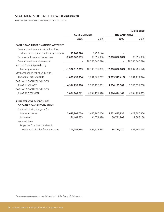# STATEMENTS OF CASH FLOWS (Continued)

FOR THE YEARS ENDED 31 DECEMBER 2006 AND 2005

|                                             |                     |                |                      | (Unit: Baht)   |
|---------------------------------------------|---------------------|----------------|----------------------|----------------|
|                                             | <b>CONSOLIDATED</b> |                | <b>THE BANK ONLY</b> |                |
|                                             | 2006                | 2005           | 2006                 | 2005           |
| <b>CASH FLOWS FROM FINANCING ACTIVITIES</b> |                     |                |                      |                |
| Cash received from minority interest for    |                     |                |                      |                |
| call-up share capital of subsidiary company | 18,749,826          | 6,250,174      |                      |                |
| Decrease in long-term borrowings            | (2,000,862,689)     | (3,355,996)    | (2,000,862,689)      | (3,355,996)    |
| Cash received from share capital            |                     | 16,700,642,674 |                      | 16,700,642,674 |
| Net cash (used in) provided by              |                     |                |                      |                |
| financing activities                        | (1,982,112,863)     | 16,703,536,852 | (2,000,862,689)      | 16,697,286,678 |
| NET INCREASE (DECREASE) IN CASH             |                     |                |                      |                |
| AND CASH EQUIVALENTS                        | (1,069,436,336)     | 1,231,066,767  | (1,069,549,413)      | 1,231,113,874  |
| CASH AND CASH EQUIVALENTS                   |                     |                |                      |                |
| AS AT 1 JANUARY                             | 4,934,239,398       | 3,703,172,631  | 4,934,193,582        | 3,703,079,708  |
| CASH AND CASH EQUIVALENTS                   |                     |                |                      |                |
| AS AT 31 DECEMBER                           | 3,864,803,062       | 4,934,239,398  | 3,864,644,169        | 4,934,193,582  |
| <b>SUPPLEMENTAL DISCLOSURES</b>             |                     |                |                      |                |
| OF CASH FLOWS INFORMATION                   |                     |                |                      |                |
| Cash paid during the years for              |                     |                |                      |                |
| Interest expenses                           | 3,647,805,078       | 1,640,167,056  | 3,651,497,935        | 1,629,397,356  |
| Income tax                                  | 64,462,903          | 34,678,390     | 38,791,809           | 11,886,188     |
| Non-cash item                               |                     |                |                      |                |
| Properties foreclosed received in           |                     |                |                      |                |
| settlement of debts from borrowers          | 105,254,564         | 852,225,433    | 94,134,770           | 841,242,228    |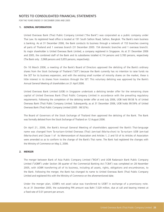# NOTES TO CONSOLIDATED FINANCIAL STATEMENTS

FOR THE YEARS ENDED 31 DECEMBER 2006 AND 2005

# **1. GENERAL INFORMATION**

United Overseas Bank (Thai) Public Company Limited ("the Bank") was corporated as a public company under Thai Law. Its registered head office is located at 191 South Sathon Road, Sathon, Bangkok. The Bank's main business is banking. As at 31 December 2006, the Bank conducts its business through a network of 153 branches covering all parts of Thailand and 1 overseas branch (31 December 2005: 154 domestic branches and 1 overseas branch). Its major shareholder is United Overseas Bank Limited, a company registered in Singapore. As at 31 December 2006 and 2005, the combined staff of the Bank and its subsidiaries totalled 4,114 persons and 3,783 persons, respectively (The Bank only : 3,968 persons and 3,655 persons, respectively).

On 16 March 2006, a meeting of the Bank's Board of Directors approved the delisting of the Bank's ordinary shares from the Stock Exchange of Thailand ("SET") because the Bank currently has no intention to raise funds via the SET for its business expansion, and with the existing small number of minority shares on the market, these is little interest in its shares from investors through the SET. This voluntary delisting was approved by the Bank's Annual General Meeting of shareholders on 21 April 2006.

United Overseas Bank Limited (UOB) in Singapore undertook a delisting tender offer for the remaining share capital of United Overseas Bank (Thai) Public Company Limited in accordance with the prevailing regulatory requirements. Following the completion of the delisting tender offer at end July 2006, UOB held 99.58 % of United Overseas Bank (Thai) Public Company Limited. Subsequently, as at 31 December 2006, UOB holds 99.59% of United Overseas Bank (Thai) Public Company Limited (2005 : 98.52%).

The Board of Governors of the Stock Exchange of Thailand then approved the delisting of the Bank. The Bank was formally delisted from the Stock Exchange of Thailand on 12 August 2006.

On April 21, 2006, the Bank's Annual General Meeting of shareholders approved the Bank's Thai-language name was changed from Ta-na-karn-United Overseas (Thai) Jam-kad (Ma-ha-chon) to Ta-na-karn UOB Jam-kad (Ma-ha-chon) and Clause 1 of its Memorandum of Association and Articles 1, 2 and 53 of its Articles of Association were amended so as to conform to the change of the Bank's Thai name. The Bank had registered the changes with the Ministry of Commerce on May 2, 2006.

# **2. MERGER**

The merger between Bank of Asia Public Company Limited ("BOA") and UOB Radanasin Bank Public Company Limited ("UOBR") under Section 38 quarter of the Commercial Banking Act ("CBA") was completed on 28 November 2005, with UOBR transferring all of its business, including all assets, rights, obligations and encumbrances, to the Bank. Following the merger, the Bank has changed its name to United Overseas Bank (Thai) Public Company Limited and registered this with the Ministry of Commerce on the aforementioned date.

Under the merger plan, UOBR's net asset value was transferred to UOBT in exchange of a promissory note. As at 31 December 2005, the outstanding P/N amount was Baht 7,529 million, due at call and bearing interest at a fixed rate of 0.01 percent per annum.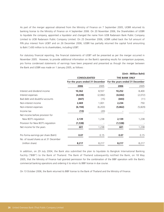As part of the merger approval obtained from the Ministry of Finance on 7 September 2005, UOBR returned its banking license to the Ministry of Finance on 4 September 2006. On 20 November 2006, the Shareholders of UOBR to liquidate the company, appointed a liquidator and changed the name from UOB Radanasin Bank Public Company Limited to UOB Radanasin Public Company Limited. On 25 December 2006, UOBR called back the full amount of P/N plus interest from UOBT and on 26 December 2006, UOBR has partially returned the capital fund amounting to Baht 7,430 million to its shareholders, including UOBT.

For statutory financial reporting, the financial statements of UOBT will be presented as per the merger occurred in November 2005. However, to provide additional information on the Bank's operating results for comparison purposes, pro forma condensed statements of earnings have been prepared and presented as though the merger between the Bank and UOBR was made on 1 January 2005, as follows :

|                                        |                                                        |         |                                 | (Unit: Million Baht) |  |
|----------------------------------------|--------------------------------------------------------|---------|---------------------------------|----------------------|--|
|                                        | <b>CONSOLIDATED</b><br>For the years ended 31 December |         | <b>THE BANK ONLY</b>            |                      |  |
|                                        |                                                        |         | For the years ended 31 December |                      |  |
|                                        | 2006                                                   | 2005    | 2006                            | 2005                 |  |
| Interest and dividend income           | 10,362                                                 | 8,557   | 10,252                          | 8,400                |  |
| Interest expenses                      | (4,038)                                                | (2,082) | (4,042)                         | (2,072)              |  |
| Bad debt and doubtful accounts         | (447)                                                  | (15)    | (443)                           | (11)                 |  |
| Non-interest income                    | 2,469                                                  | 1,001   | 2,234                           | 750                  |  |
| Non-interest expenses                  | (6, 194)                                               | (6,203) | (5,862)                         | (5,829)              |  |
| Income tax                             | (13)                                                   | (20)    |                                 |                      |  |
| Net income before provision for        |                                                        |         |                                 |                      |  |
| New BOT's regulation                   | 2,139                                                  | 1,238   | 2,139                           | 1,238                |  |
| Provision for New BOT's regulation     | (1,538)                                                |         | (1,538)                         |                      |  |
| Net income for the years               | 601                                                    | 1,238   | 601                             | 1,238                |  |
| Pro forma earnings per share (Baht)    | 0.07                                                   | 0.15    | 0.07                            | 0.15                 |  |
| No. of issued shares as at 31 December |                                                        |         |                                 |                      |  |
| (million share)                        | 8,217                                                  | 8,217   | 8,217                           | 8,217                |  |

In addition, on 29 July 2004, the Bank also submitted the plan to liquidate its Bangkok International Banking Facility ("BIBF") to the Bank of Thailand. The Bank of Thailand subsequently notified the Bank, on 18 May 2005, that the Ministry of Finance had granted permission for the combination of the BIBF operation with the Bank's commercial banking operations and ordering it to return its BIBF license in due course.

On 13 October 2006, the Bank returned its BIBF license to the Bank of Thailand and the Ministry of Finance.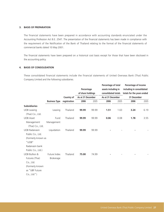# **3. BASIS OF PREPARATION**

The financial statements have been prepared in accordance with accounting standards enunciated under the Accounting Profession Act B.E. 2547. The presentation of the financial statements has been made in compliance with the requirement of the Notification of the Bank of Thailand relating to the format of the financial statements of commercial banks dated 10 May 2001.

The financial statements have been prepared on a historical cost basis except for those that have been disclosed in the accounting policy.

# **4. BASIS OF CONSOLIDATION**

These consolidated financial statements include the financial statements of United Overseas Bank (Thai) Public Company Limited and the following subsidiaries.

|                          |                      |              | Percentage<br>of share holdings | Percentage of total<br>assets including in<br>consolidated totals |                   |      | Percentage of income<br>including in consolidated<br>totals for the years ended<br>31 December |      |
|--------------------------|----------------------|--------------|---------------------------------|-------------------------------------------------------------------|-------------------|------|------------------------------------------------------------------------------------------------|------|
|                          |                      | Country of   | As at 31 December               |                                                                   | As at 31 December |      |                                                                                                |      |
|                          | <b>Business Type</b> | registration | 2006                            | 2005                                                              | 2006              | 2005 | 2006                                                                                           | 2005 |
| <b>Subsidiaries</b>      |                      |              |                                 |                                                                   |                   |      |                                                                                                |      |
| <b>UOB Leasing</b>       | Leasing              | Thailand     | 99.99                           | 99.99                                                             | 1.51              | 1.63 | 3.24                                                                                           | 6.19 |
| (Thai) Co., Ltd.         |                      |              |                                 |                                                                   |                   |      |                                                                                                |      |
| <b>UOB Asset</b>         | Fund                 | Thailand     | 99.99                           | 99.99                                                             | 0.06              | 0.08 | 1.78                                                                                           | 3.55 |
| Management               | Management           |              |                                 |                                                                   |                   |      |                                                                                                |      |
| (Thai) Co., Ltd.         |                      |              |                                 |                                                                   |                   |      |                                                                                                |      |
| <b>UOB Radanasin</b>     | Liquidation          | Thailand     | 99.99                           | 99.99                                                             |                   |      |                                                                                                |      |
| Public Co., Ltd.         |                      |              |                                 |                                                                   |                   |      |                                                                                                |      |
| (Formerly known as       |                      |              |                                 |                                                                   |                   |      |                                                                                                |      |
| "UOB"                    |                      |              |                                 |                                                                   |                   |      |                                                                                                |      |
| Radanasin bank           |                      |              |                                 |                                                                   |                   |      |                                                                                                |      |
| Public Co., Ltd.)        |                      |              |                                 |                                                                   |                   |      |                                                                                                |      |
| <b>UOB Bullion &amp;</b> | Future Index         | Thailand     | 75.00                           | 74.99                                                             |                   |      |                                                                                                |      |
| Futures (Thai)           | Brokerage            |              |                                 |                                                                   |                   |      |                                                                                                |      |
| Co., Ltd.                |                      |              |                                 |                                                                   |                   |      |                                                                                                |      |
| (Formerly known          |                      |              |                                 |                                                                   |                   |      |                                                                                                |      |
| as "UBF Future           |                      |              |                                 |                                                                   |                   |      |                                                                                                |      |
| $Co., Ltd."$ )           |                      |              |                                 |                                                                   |                   |      |                                                                                                |      |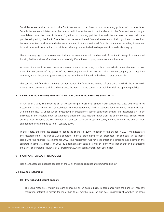Subsidiaries are entities in which the Bank has control over financial and operating policies of those entities. Subsidiaries are consolidated from the date on which effective control is transferred to the Bank and are no longer consolidated from the date of disposal. Significant accounting policies of subsidiaries are also consistent with the policies adopted by the Bank. The effects to the consolidated financial statements of all significant transactions between the Bank and its subsidiaries are eliminated in the consolidated financial statements, including investment in subsidiaries and share capital of subsidiaries. Minority interest is disclosed separately in shareholders' equity.

The accompanying financial statements include the accounts of all branches and of the Bank's Bangkok International Banking Facility business after the elimination of significant inter-company transactions and balances.

However, if the Bank receives shares as a result of debt restructuring of a borrower, which causes the Bank to hold more than 50 percent of the shares of such company, the Bank will not treat that investee company as a subsidiary company, and will treat it as general investments since the Bank intends to hold such shares temporarily.

The consolidated financial statements do not include the financial statements of unit trusts in which the Bank holds more than 50 percent of their issued units since the Bank takes no control over their financial and operating policies.

# **5. CHANGE IN ACCOUNTING POLICIES/ADOPTION OF NEW ACCOUNTING STANDARDS**

In October 2006, the Federation of Accounting Professions issued Notification No. 26/2006 regarding Accounting Standard No. 44 "Consolidated Financial Statements and Accounting for Investments in Subsidiaries" (Amendment No. 1), under which investments in subsidiaries, jointly controlled entities and associates are to be presented in the separate financial statements under the cost method rather than the equity method. Entities which are not ready to adopt the cost method in 2006 can continue to use the equity method through the end of 2006 and adopt the cost method as from 1 January 2007.

In this regard, the Bank has elected to adopt the change in 2007. Adoption of the change in 2007 will necessitate the restatement of the Bank's 2006 separate financial statements to be presented for comparative purposes along with the financial statements for 2007. The restatement will have the effect of decreasing net income in the separate income statement for 2006 by approximately Baht 119 million (Baht 0.01 per share) and decreasing the Bank's shareholders' equity as at 31 December 2006 by approximately Baht 399 million.

### **6. SIGNIFICANT ACCOUNTING POLICIES**

Significant accounting policies adopted by the Bank and its subsidiaries are summarised below.

# **6.1 Revenue recognition**

### **(a) Interest and discount on loans**

The Bank recognises interest on loans as income on an accrual basis. In accordance with the Bank of Thailand's regulation, interest in arrears for more than three months from the due date, regardless of whether the loans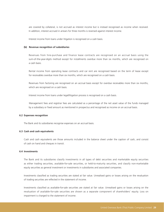are covered by collateral, is not accrued as interest income but is instead recognised as income when received. In addition, interest accrued in arrears for three months is reversed against interest income.

Interest income from loans under litigation is recognised on a cash basis.

### **(b) Revenue recognition of subsidiaries**

Revenues from hire-purchase and finance lease contracts are recognised on an accrual basis using the sum-of-the-year-digits method except for installments overdue more than six months, which are recognised on a cash basis.

Rental income from operating lease contracts and car rent are recognised based on the term of lease except for receivables overdue more than six months, which are recognised on a cash basis.

Revenues from factoring are recognised on an accrual basis except for overdue receivables more than six months, which are recognised on a cash basis.

Interest income from loans under legal/litigation process is recognised on a cash basis.

Management fees and registrar fees are calculated as a percentage of the net asset value of the funds managed by a subsidiary or fixed amount as mentioned in prospectus and recognised as income on an accrual basis.

### **6.2 Expenses recognition**

The Bank and its subsidiaries recognise expenses on an accrual basis.

### **6.3 Cash and cash equivalents**

Cash and cash equivalents are those amounts included in the balance sheet under the caption of cash, and consist of cash on hand and cheques in transit.

### **6.4 Investments**

The Bank and its subsidiaries classify investments in all types of debt securities and marketable equity securities as either trading securities, available-for-sale securities, or held-to-maturity securities, and classify non-marketable equity securities as general investment or investments in subsidiaries and associated companies.

Investments classified as trading securities are stated at fair value. Unrealised gains or losses arising on the revaluation of trading securities are reflected in the statement of income.

Investments classified as available-for-sale securities are stated at fair value. Unrealised gains or losses arising on the revaluation of available-for-sale securities are shown as a separate component of shareholders' equity. Loss on impairment is charged to the statement of income.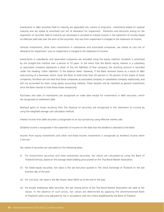Investments in debt securities held to maturity are separated into current or long-term investments based on residual maturity and are stated at amortised cost net of allowance for impairment. Premiums and discounts arising on the acquisition of securities held to maturity are amortised or accreted to interest income in the statement of income based on effective yield rate over the term of the securities. Any loss from impairment is charged to the statement of income.

General investments, other than investments in subsidiaries and associated companies, are stated at cost net of allowance for impairment. Loss on impairment is charged to the statement of income.

Investments in subsidiaries and associated companies are recorded using the equity method. Goodwill is amortised by the straight-line method over a period of 10 years. In the event that the Bank's equity interest in a subsidiary or associated company represents a share of the net liabilities of that company, the resulting amount is recorded under the heading "other liabilities" in the balance sheet. However, if the Bank received shares as a result of debt restructuring of a borrower, which cause the Bank to hold more than 20 percent or 50 percent of the shares of these companies, the Bank will not treat that these companies as associated company or subsidiaries company respectively, and will not accounted for them using equity accounting method. These equities will be classified as general investments since the Bank intends to hold these shares temporarily.

Purchases and sales of investments are recognised on trade date except for investments in debt securities, which are recognised on settlement date.

Realised gains or losses resulting from the disposal of securities are recognised in the statement of income by using the weighted average cost calculation method.

Interest income from debt securities is recognised on an accrual basis by using effective interest rate.

Dividend income is recognised in the statement of income on the date that the dividend is declared to the Bank.

Income from equity investments and other non-fixed income investments is recognised as dividend income when it accrues.

Fair values of securities are calculated on the following bases :

- (i) For Government securities and state enterprises securities, fair values are calculated by using the Bank of Thailand formula, based on the average latest bidding price posted on the Thai Bond Market Association.
- (ii) For listed equity securities, fair value is the last bid price quoted in The Stock Exchange of Thailand on the last business day of the year.
- (iii) For unit trust, fair value is the Net Assets Value (NAV) as at the end of the year.
- (iv) For private enterprises debt securities, the last closing prices of the Thai Bond Market Association are used as fair values. In the absence of such prices, fair values are determined by applying the aforementioned Bank of Thailand's yield curve adjusted for risk in accordance with the criteria established by the Bank of Thailand.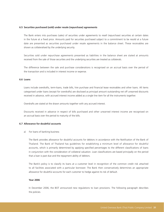# **6.5 Securities purchased (sold) under resale (repurchase) agreements**

The Bank enters into purchases (sales) of securities under agreements to resell (repurchase) securities at certain dates in the future at a fixed price. Amounts paid for securities purchased subject to a commitment to be resold at a future date are presented as securities purchased under resale agreements in the balance sheet. These receivables are shown as collateralised by the underlying security.

Securities sold under repurchase agreements presented as liabilities in the balance sheet are stated at amounts received from the sale of those securities and the underlying securities are treated as collaterals.

The difference between the sale and purchase considerations is recognised on an accrual basis over the period of the transaction and is included in interest income or expense.

# **6.6 Loans**

Loans include overdrafts, term-loans, trade bills, hire purchase and financial lease receivables and other loans. All items categorised under loans (except for overdrafts) are disclosed as principal amount outstanding net off unearned discounts received in advance, with accrued interest income added as a single line item for all the instruments together.

Overdrafts are stated at the drawn amounts together with any accrued interest.

Discounts received in advance in respect of bills purchased and other unearned interest income are recognised on an accrual basis over the period to maturity of the bills.

### **6.7 Allowance for doubtful accounts**

### a) For loans of banking business

The Bank provides allowance for doubtful accounts for debtors in accordance with the Notification of the Bank of Thailand. The Bank of Thailand has guidelines for establishing a minimum level of allowance for doubtful accounts, which is primarily determined by applying specified percentages to the different classifications of loans in conjunction with the consideration of collateral valuation. Loan classifications are based principally on the period that a loan is past due and the repayment ability of debtors.

The Bank's policy is to classify its loans at a customer level in recognition of the common credit risk attached to all facilities associated with a particular borrower. The Bank then conservatively determines an appropriate allowance for doubtful accounts for each customer to hedge against its risk of default.

### **Year 2006**

In December 2006, the BOT announced new regulations to loan provisions. The following paragraph describes the policies.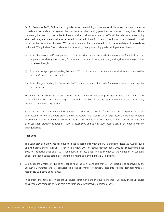On 21 December 2006, BOT revised its guidelines on determining allowance for doubtful accounts and the value of collateral to be deducted against the loan balance when setting provisions for non-performing loans. Under the new guidelines, commercial banks have to make provision at a rate of 100% of the debt balance remaining after deducting the present value of expected future cash flows from debt collection or from collateral disposal, based on the use of the stipulated 7% discount rate and the time needed to dispose of collateral, in accordance with the BOT's guideline. The timeline for implementing these provisioning guidelines is presented below.

- i) From the second half-year period of 2006 provisions are to be made for receivables for which a court judgment has already been issued, for which a court order is being executed, and against which legal actions have been brought.
- ii) From the half-year period ending 30 June 2007 provisions are to be made for receivables that are classified as doubtful of loss and doubtful.
- iii) From the year ending 31 December 2007 provisions are to be made for receivables that are classified as substandard.

The Bank set provision at 1% and 2% of the loan balance (excluding accrued interest receivable) net of collateral value for normal (including restructured receivables) loans and special mention loans, respectively, as required by the BOT's guidelines.

As at 31 December 2006, the Bank set provision at 100% on receivables for which a court judgment has already been issued, for which a court order is being executed, and against which legal actions have been brought, in accordance with the new guidelines of the BOT. For doubtful of loss, doubtful and substandard loans the Bank still apply provisioning rates of 100%, at least 50% and at least 20%, respectively, in accordance with the prior guidelines.

### **Year 2005**

The Bank provided allowance for doubtful debt in accordance with the BOT's guideline dated 23 August 2004, applying provisioning rates of 1% for normal debt, 2% for special mention debt, 20% for substandard debt, 50% for doubtful debt and 100% for doubtful of loss debt. The Bank deducts the valuation of collateral against the loan balance before determining provisions as allowed under BOT guidelines.

b) Bad debts are written off during the period that the Bank considers they are uncollectible as approved by the Executive Committee and are deducted from the allowance for doubtful accounts. All bad debt recovered are recognized as income on cash basis.

In addition, the Bank also writes off unsecured consumer loans overdue more than 180 days. Those unsecured consumer loans comprise of credit card receivable and other unsecured personal loans.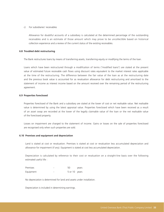### c) For subsidiaries' receivables

Allowance for doubtful accounts of a subsidiary is calculated at the determined percentage of the outstanding receivables and is an estimate of those amount which may prove to be uncollectible based on historical collection experience and a review of the current status of the existing receivables.

### **6.8 Troubled debt restructuring**

The Bank restructures loans by means of transferring assets, transferring equity or modifying the terms of the loan.

Loans which have been restructured through a modification of terms ("modified loans") are stated at the present value of estimated future receivable cash flows using discount rates equivalent to the market interest rates applicable at the time of the restructuring. The difference between the fair value of the loan as at the restructuring date and the previous book value is accounted for as revaluation allowance for debt restructuring and amortised to the statement of income as interest income based on the amount received over the remaining period of the restructuring agreement.

# **6.9 Properties foreclosed**

Properties foreclosed of the Bank and a subsidiary are stated at the lower of cost or net realisable value. Net realisable value is determined by using the latest appraisal value. Properties foreclosed which have been received as a result of an asset swap are recorded at the lower of the legally claimable value of the loan or the net realisable value of the foreclosed property.

Losses on impairment are charged to the statement of income. Gains or losses on the sale of properties foreclosed are recognised only when such properties are sold.

### **6.10 Premises and equipment and depreciation**

Land is stated at cost or revaluation. Premises is stated at cost or revaluation less accumulated depreciation and allowance for impairment (if any). Equipment is stated at cost less accumulated depreciation.

Depreciation is calculated by reference to their cost or revaluation on a straight-line basis over the following estimated useful life :

| Premises  | 50            | years |
|-----------|---------------|-------|
| Equipment | 5 or 10 years |       |

No depreciation is determined for land and assets under installation.

Depreciation is included in determining earnings.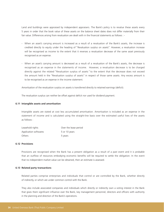Land and buildings were appraised by independent appraisers. The Bank's policy is to revalue these assets every 5 years in order that the book value of these assets on the balance sheet dates does not differ materially from their fair value. Differences arising from revaluation are dealt with in the financial statements as follows : -

- When an asset's carrying amount is increased as a result of a revaluation of the Bank's assets, the increase is credited directly to equity under the heading of "Revaluation surplus on assets". However, a revaluation increase will be recognised as income to the extent that it reverses a revaluation decrease of the same asset previously recognised as an expense.
- When an asset's carrying amount is decreased as a result of a revaluation of the Bank's assets, the decrease is recognised as an expense in the statements of income. However, a revaluation decrease is to be charged directly against the related "Revaluation surplus of assets" to the extent that the decrease does not exceed the amount held in the "Revaluation surplus of assets" in respect of those same assets. Any excess amount is to be recognised as an expense in the income statement.

Amortisation of the revaluation surplus on assets is transferred directly to retained earnings (deficit).

The revaluation surplus can neither be offset against deficit nor used for dividend payment.

### **6.11 Intangible assets and amortisation**

Intangible assets are stated at cost less accumulated amortisation. Amortisation is included as an expense in the statement of income and is calculated using the straight-line basis over the estimated useful lives of the assets as follows :

| Leasehold rights      | Over the lease period |
|-----------------------|-----------------------|
| Application softwares | 5 or 10 years         |
| <b>Others</b>         | 5 years               |

### **6.12 Provisions**

Provisions are recognised when the Bank has a present obligation as a result of a past event and it is probable that an outflow of resources embodying economic benefits will be required to settle the obligation. In the event that no independent market value can be obtained, then an estimate is assessed.

### **6.13 Related party transactions**

Related parties comprise enterprises and individuals that control or are controlled by the Bank, whether directly of indirectly, or which are under common control with the Bank.

They also include associated companies and individuals which directly or indirectly own a voting interest in the Bank that gives them significant influence over the Bank, key management personnel, directors and officers with authority in the planning and direction of the Bank's operations.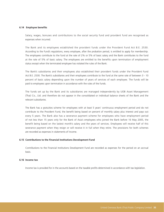#### **6.14 Employee benefits**

Salary, wages, bonuses and contributions to the social security fund and provident fund are recognised as expenses when incurred.

The Bank and its employees established the provident funds under the Provident Fund Act B.E. 2530. According to the Fund's regulations, every employee, after the probation period, is entitled to apply for membership. The employees contribute to the fund at the rate of 2% or 5% of basic salary and the Bank contributes to the fund at the rate of 5% of basic salary. The employees are entitled to the benefits upon termination of employment status except when the terminated employee has violated the rules of the Bank.

The Bank's subsidiaries and their employees also established their provident funds under the Provident Fund Act B.E. 2530. The Bank's subsidiaries and their employees contribute to the fund at the same rate of between 3 - 10 percent of basic salary depending upon the number of years of services of each employee. The funds will be paid to employees upon termination in accordance with the rules of the funds.

The funds set up by the Bank and its subsidiaries are managed independently by UOB Asset Management (Thai) Co., Ltd. and therefore do not appear in the consolidated or individual balance sheets of the Bank and the relevant subsidiaries.

The Bank has a gratuities scheme for employees with at least 5 years' continuous employment period and do not contribute to the Provident Fund, the benefit being based on percent of monthly salary plus interest and pays out every 5 years. The Bank also has a severance payment scheme for employees who have employment period of not less than 15 years only for the Bank of Asia's employees who joined the Bank before 16 May 2005, the benefit being based on the lastest month's salary and the years of services. Employees will receive half of this severance payment when they resign or will receive it in full when they retire. The provisions for both schemes are recorded as expenses in statements of income.

#### **6.15 Contributions to the Financial Institutions Development Fund**

Contributions to the Financial Institutions Development Fund are recorded as expenses for the period on an accrual basis.

#### **6.16 Income tax**

Income tax is provided for in the accounts based on the taxable profits determined in accordance with tax legislation.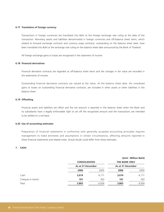#### **6.17 Translation of foreign currency**

Transactions in foreign currencies are translated into Baht at the foreign exchange rate ruling at the date of the transaction. Monetary assets and liabilities denominated in foreign currencies and off-balance sheet items, which related to forward exchange contracts and currency swap contracts, outstanding on the balance sheet date, have been translated into Baht at the exchange rate ruling on the balance sheet date announced by the Bank of Thailand.

All foreign exchange gains or losses are recognised in the statement of income.

### **6.18 Financial derivatives**

Financial derivative contracts are regarded as off-balance sheet items and the changes in fair value are recorded in the statements of income.

Outstanding financial derivative contracts are valued at fair value. At the balance sheet date, the unrealised gains or losses on outstanding financial derivative contracts, are included in other assets or other liabilities in the balance sheet.

#### **6.19 Offsetting**

Financial assets and liabilities are offset and the net amount is reported in the balance sheet when the Bank and its subsidiaries have a legally enforceable right to set off the recognised amount and the transactions are intended to be settled on a net basis.

#### **6.20 Use of accounting estimates**

Preparation of financial statements in conformity with generally accepted accounting principles requires management to make estimates and assumptions in certain circumstances, affecting amounts reported in these financial statements and related notes. Actual results could differ from these estimates.

#### **7. CASH**

|                    |                     |                   |                      | (Unit: Million Baht) |
|--------------------|---------------------|-------------------|----------------------|----------------------|
|                    | <b>CONSOLIDATED</b> |                   | <b>THE BANK ONLY</b> |                      |
|                    |                     | As at 31 December |                      | As at 31 December    |
|                    | 2006                | 2005              | 2006                 | 2005                 |
| Cash               | 3,674               | 4,171             | 3,674                | 4,171                |
| Cheques in transit | 191                 | 763               | 191                  | 763                  |
| Total              | 3,865               | 4,934             | 3,865                | 4,934                |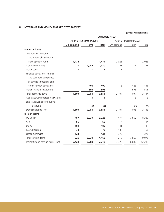## **8. INTERBANK AND MONEY MARKET ITEMS (ASSETS)**

|                                                         |           | As at 31 December 2006 |              |           | As at 31 December 2005 |        |
|---------------------------------------------------------|-----------|------------------------|--------------|-----------|------------------------|--------|
|                                                         | On demand | <b>Term</b>            | <b>Total</b> | On demand | Term                   | Total  |
| <b>Domestic items</b>                                   |           |                        |              |           |                        |        |
| The Bank of Thailand                                    |           |                        |              |           |                        |        |
| and Financial Institutions                              |           |                        |              |           |                        |        |
| Development Fund                                        | 1,474     |                        | 1,474        | 2,023     |                        | 2,023  |
| Commercial banks                                        | 28        | 1,052                  | 1,080        | 65        | 11                     | 76     |
| Other banks                                             | 1         |                        | 1            | 1         |                        | 1      |
| Finance companies, finance<br>and securities companies, |           |                        |              |           |                        |        |
| securities companies and                                |           |                        |              |           |                        |        |
| credit foncier companies                                |           | 400                    | 400          | 18        | 428                    | 446    |
| Other financial institutions                            |           | 598                    | 598          |           | 598                    | 598    |
| Total domestic items                                    | 1,503     | 2,050                  | 3,553        | 2,107     | 1,037                  | 3,144  |
| Add: Accrued interest receivables                       |           | 5                      | 5            |           | 3                      | 3      |
| Less: Allowance for doubtful                            |           |                        |              |           |                        |        |
| accounts                                                |           | (5)                    | (5)          |           | (4)                    | (4)    |
| Domestic items - net                                    | 1,503     | 2,050                  | 3,553        | 2,107     | 1,036                  | 3,143  |
| <b>Foreign items</b>                                    |           |                        |              |           |                        |        |
| US Dollar                                               | 487       | 3,239                  | 3,726        | 474       | 7,863                  | 8,337  |
| Yen                                                     | 65        |                        | 65           | 114       |                        | 114    |
| <b>EURO</b>                                             | 180       |                        | 180          | 141       |                        | 141    |
| Pound sterling                                          | 70        |                        | 70           | 106       |                        | 106    |
| Other currencies                                        | 124       |                        | 124          | 378       |                        | 378    |
| Total foreign items                                     | 926       | 3,239                  | 4,165        | 1,213     | 7,863                  | 9,076  |
| Domestic and foreign items - net                        | 2,429     | 5,289                  | 7,718        | 3,320     | 8,899                  | 12,219 |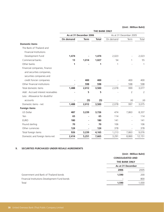|                                   | <b>THE BANK ONLY</b> |                        |              |           |                        |        |
|-----------------------------------|----------------------|------------------------|--------------|-----------|------------------------|--------|
|                                   |                      | As at 31 December 2006 |              |           | As at 31 December 2005 |        |
|                                   | On demand            | <b>Term</b>            | <b>Total</b> | On demand | Term                   | Total  |
| <b>Domestic items</b>             |                      |                        |              |           |                        |        |
| The Bank of Thailand and          |                      |                        |              |           |                        |        |
| <b>Financial Institutions</b>     |                      |                        |              |           |                        |        |
| Development Fund                  | 1,474                |                        | 1,474        | 2,023     |                        | 2,023  |
| Commercial banks                  | 13                   | 1,014                  | 1,027        | 54        | $\mathbf{1}$           | 55     |
| Other banks                       | 1                    |                        | 1            | 1         |                        | 1      |
| Financial companies, finance      |                      |                        |              |           |                        |        |
| and securities companies,         |                      |                        |              |           |                        |        |
| securities companies and          |                      |                        |              |           |                        |        |
| credit foncier companies          |                      | 400                    | 400          |           | 400                    | 400    |
| Other financial institutions      |                      | 598                    | 598          |           | 598                    | 598    |
| Total domestic items              | 1,488                | 2,012                  | 3,500        | 2,078     | 999                    | 3,077  |
| Add: Accrued interest receivables |                      | 5                      | 5            |           | $\overline{2}$         | 2      |
| Less: Allowance for doubtful      |                      |                        |              |           |                        |        |
| accounts                          |                      | (5)                    | (5)          |           | (4)                    | (4)    |
| Domestic items - net              | 1,488                | 2,012                  | 3,500        | 2,078     | 997                    | 3,075  |
| <b>Foreign items</b>              |                      |                        |              |           |                        |        |
| US Dollar                         | 487                  | 3,239                  | 3,726        | 474       | 7,863                  | 8,337  |
| Yen                               | 65                   |                        | 65           | 114       |                        | 114    |
| <b>EURO</b>                       | 180                  |                        | 180          | 141       |                        | 141    |
| Pound sterling                    | 70                   |                        | 70           | 106       |                        | 106    |
| Other currencies                  | 124                  |                        | 124          | 378       |                        | 378    |
| Total foreign items               | 926                  | 3,239                  | 4,165        | 1,213     | 7,863                  | 9,076  |
| Domestic and foreign items-net    | 2,414                | 5,251                  | 7,665        | 3,291     | 8,860                  | 12,151 |
|                                   |                      |                        |              |           |                        |        |

### **9. SECURITIES PURCHASED UNDER RESALE AGREEMENTS**

|                                               |                                                 | (Unit: Million Baht) |  |
|-----------------------------------------------|-------------------------------------------------|----------------------|--|
|                                               | <b>CONSOLIDATED AND</b><br><b>THE BANK ONLY</b> |                      |  |
|                                               |                                                 |                      |  |
|                                               | As at 31 December                               |                      |  |
|                                               | 2006                                            | 2005                 |  |
| Government and Bank of Thailand bonds         | 1,590                                           | 200                  |  |
| Financial Institutions Development Fund bonds |                                                 | 800                  |  |
| Total                                         | 1,590                                           | 1,000                |  |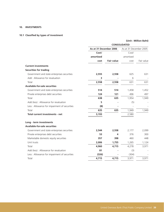### **10. INVESTMENTS**

## **10.1 Classified by types of investment**

|                                               | <b>CONSOLIDATED</b>    |                   |                        |            |
|-----------------------------------------------|------------------------|-------------------|------------------------|------------|
|                                               | As at 31 December 2006 |                   | As at 31 December 2005 |            |
|                                               | Cost/                  |                   | Cost/                  |            |
|                                               | amortised              |                   | amortised              |            |
|                                               | cost                   | <b>Fair value</b> | cost                   | Fair value |
| <b>Current investments</b>                    |                        |                   |                        |            |
| <b>Securities for trading</b>                 |                        |                   |                        |            |
| Government and state enterprises securities   | 2,555                  | 2,558             | 625                    | 631        |
| Add: Allowance for revaluation                | 3                      |                   | 6                      |            |
| Total                                         | 2,558                  | 2,558             | 631                    | 631        |
| <b>Available-for-sale securities</b>          |                        |                   |                        |            |
| Government and state enterprises securities   | 514                    | 514               | 1,458                  | 1,452      |
| Private enterprises debt securities           | 124                    | 121               | 496                    | 497        |
| Total                                         | 638                    | 635               | 1,954                  | 1,949      |
| Add (less) : Allowance for revaluation        | 5                      |                   | (5)                    |            |
| Less: Allowance for impairment of securities  | (8)                    |                   |                        |            |
| Total                                         | 635                    | 635               | 1,949                  | 1,949      |
| Total current investments - net               | 3,193                  |                   | 2,580                  |            |
| Long - term investments                       |                        |                   |                        |            |
| <b>Available-for-sale securities</b>          |                        |                   |                        |            |
| Government and state enterprises securities   | 2,544                  | 2,558             | 2,177                  | 2,099      |
| Private enterprises debt securities           | 53                     | 4                 | 376                    | 300        |
| Marketable domestic equity securities         | 357                    | 398               | 460                    | 448        |
| Unit trusts                                   | 2,006                  | 1,755             | 1,265                  | 1,124      |
| Total                                         | 4,960                  | 4,715             | 4,278                  | 3,971      |
| Add (less) : Allowance for revaluation        | 81                     |                   | (3)                    |            |
| Less : Allowance for impairment of securities | (326)                  |                   | (304)                  |            |
| Total                                         | 4,715                  | 4,715             | 3,971                  | 3,971      |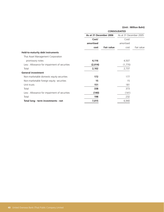|                                              | <b>CONSOLIDATED</b>    |                   |                        |            |  |
|----------------------------------------------|------------------------|-------------------|------------------------|------------|--|
|                                              | As at 31 December 2006 |                   | As at 31 December 2005 |            |  |
|                                              | Cost/                  |                   | Cost/                  |            |  |
|                                              | amortised              |                   | amortised              |            |  |
|                                              | cost                   | <b>Fair value</b> | cost                   | Fair value |  |
| <b>Held-to-maturity debt instruments</b>     |                        |                   |                        |            |  |
| Thai Asset Management Corporation            |                        |                   |                        |            |  |
| promissory notes                             | 4,116                  |                   | 4,507                  |            |  |
| Less: Allowance for impairment of securities | (2,014)                |                   | (1,770)                |            |  |
| Total                                        | 2,102                  |                   | 2,737                  |            |  |
| <b>General investment</b>                    |                        |                   |                        |            |  |
| Non-marketable domestic equity securities    | 172                    |                   | 177                    |            |  |
| Non-marketable foreign equity securities     | 15                     |                   | 15                     |            |  |
| Unit trusts                                  | 151                    |                   | 181                    |            |  |
| Total                                        | 338                    |                   | 373                    |            |  |
| Less: Allowance for impairment of securities | (140)                  |                   | (141)                  |            |  |
| Total                                        | 198                    |                   | 232                    |            |  |
| Total long - term investments - net          | 7,015                  |                   | 6,940                  |            |  |
|                                              |                        |                   |                        |            |  |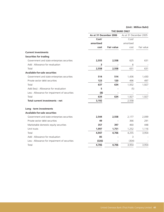|                                               |                        |                   | <b>THE BANK ONLY</b>   |            |
|-----------------------------------------------|------------------------|-------------------|------------------------|------------|
|                                               | As at 31 December 2006 |                   | As at 31 December 2005 |            |
|                                               | Cost/                  |                   | Cost/                  |            |
|                                               | amortised              |                   | amortised              |            |
|                                               | cost                   | <b>Fair value</b> | cost                   | Fair value |
| <b>Current investments</b>                    |                        |                   |                        |            |
| <b>Securities for trading</b>                 |                        |                   |                        |            |
| Government and state enterprises securities   | 2,555                  | 2,558             | 625                    | 631        |
| Add: Allowance for revaluation                | 3                      |                   | 6                      |            |
| Total                                         | 2,558                  | 2,558             | 631                    | 631        |
| <b>Available-for-sale securities</b>          |                        |                   |                        |            |
| Government and state enterprises securities   | 514                    | 514               | 1,436                  | 1,430      |
| Private sector debt securities                | 123                    | 120               | 496                    | 497        |
| Total                                         | 637                    | 634               | 1,932                  | 1,927      |
| Add (less) : Allowance for revaluation        | 5                      |                   | (5)                    |            |
| Less : Allowance for impairment of securities | (8)                    |                   |                        |            |
| Total                                         | 634                    | 634               | 1,927                  | 1,927      |
| Total current investments - net               | 3,192                  |                   | 2,558                  |            |
| Long - term investments                       |                        |                   |                        |            |
| <b>Available-for-sale securities</b>          |                        |                   |                        |            |
| Government and state enterprises securities   | 2,544                  | 2,558             | 2,177                  | 2,099      |
| Private sector debt securities                | 49                     |                   | 366                    | 291        |
| Marketable domestic equity securities         | 357                    | 397               | 460                    | 448        |
| Unit trusts                                   | 1,997                  | 1,751             | 1,252                  | 1,116      |
| Total                                         | 4,947                  | 4,706             | 4,255                  | 3,954      |
| Add: Allowance for revaluation                | 85                     |                   | 3                      |            |
| Less : Allowance for impairment of securities | (326)                  |                   | (304)                  |            |
| Total                                         | 4,706                  | 4,706             | 3,954                  | 3,954      |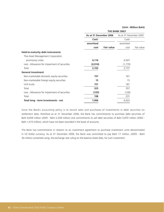|                                              | <b>THE BANK ONLY</b>   |                   |                        |            |  |
|----------------------------------------------|------------------------|-------------------|------------------------|------------|--|
|                                              | As at 31 December 2006 |                   | As at 31 December 2005 |            |  |
|                                              | Cost/                  |                   | Cost/                  |            |  |
|                                              | amortised              |                   | amortised              |            |  |
|                                              | cost                   | <b>Fair value</b> | cost                   | Fair value |  |
| <b>Held-to-maturity debt instruments</b>     |                        |                   |                        |            |  |
| Thai Asset Management Corporation            |                        |                   |                        |            |  |
| promissory notes                             | 4,116                  |                   | 4,507                  |            |  |
| Less: Allowance for impairment of securities | (2,014)                |                   | (1,770)                |            |  |
| Total                                        | 2,102                  |                   | 2,737                  |            |  |
| <b>General investment</b>                    |                        |                   |                        |            |  |
| Non-marketable domestic equity securities    | 157                    |                   | 161                    |            |  |
| Non-marketable foreign equity securities     | 15                     |                   | 15                     |            |  |
| Unit trusts                                  | 151                    |                   | 181                    |            |  |
| Total                                        | 323                    |                   | 357                    |            |  |
| Less: Allowance for impairment of securities | (125)                  |                   | (126)                  |            |  |
| Total                                        | 198                    |                   | 231                    |            |  |
| Total long - term investments - net          | 7,006                  |                   | 6,922                  |            |  |
|                                              |                        |                   |                        |            |  |

Since the Bank's accounting policy is to record sales and purchases of investments in debt securities on settlement date, therefore as at 31 December 2006, the Bank has commitments to purchase debt securities of Baht 8,659 million (2005 : Baht 2,328 million) and commitments to sell debt securities of Baht 5,870 million (2005 : Baht 1,473 million), which have not been recorded in the book of accounts.

The Bank has commitments in relation to an investment agreement to purchase investment units denominated in US Dollar currency. As at 31 December 2006, the Bank was committed to pay Baht 17 million, (2005 : Baht 30 million) converted using, the exchange rate ruling on the balance sheet date, for such investment.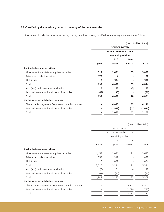### **10.2 Classified by the remaining period to maturity of the debt securities**

Investments in debt instruments, excluding trading debt instruments, classified by remaining maturities are as follows :

# **(Unit : Million Baht) CONSOLIDATED As at 31 December 2006 remaining within 1 - 5 Over 1 year years 5 years Total Available-for-sale securities** Government and state enterprises securities **514 2,461 83 3,058** Private sector debt securities **173** 173 **4** - 177 Unit trusts **5 1,574 - 1,579** Total **692 4,039 83 4,814** Add (less) : Allowance for revaluation **5** 53 (5) 53 Less : Allowance for impairment of securities **(63) (3) - (66)** Total **634 4,089 78 4,801 Held-to-maturity debt instruments** Thai Asset Management Corporation promissory notes **- 4,033** 83 4,116 Less : Allowance for impairment of securities **- (1,973) (41) (2,014)** Total **- 2,060 42 2,102**

|                                                    | CONSOLIDATED<br>As at 31 December 2005 |         |         |         |  |
|----------------------------------------------------|----------------------------------------|---------|---------|---------|--|
|                                                    |                                        |         |         |         |  |
|                                                    | remaining within                       |         |         |         |  |
|                                                    |                                        | $1 - 5$ | Over    |         |  |
|                                                    | 1 year                                 | years   | 5 years | Total   |  |
| Available-for-sale securities                      |                                        |         |         |         |  |
| Government and state enterprises securities        | 1,458                                  | 2,086   | 91      | 3,635   |  |
| Private sector debt securities                     | 553                                    | 319     |         | 872     |  |
| Unit trusts                                        | 5                                      | 829     |         | 834     |  |
| Total                                              | 2,016                                  | 3,234   | 91      | 5,341   |  |
| Add (less): Allowance for revaluation              | (6)                                    | 54      | (6)     | 42      |  |
| Less : Allowance for impairment of securities      | (63)                                   | (11)    |         | (74)    |  |
| Total                                              | 1,947                                  | 3,277   | 85      | 5,309   |  |
| <b>Held-to-maturity debt instruments</b>           |                                        |         |         |         |  |
| Thai Asset Management Corporation promissory notes |                                        |         | 4,507   | 4,507   |  |
| Less : Allowance for impairment of securities      |                                        |         | (1,770) | (1,770) |  |
| Total                                              |                                        |         | 2,737   | 2,737   |  |
|                                                    |                                        |         |         |         |  |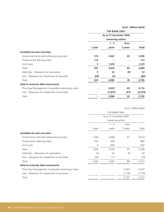|                                                    | <b>THE BANK ONLY</b><br>As at 31 December 2006 |          |         |              |  |
|----------------------------------------------------|------------------------------------------------|----------|---------|--------------|--|
|                                                    |                                                |          |         |              |  |
|                                                    | remaining within                               |          |         |              |  |
|                                                    |                                                | $1 - 5$  | Over    |              |  |
|                                                    | 1 year                                         | years    | 5 years | <b>Total</b> |  |
| <b>Available-for-sale securities</b>               |                                                |          |         |              |  |
| Government and state enterprises securities        | 514                                            | 2,461    | 83      | 3,058        |  |
| Private sector debt securities                     | 172                                            |          |         | 172          |  |
| Unit trusts                                        | 5                                              | 1,574    |         | 1,579        |  |
| Total                                              | 691                                            | 4,035    | 83      | 4,809        |  |
| Add (less) : Allowance for revaluation             | 5                                              | 53       | (5)     | 53           |  |
| Less: Allowance for impairment of securities       | (63)                                           | (3)      |         | (66)         |  |
| Total                                              | 633                                            | 4,085    | 78      | 4,796        |  |
| <b>Held-to-maturity debt instruments</b>           |                                                |          |         |              |  |
| Thai Asset Management Corporation promissory notes |                                                | 4,033    | 83      | 4,116        |  |
| Less : Allowance for impairment of securities      |                                                | (1, 973) | (41)    | (2,014)      |  |
| Total                                              |                                                | 2,060    | 42      | 2,102        |  |
|                                                    |                                                |          |         |              |  |

|                                                    | THE BANK ONLY<br>As at 31 December 2005 |                  |         |         |  |
|----------------------------------------------------|-----------------------------------------|------------------|---------|---------|--|
|                                                    |                                         |                  |         |         |  |
|                                                    |                                         | remaining within |         |         |  |
|                                                    |                                         | $1 - 5$          | Over    |         |  |
|                                                    | 1 year                                  | years            | 5 years | Total   |  |
| Available-for-sale securities                      |                                         |                  |         |         |  |
| Government and state enterprises securities        | 1,436                                   | 2,086            | 91      | 3,613   |  |
| Private sector debt securities                     | 553                                     | 309              |         | 862     |  |
| Unit trusts                                        | 5                                       | 829              |         | 834     |  |
| Total                                              | 1,994                                   | 3,224            | 91      | 5,309   |  |
| Add (less) : Allowance for revaluation             | (6)                                     | 54               | (6)     | 42      |  |
| Less: Allowance for impairment of securities       | (63)                                    | (11)             |         | (74)    |  |
| Total                                              | 1,925                                   | 3,267            | 85      | 5,277   |  |
| <b>Held-to-maturity debt instruments</b>           |                                         |                  |         |         |  |
| Thai Asset Management Corporation promissory notes |                                         |                  | 4,507   | 4,507   |  |
| Less: Allowance for impairment of securities       |                                         |                  | (1,770) | (1,770) |  |
| Total                                              |                                         |                  | 2,737   | 2,737   |  |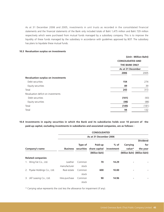As at 31 December 2006 and 2005, investments in unit trusts as recorded in the consolidated financial statements and the financial statements of the Bank only included totals of Baht 1,475 million and Baht 729 million respectively which were purchased from mutual funds managed by a subsidiary company. This is to improve the liquidity of these funds managed by the subsidiary in accordance with guidelines approved by BOT. The subsidiary has plans to liquidate these mutual funds.

### **10.3 Revaluation surplus on investments**

|                                           | (Unit: Million Baht)                                                 |       |
|-------------------------------------------|----------------------------------------------------------------------|-------|
|                                           | <b>CONSOLIDATED AND</b><br><b>THE BANK ONLY</b><br>As at 31 December |       |
|                                           |                                                                      |       |
|                                           |                                                                      |       |
|                                           | 2006                                                                 | 2005  |
| <b>Revaluation surplus on investments</b> |                                                                      |       |
| Debt securities                           | 154                                                                  | 274   |
| Equity securities                         | 89                                                                   | 39    |
| Total                                     | 243                                                                  | 313   |
| Revaluation deficit on investments        |                                                                      |       |
| Debt securities                           | (101)                                                                | (93)  |
| Equity securities                         | (48)                                                                 | (88)  |
| Total                                     | (149)                                                                | (181) |
| Total                                     | 94                                                                   | 132   |
|                                           |                                                                      |       |

**10.4 Investments in equity securities in which the Bank and its subsidiaries holds over 10 percent of the paid-up capital, excluding investments in subsidiaries and associated companies, are as follows :**

|                               |                 |         | <b>CONSOLIDATED</b>      |            |          |                               |
|-------------------------------|-----------------|---------|--------------------------|------------|----------|-------------------------------|
|                               |                 |         | As at 31 December 2006   |            |          |                               |
|                               |                 |         |                          |            |          | <b>Dividend</b>               |
|                               |                 | Type of | Paid-up                  | $%$ of     | Carrying | for                           |
| Company's name                | <b>Business</b> |         | securities share capital | investment | value*   | the year                      |
|                               |                 |         | (Million Baht)           |            |          | (Million Baht) (Million Baht) |
| <b>Related companies</b>      |                 |         |                          |            |          |                               |
| 1. Wing Fat Co., Ltd.         | Leather         | Common  | 70                       | 14.29      | ٠        |                               |
|                               | manufacturer    | stock   |                          |            |          |                               |
| 2. Piyalai Holdings Co., Ltd. | Real estate     | Common  | 600                      | 10.00      | ٠        |                               |
|                               |                 | stock   |                          |            |          |                               |
| JAT Leasing Co., Ltd.<br>3.   | Hire-purchase   | Common  | 90                       | 14.96      | ۰        |                               |
|                               |                 | stock   |                          |            |          |                               |
|                               |                 |         |                          |            |          |                               |

\* Carrying value represents the cost less the allowance for impairment (if any).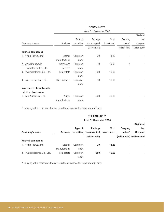|                                 |                 |            | CONSOLIDATED           |            |                |                |
|---------------------------------|-----------------|------------|------------------------|------------|----------------|----------------|
|                                 |                 |            | As at 31 December 2005 |            |                |                |
|                                 |                 |            |                        |            |                | Dividend       |
|                                 |                 | Type of    | Paid-up                | $%$ of     | Carrying       | for            |
| Company's name                  | <b>Business</b> | securities | share capital          | investment | value*         | the year       |
|                                 |                 |            | (Million Baht)         |            | (Million Baht) | (Million Baht) |
| <b>Related companies</b>        |                 |            |                        |            |                |                |
| 1. Wing Fat Co., Ltd.           | Leather         | Common     | 70                     | 14.29      |                |                |
|                                 | manufacturer    | stock      |                        |            |                |                |
| 2. Asia Dhanavadh               | Warehouse       | Common     | 30                     | 13.33      | $\overline{4}$ |                |
| Warehouse Co., Ltd.             | services        | stock      |                        |            |                |                |
| 3. Piyalai Holdings Co., Ltd.   | Real estate     | Common     | 600                    | 10.00      |                |                |
|                                 |                 | stock      |                        |            |                |                |
| 4. JAT Leasing Co., Ltd.        | Hire-purchase   | Common     | 90                     | 10.00      |                |                |
|                                 |                 | stock      |                        |            |                |                |
| <b>Investments from trouble</b> |                 |            |                        |            |                |                |
| debt restructuring              |                 |            |                        |            |                |                |
| 1. N.Y. Sugar Co., Ltd.         | Sugar           | Common     | 900                    | 30.00      |                |                |
|                                 | manufacturer    | stock      |                        |            |                |                |

\* Carrying value represents the cost less the allowance for impairment (if any).

|    |                            |                               |         | <b>THE BANK ONLY</b>     |        |          |                               |
|----|----------------------------|-------------------------------|---------|--------------------------|--------|----------|-------------------------------|
|    |                            |                               |         | As at 31 December 2006   |        |          |                               |
|    |                            |                               |         |                          |        |          | <b>Dividend</b>               |
|    |                            |                               | Type of | Paid-up                  | $%$ of | Carrying | for                           |
|    | Company's name             | <b>Business</b><br>securities |         | share capital investment |        | value*   | the year                      |
|    |                            |                               |         | (Million Baht)           |        |          | (Million Baht) (Million Baht) |
|    | <b>Related companies</b>   |                               |         |                          |        |          |                               |
|    | 1. Wing Fat Co., Ltd.      | Leather                       | Common  | 70                       | 14.29  | ۰        |                               |
|    |                            | manufacturer                  | stock   |                          |        |          |                               |
| 2. | Piyalai Holdings Co., Ltd. | Real estate                   | Common  | 600                      | 10.00  | ۰        |                               |
|    |                            |                               | stock   |                          |        |          |                               |

\* Carrying value represents the cost less the allowance for impairment (if any).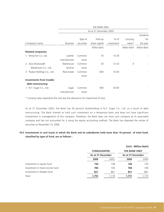|                               |                 |            | THE BANK ONLY          |            |                |                |
|-------------------------------|-----------------|------------|------------------------|------------|----------------|----------------|
|                               |                 |            | As at 31 December 2005 |            |                |                |
|                               |                 |            |                        |            |                | Dividend       |
|                               |                 | Type of    | Paid-up                | $%$ of     | Carrying       | for            |
| Company's name                | <b>Business</b> | securities | share capital          | investment | value*         | the year       |
|                               |                 |            | (Million Baht)         |            | (Million Baht) | (Million Baht) |
| <b>Related companies</b>      |                 |            |                        |            |                |                |
| 1. Wing Fat Co., Ltd.         | Leather         | Common     | 70                     | 14.29      |                |                |
|                               | manufacturer    | stock      |                        |            |                |                |
| 2. Asia Dhanavadh             | Warehouse       | Common     | 30                     | 13.33      | 4              |                |
| Warehouse Co., Ltd.           | services        | stock      |                        |            |                |                |
| 3. Piyalai Holdings Co., Ltd. | Real estate     | Common     | 600                    | 10.00      |                |                |
|                               |                 | stock      |                        |            |                |                |
| Investments from trouble      |                 |            |                        |            |                |                |
| debt restructuring            |                 |            |                        |            |                |                |
| 1. N.Y. Sugar Co., Ltd.       | Sugar           | Common     | 900                    | 30.00      |                |                |
|                               | manufacturer    | stock      |                        |            |                |                |

\* Carrying value represents the cost less the allowance for impairment (if any).

As at 31 December 2005, the Bank has 30 percent shareholding in N.Y. Sugar Co., Ltd. as a result of debt restructuring. The Bank intends to hold such investment on a temporary basis and does not have significant involvement in management of this company. Therefore, the Bank does not treat such company as its associated company and has not accounted for it using the equity accounting method. The Bank has disposed the whole of securities on November 15, 2006.

## **10.5 Investments in unit trusts in which the Bank and its subsidiaries hold more than 10 percent of total fund, classified by type of fund, are as follows :**

|                                 |                     |       |                      | (Unit: Million Baht) |
|---------------------------------|---------------------|-------|----------------------|----------------------|
|                                 | <b>CONSOLIDATED</b> |       | <b>THE BANK ONLY</b> |                      |
|                                 | As at 31 December   |       | As at 31 December    |                      |
|                                 | 2006                | 2005  | 2006                 | 2005                 |
| Investment in equity fund       | 150                 | 158   | 146                  | 154                  |
| Investment in fixed income fund | 784                 | 100   | 784                  | 100                  |
| Investment in flexible fund     | 821                 | 861   | 821                  | 861                  |
| Total                           | 1,755               | 1.119 | 1,751                | 1.115                |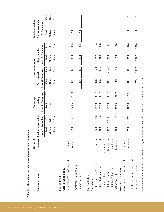|                                  | Nature of    |                       |         | Percentage        |       |                   | Investment value |                   |               | Dividend received  |         |
|----------------------------------|--------------|-----------------------|---------|-------------------|-------|-------------------|------------------|-------------------|---------------|--------------------|---------|
| Company's name                   | business     | Paid-up share capital |         | of Holding        |       | Cost method       |                  | Equity method     |               | For the year ended |         |
|                                  |              | As at 31 December     |         | As at 31 December |       | As at 31 December |                  | As at 31 December |               | 31 December        |         |
|                                  |              | 2006                  | 2005    | 2006              | 2005  | 2006              | 2005             | 2006              | 2005          | 2006               | 2005    |
|                                  |              | Million               | Million | $\%$              | $\%$  | Million           | Million          | Million           | Million       | Million            | Million |
|                                  |              | Baht                  | Baht    |                   |       | Baht              | Baht             | <b>Baht</b>       | Baht          | <b>Baht</b>        | Baht    |
| Consolidated                     |              |                       |         |                   |       |                   |                  |                   |               |                    |         |
| Associated company               |              |                       |         |                   |       |                   |                  |                   |               |                    |         |
| AXA Insurance Public Co., Ltd.   | Non-life     |                       |         |                   |       |                   |                  |                   |               |                    |         |
|                                  | insurance    | 353                   | 353     | 22.06             | 22.06 | 121               | 121              | 134               | 126           | $\mathbf{r}$       |         |
| Investments in associated        |              |                       |         |                   |       |                   |                  |                   |               |                    |         |
| $company - net$                  |              |                       |         |                   |       | 121               | 121              | 134               | 126           | $\overline{1}$     |         |
| The Bank Only                    |              |                       |         |                   |       |                   |                  |                   |               |                    |         |
| Subsidiaries                     |              |                       |         |                   |       |                   |                  |                   |               |                    |         |
| UOB Leasing (Thai) Co., Ltd.     | Leasing      | 320                   | 320     | 99.99             | 99.99 | 320               | 320              | 657               | 556           |                    |         |
| <b>UOB Asset Management</b>      | Fund         | 100                   | 100     | 99.99             | 99.99 | 136               | 136              | 188               | 168           |                    |         |
| (Thai) Co., Ltd.                 | management   |                       |         |                   |       |                   |                  |                   |               |                    |         |
| UOB Radanasin Plc.               | Liquidation  | 5,417                 | 12,847  | 99.99             | 99.99 | 111               | $7,541*$         | 110               | 7,542         |                    |         |
| <b>UOB Bullion &amp; Futures</b> | Future Index |                       |         |                   |       |                   |                  |                   |               |                    |         |
| (Thai) Co., Ltd.                 | brokerage    | 100                   | 25      | 75.00             | 74.99 | 75                | $\overline{0}$   | 73                | $\frac{8}{1}$ | ı                  |         |
| Associated company               |              |                       |         |                   |       |                   |                  |                   |               |                    |         |
| AXA Insurance Public Co., Ltd.   | Non-life     |                       |         |                   |       |                   |                  |                   |               |                    |         |
|                                  | insurance    | 353                   | 353     | 22.06             | 22.06 | 121               | 121              | 134               | 126           | $\mathbf{r}$       |         |
| Investments in subsidiaries and  |              |                       |         |                   |       |                   |                  |                   |               |                    |         |
|                                  |              |                       |         |                   |       |                   |                  |                   |               |                    |         |

\* The amount has been changed from Baht 16,700 million due to net off merger deficit of Baht 9,159 million. \* The amount has been changed from Baht 16,700 million due to net off merger deficit of Baht 9,159 million.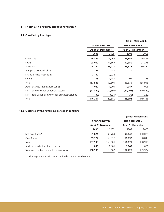## **11. LOANS AND ACCRUED INTEREST RECEIVABLE**

## **11.1 Classified by loan type**

|                                                    |                     |           |                      | (Unit: Million Baht) |
|----------------------------------------------------|---------------------|-----------|----------------------|----------------------|
|                                                    | <b>CONSOLIDATED</b> |           | <b>THE BANK ONLY</b> |                      |
|                                                    | As at 31 December   |           | As at 31 December    |                      |
|                                                    | 2006                | 2005      | 2006                 | 2005                 |
| Overdrafts                                         | 16,349              | 16,463    | 16,349               | 16,463               |
| Loans                                              | 93,039              | 91,367    | 92,950               | 91,278               |
| Trade bills                                        | 44,764              | 48,171    | 46,671               | 50,452               |
| Hire-purchase receivables                          | 166                 | 231       |                      |                      |
| Financial lease receivables                        | 2,109               | 2,228     |                      |                      |
| Others                                             | 1,116               | 1,141     | 709                  | 725                  |
| Total                                              | 157,543             | 159,601   | 156,679              | 158,918              |
| Add: accrued interest receivables                  | 1,040               | 1,001     | 1,047                | 1,006                |
| Less: allowance for doubtful accounts              | (11, 842)           | (10, 693) | (11, 705)            | (10, 559)            |
| Less: revaluation allowance for debt restructuring | (30)                | (229)     | (30)                 | (229)                |
| Total                                              | 146,711             | 149,680   | 145,991              | 149,136              |

## **11.2 Classified by the remaining periods of contracts**

|                                              |                     |         | (Unit: Million Baht) |         |  |
|----------------------------------------------|---------------------|---------|----------------------|---------|--|
|                                              | <b>CONSOLIDATED</b> |         | <b>THE BANK ONLY</b> |         |  |
|                                              | As at 31 December   |         | As at 31 December    |         |  |
|                                              | 2006                | 2005    | 2006                 | 2005    |  |
| Not over 1 year*                             | 91,821              | 99,764  | 90,647               | 100,075 |  |
| Over 1 year                                  | 65,722              | 59,837  | 66,032               | 58,843  |  |
| Total                                        | 157,543             | 159,601 | 156,679              | 158,918 |  |
| Add: accrued interest receivables            | 1,040               | 1,001   | 1.047                | 1,006   |  |
| Total loans and accrued interest receivables | 158,583             | 160,602 | 157,726              | 159,924 |  |

\* Including contracts without maturity date and expired contracts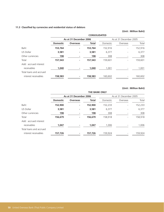## **11.3 Classified by currencies and residential status of debtors**

## **(Unit : Million Baht)**

|                         |                 |                        | <b>CONSOLIDATED</b> |          |                          |         |
|-------------------------|-----------------|------------------------|---------------------|----------|--------------------------|---------|
|                         |                 | As at 31 December 2006 |                     |          | As at 31 December 2005   |         |
|                         | <b>Domestic</b> | <b>Overseas</b>        | <b>Total</b>        | Domestic | Overseas                 | Total   |
| Baht                    | 153,764         | ٠                      | 153,764             | 152,916  | $\overline{\phantom{a}}$ | 152,916 |
| US Dollar               | 3,581           |                        | 3,581               | 6,377    |                          | 6,377   |
| Other currencies        | 198             |                        | 198                 | 308      |                          | 308     |
| Total                   | 157,543         | ۰                      | 157,543             | 159,601  | $\overline{\phantom{a}}$ | 159,601 |
| Add: accrued interest   |                 |                        |                     |          |                          |         |
| receivables             | 1,040           |                        | 1,040               | 1.001    |                          | 1,001   |
| Total loans and accrued |                 |                        |                     |          |                          |         |
| interest receivables    | 158,583         |                        | 158,583             | 160,602  |                          | 160,602 |

|                         | <b>THE BANK ONLY</b> |                        |              |          |                        |         |  |
|-------------------------|----------------------|------------------------|--------------|----------|------------------------|---------|--|
|                         |                      | As at 31 December 2006 |              |          | As at 31 December 2005 |         |  |
|                         | <b>Domestic</b>      | <b>Overseas</b>        | <b>Total</b> | Domestic | Overseas               | Total   |  |
| Baht                    | 152,900              | ۰                      | 152,900      | 152,233  | $\overline{a}$         | 152,233 |  |
| US Dollar               | 3,581                |                        | 3,581        | 6,377    |                        | 6,377   |  |
| Other currencies        | 198                  |                        | 198          | 308      |                        | 308     |  |
| Total                   | 156,679              | ۰                      | 156,679      | 158,918  |                        | 158,918 |  |
| Add: accrued interest   |                      |                        |              |          |                        |         |  |
| receivables             | 1,047                | ۰                      | 1,047        | 1,006    |                        | 1,006   |  |
| Total loans and accrued |                      |                        |              |          |                        |         |  |
| interest receivables    | 157,726              |                        | 157,726      | 159,924  |                        | 159,924 |  |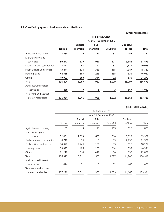## **11.4 Classified by types of business and classified loans**

|                               |               |                | <b>THE BANK ONLY</b>   |                 |                 |              |
|-------------------------------|---------------|----------------|------------------------|-----------------|-----------------|--------------|
|                               |               |                | As at 31 December 2006 |                 |                 |              |
|                               |               | <b>Special</b> | Sub-                   |                 | <b>Doubtful</b> |              |
|                               | <b>Normal</b> | mention        | standard               | <b>Doubtful</b> | of loss         | <b>Total</b> |
| Agriculture and mining        | 1,288         | 19             | 10                     | 53              | 751             | 2,121        |
| Manufacturing and             |               |                |                        |                 |                 |              |
| commerce                      | 50,277        | 379            | 960                    | 221             | 9,642           | 61,479       |
| Real estate and construction  | 7,171         | 43             | 92                     | 83              | 2,639           | 10,028       |
| Public utilities and services | 13,471        | 521            | 323                    | 365             | 1,047           | 15,727       |
| Housing loans                 | 44,365        | 585            | 223                    | 235             | 639             | 46,047       |
| Others                        | 19,922        | 360            | 344                    | 72              | 579             | 21,277       |
| Total                         | 136,494       | 1,907          | 1,952                  | 1,029           | 15,297          | 156,679      |
| Add: accrued interest         |               |                |                        |                 |                 |              |
| receivables                   | 460           | 9              | 8                      | 3               | 567             | 1,047        |
| Total loans and accrued       |               |                |                        |                 |                 |              |
| interest receivables          | 136,954       | 1,916          | 1,960                  | 1,032           | 15,864          | 157,726      |
|                               |               |                |                        |                 |                 |              |

|                               |         |         | THE BANK ONLY          |          |          |         |
|-------------------------------|---------|---------|------------------------|----------|----------|---------|
|                               |         |         | As at 31 December 2005 |          |          |         |
|                               |         | Special | Sub-                   |          | Doubtful |         |
|                               | Normal  | mention | standard               | Doubtful | of loss  | Total   |
| Agriculture and mining        | 1,139   | 3       | 13                     | 105      | 625      | 1,885   |
| Manufacturing and             |         |         |                        |          |          |         |
| commerce                      | 52,481  | 1,393   | 653                    | 610      | 8,822    | 63,959  |
| Real estate and construction  | 8,718   | 70      | 3                      | 13       | 2,795    | 11,599  |
| Public utilities and services | 14,372  | 2,746   | 259                    | 35       | 825      | 18,237  |
| Housing loans                 | 38,897  | 485     | 208                    | 214      | 537      | 40,341  |
| Others                        | 21,218  | 614     | 419                    | 50       | 596      | 22,897  |
| Total                         | 136,825 | 5,311   | 1,555                  | 1,027    | 14,200   | 158,918 |
| Add: accrued interest         |         |         |                        |          |          |         |
| receivables                   | 474     | 31      | 3                      | 32       | 466      | 1,006   |
| Total loans and accrued       |         |         |                        |          |          |         |
| interest receivables          | 137,299 | 5,342   | 1,558                  | 1,059    | 14,666   | 159,924 |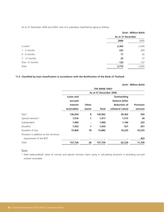As at 31 December 2006 and 2005, loan of a subsidiary classified by aging as follows :

|                 | (Unit: Million Baht) |                   |  |  |
|-----------------|----------------------|-------------------|--|--|
|                 |                      | As at 31 December |  |  |
|                 | 2006                 | 2005              |  |  |
| Current         | 2,363                | 2,545             |  |  |
| $1 - 3$ months  | 232                  | 204               |  |  |
| $4 - 6$ months  | 17                   | 42                |  |  |
| $7 - 12$ months | 25                   | 37                |  |  |
| Over 12 months  | 133                  | 137               |  |  |
| Total           | 2,770                | 2,965             |  |  |
|                 |                      |                   |  |  |

# **11.5 Classified by loan classification in accordance with the Notification of the Bank of Thailand**

|                                      |                        |             |              |                   | (Unit: Million Baht) |  |  |
|--------------------------------------|------------------------|-------------|--------------|-------------------|----------------------|--|--|
|                                      | <b>THE BANK ONLY</b>   |             |              |                   |                      |  |  |
|                                      | As at 31 December 2006 |             |              |                   |                      |  |  |
|                                      | Loans and              | Outstanding |              |                   |                      |  |  |
|                                      | accrued                |             |              | balance (after    |                      |  |  |
|                                      | interest               | Other       |              | deduction of      | <b>Provision</b>     |  |  |
|                                      | receivables            | claims      | <b>Total</b> | collateral value) | amount               |  |  |
| Pass*                                | 136,954                | 8           | 136,962      | 50,302            | 503                  |  |  |
| Special mention*                     | 1,916                  | 1           | 1,917        | 1,515             | 30                   |  |  |
| Substandard                          | 1,960                  |             | 1,960        | 1,166             | 233                  |  |  |
| Doubtful                             | 1,032                  | 1           | 1,033        | 521               | 261                  |  |  |
| Doubtful of loss                     | 15,864                 | 18          | 15,882       | 10,225            | 10,225               |  |  |
| Provision in addition to the minimum |                        |             |              |                   |                      |  |  |
| requirement of the BOT               |                        |             |              |                   | 453                  |  |  |
| Total                                | 157,726                | 28          | 157,754      | 63,729            | 11,705               |  |  |

Notes :

\* Debt balance/book value of normal and special mention loans using in calculating provision is excluding accrued interest receivable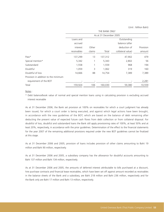|                                      | THE BANK ONLY |                |                        |                   |           |  |  |
|--------------------------------------|---------------|----------------|------------------------|-------------------|-----------|--|--|
|                                      |               |                | As at 31 December 2005 |                   |           |  |  |
|                                      | Loans and     | Outstanding    |                        |                   |           |  |  |
|                                      | accrued       | balance (after |                        |                   |           |  |  |
|                                      | interest      | Other          |                        | deduction of      | Provision |  |  |
|                                      | receivables   | claims         | Total                  | collateral value) | amount    |  |  |
| Pass*                                | 137,299       | 13             | 137,312                | 47,902            | 479       |  |  |
| Special mention*                     | 5,342         |                | 5,343                  | 2,802             | 56        |  |  |
| Substandard                          | 1,558         |                | 1,559                  | 968               | 194       |  |  |
| Doubtful                             | 1,059         | 3              | 1,062                  | 319               | 160       |  |  |
| Doubtful of loss                     | 14,666        | 88             | 14,754                 | 7,389             | 7,389     |  |  |
| Provision in addition to the minimum |               |                |                        |                   |           |  |  |
| requirement of the BOT               |               |                |                        |                   | 2,281     |  |  |
| Total                                | 159,924       | 106            | 160,030                | 59,380            | 10,559    |  |  |

Notes :

\* Debt balance/book value of normal and special mention loans using in calculating provision is excluding accrued interest receivable

As at 31 December 2006, the Bank set provision at 100% on receivables for which a court judgment has already been issued, for which a court order is being executed, and against which legal actions have been brought, in accordance with the new guidelines of the BOT, which are based on the balance of debt remaining after deducting the present value of expected future cash flows from debt collection or from collateral disposal. For doubtful of loss, doubtful and substandard loans the Bank still apply provisioning rates of 100%, at least 50% and at least 20%, respectively, in accordance with the prior guidelines. Determination of the effect to the financial statements for the year 2007 of the remaining additional provisions required under the new BOT guidelines cannot be finalized at this stage.

As at 31 December 2006 and 2005, provision of loans includes provision of other claims amounting to Baht 19 million and Baht 90 million, respectively.

As at 31 December 2006 and 2005, a subsidiary company has the allowance for doubtful accounts amounting to Baht 137 million and Baht 134 million, respectively.

As at 31 December 2006 and 2005, the amounts of deferred interest attributable to bills purchased at a discount, hire purchase contracts and financial lease receivables, which have been set off against amount recorded as receivables in the balance sheets of the Bank and a subsidiary, are Baht 218 million and Baht 236 million, respectively and for the Bank only are Baht 17 million and Baht 13 million, respectively.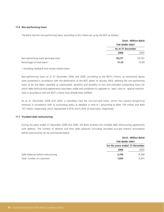#### **11.6 Non-performing loans**

The Bank had the non-performing loans, according to the criteria set up by the BOT as follows :

|                                       |                      | (Unit: Million Baht) |  |
|---------------------------------------|----------------------|----------------------|--|
|                                       | <b>THE BANK ONLY</b> |                      |  |
|                                       | As at 31 December    |                      |  |
|                                       | 2006                 | 2005                 |  |
| Non-performing loans (principal only) | 18,277               | 16,781               |  |
| Percentage of total loans*            | 11.55                | 10.49                |  |

\* Including interbank and money market loans.

Non-performing loans as at 31 December 2006 and 2005, according to the BOT's criteria, as mentioned above were presented in accordance with the Notification of the BOT dated 16 January 2003, defining the non-performing loans to be the debts classified as substandard, doubtful and doubtful of loss and excluded outstanding loans for which debt restructuring agreements have been made and conditions to upgrade to 'pass' class or ' special mention' class in accordance with the BOT's criteria have already been fulfilled.

As at 31 December 2006 and 2005, a subsidiary had the non-accrued loans, which has ceased recognizing revenues in accordance with its accounting policy as detailed in note 6.1 amounting to Baht 159 million and Baht 157 million, respectively, which represented 4.97% and 5.30% of total loans, respectively.

### **11.7 Troubled debt restructuring**

During the years ended 31 December 2006 and 2005, the Bank entered into troubled debt restructuring agreements with debtors. The number of debtors and their debt balances (including recorded accrued interest receivables) before restructuring can be summarised below.

|                                    | (Unit: Million Baht)<br><b>THE BANK ONLY</b> |       |  |
|------------------------------------|----------------------------------------------|-------|--|
|                                    |                                              |       |  |
|                                    | For the years ended 31 December              |       |  |
|                                    | 2006                                         | 2005  |  |
| Debt balances before restructuring | 3,795                                        | 6,306 |  |
| Total number of customers          | 1,055                                        | 4,341 |  |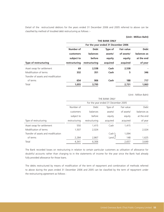Detail of the restructured debtors for the years ended 31 December 2006 and 2005 referred to above can be classified by method of troubled debt restructuring as follows :-

#### **(Unit : Million Baht)**

|                                     | <b>THE BANK ONLY</b>                |               |          |                   |             |  |  |  |
|-------------------------------------|-------------------------------------|---------------|----------|-------------------|-------------|--|--|--|
|                                     | For the year ended 31 December 2006 |               |          |                   |             |  |  |  |
|                                     | Number of                           | <b>Debt</b>   | Type of  | <b>Fair value</b> | <b>Debt</b> |  |  |  |
|                                     | customers                           | balances      | assets/  | of assets/        | balances as |  |  |  |
|                                     | subject to                          | before        | equity   | equity            | at the end  |  |  |  |
| Type of restructuring               | restructuring                       | restructuring | acquired | acquired          | of year     |  |  |  |
| Asset swap for settlement           | 69                                  | 2,538         | Cash     | 2.538             |             |  |  |  |
| Modification of terms               | 332                                 | 351           | Cash     | 5                 | 346         |  |  |  |
| Transfer of assets and modification |                                     |               |          |                   |             |  |  |  |
| of terms                            | 654                                 | 906           | Cash     | 188               | 717         |  |  |  |
| Total                               | 1,055                               | 3,795         |          | 2,731             | 1,063       |  |  |  |

(Unit : Million Baht)

| THE BANK ONLY                       |                                       |          |            |             |  |  |  |  |  |
|-------------------------------------|---------------------------------------|----------|------------|-------------|--|--|--|--|--|
| For the year ended 31 December 2005 |                                       |          |            |             |  |  |  |  |  |
| Number of                           | Debt<br>Fair value<br>Debt<br>Type of |          |            |             |  |  |  |  |  |
| customers                           | balances                              | assets/  | of assets/ | balances as |  |  |  |  |  |
| subject to                          | before                                | equity   | equity     | at the end  |  |  |  |  |  |
| restructuring                       | restructuring                         | acquired | acquired   | of year     |  |  |  |  |  |
| 550                                 | 1,415                                 | Cash     | 1,415      |             |  |  |  |  |  |
| 1,507                               | 2,024                                 |          |            | 2,024       |  |  |  |  |  |
|                                     |                                       | Cash     | 1,094      |             |  |  |  |  |  |
| 2,284                               | 2,867                                 | Land     | 148        | 1,625       |  |  |  |  |  |
| 4,341                               | 6,306                                 |          | 2,657      | 3,649       |  |  |  |  |  |
|                                     |                                       |          |            |             |  |  |  |  |  |

The Bank recorded losses on restructuring in relation to certain particular customers as utilisation of allowance for doubtful accounts rather than charging to in the statements of income for the year since the Bank had already fully provided allowance for those loans.

The debts restructured by means of modification of the term of repayment and combination of methods referred to above during the years ended 31 December 2006 and 2005 can be classified by the term of repayment under the restructuring agreement as follows :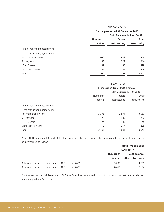|                                | <b>THE BANK ONLY</b>                |                                     |               |  |  |  |
|--------------------------------|-------------------------------------|-------------------------------------|---------------|--|--|--|
|                                | For the year ended 31 December 2006 |                                     |               |  |  |  |
|                                |                                     | <b>Debt Balances (Million Baht)</b> |               |  |  |  |
|                                | Number of                           | <b>Before</b>                       | After         |  |  |  |
|                                | debtors                             | restructuring                       | restructuring |  |  |  |
| Term of repayment according to |                                     |                                     |               |  |  |  |
| the restructuring agreements   |                                     |                                     |               |  |  |  |
| Not more than 5 years          | 660                                 | 672                                 | 503           |  |  |  |
| 5 - 10 years                   | 108                                 | 229                                 | 214           |  |  |  |
| 10 - 15 years                  | 97                                  | 135                                 | 128           |  |  |  |
| More than 15 years             | 121                                 | 221                                 | 218           |  |  |  |
| Total                          | 986                                 | 1,257                               | 1,063         |  |  |  |

|                                | THE BANK ONLY                       |                                |       |  |  |
|--------------------------------|-------------------------------------|--------------------------------|-------|--|--|
|                                | For the year ended 31 December 2005 |                                |       |  |  |
|                                | Debt Balances (Million Baht)        |                                |       |  |  |
|                                | Before<br>Number of                 |                                |       |  |  |
|                                | debtors                             | restructuring<br>restructuring |       |  |  |
| Term of repayment according to |                                     |                                |       |  |  |
| the restructuring agreements   |                                     |                                |       |  |  |
| Not more than 5 years          | 3,376                               | 3,591                          | 3,067 |  |  |
| $5 - 10$ years                 | 172                                 | 937                            | 232   |  |  |
| 10 - 15 years                  | 124                                 | 149                            | 145   |  |  |
| More than 15 years             | 119                                 | 214                            | 205   |  |  |
| Total                          | 3,791                               | 4,891                          | 3,649 |  |  |

As at 31 December 2006 and 2005, the troubled debtors for which the Bank completed the restructuring can be summarised as follows :

|                                                        | (Unit: Million Baht)              |                     |  |
|--------------------------------------------------------|-----------------------------------|---------------------|--|
|                                                        | <b>THE BANK ONLY</b>              |                     |  |
|                                                        | <b>Debt balances</b><br>Number of |                     |  |
|                                                        | debtors                           | after restructuring |  |
| Balance of restructured debtors up to 31 December 2006 | 5.696                             | 4.559               |  |
| Balance of restructured debtors up to 31 December 2005 | 8.456                             | 7.184               |  |

For the year ended 31 December 2006 the Bank has committed of additional funds to restructured debtors amounting to Baht 94 million.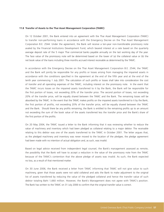#### **11.8 Transfer of Assets to the Thai Asset Management Corporation (TAMC)**

On 12 October 2001, the Bank entered into an agreement with the Thai Asset Management Corporation (TAMC) to transfer non-performing loans in accordance with the Emergency Decree on the Thai Asset Management Corporation B.E. 2544. Under the agreement, the Bank will receive a ten-year non-transferable promissory note avaled by the Financial Institutions Development Fund, which beared interest at a rate based on the quarterly average deposit rate of the 5 major Thai commercial banks payable annually on the last working day of the year. The face value of the promissory note will be determined based on the lower of (a) the collateral value or (b) the net book value of the loans including three months accrued interest receivable as determined by the TAMC.

In accordance with the Emergency Decree on the Thai Asset Management Corporation B.E. 2544, the TAMC and the Bank will jointly be responsible for any profits or losses arising from managing the impaired assets in accordance with the conditions specified in the agreement at the end of the fifth year and at the end of the tenth year commencing 1 July 2001. The calculation of such profits or losses shall take into consideration the cost of transfer and all operating expenses of the TAMC, including interest on the promissory note. In the event that the TAMC incurs losses on the impaired assets transferred to it by the Bank, the Bank will be responsible for the first portion of losses, not exceeding 20% of the transfer price. The second portion of losses, not exceeding 20% of the transfer price, will be equally shared between the TAMC and the Bank. The remaining losses will be absorbed by the TAMC. In the event that the TAMC makes profits on the impaired assets transferred to it by the Bank, the first portion of profits, not exceeding 20% of the transfer price, will be equally shared between the TAMC and the Bank. Should there be any profits remaining, the Bank is entitled to the remaining profits up to an amount not exceeding the sum of the book value of the assets transferred less the transfer price and the Bank's share of the first portion of the profits.

On 20 May 2004, the TAMC issued a letter to the Bank informing that it was reviewing whether to reduce the value of machinery and inventory which had been pledged as collateral relating to a major debtor. The receivable relating to this debtor was one of the assets transferred to the TAMC in October 2001. The letter argues that, as the pledged machinery and inventory was never moved to the location of the pledgee, the pledge agreement had been made with no intention of actual obligation and, as such, was invalid.

Based on legal advice received from independent legal counsel, the Bank's management assessed as remote, the possibility that the Bank will have to accept a reduction in the value of the promissory note from the TAMC because of the TAMC's contention that the above pledge of assets was invalid. As such, the Bank expected no loss, as a result of that mentioned matter.

On 30 June 2006, the Bank received a letter from TAMC informing that TAMC will not give value to such machinery, given that those assets were not valid collateral and asks the Bank to make adjustment to the original list of assets transferred by reducing the value of the pledged collateral and hence the transfer value of such debtor totaling Baht 1,660 million. However, the Bank's Management does not agree with TAMC's position. The Bank has written to the TAMC on 31 July 2006 to confirm that the original transfer value is correct.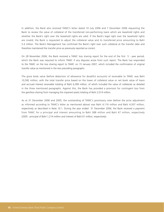In addition, the Bank also received TAMC's letter dated 10 July 2006 and 7 December 2006 requesting the Bank to review the value of collateral of the transferred non-performing loans which are leasehold rights and whether the Bank's right over the leasehold rights are valid. If the Bank's legal right over the leasehold rights are invalid, the Bank is requested to adjust the collateral value and its transferred price amounting to Baht 5.4 million. The Bank's Management has confirmed the Bank's right over such collateral at the transfer date and therefore maintained the transfer price as previously reported as correct.

On 28 November 2006, the Bank received a TAMC loss sharing report for the end of the first 5 - year period, which the Bank was required to inform TAMC if any disputes arose from such report. The Bank has responded to the TAMC on the loss sharing report to TAMC on 15 January 2007, which included the confirmation of original transfer value as mentioned in the two preceding paragraphs.

The gross book value (before deduction of allowance for doubtful accounts) of receivable to TAMC was Baht 10,582 million, with the total transfer price based on the lower of collateral value or net book value of loans and accrued interest receivable totaling of Baht 6,399 million, of which included the value of collaterals as detailed in the three mentioned paragraphs. Against this, the Bank has provided a provision for contingent loss from the gain/loss sharing from managing the impaired assets totaling of Baht 2,014 million.

As at 31 December 2006 and 2005, the outstanding of TAMC's promissory note (before the price adjustment as informed according to TAMC's letter as mentioned above) was Baht 4,116 million and Baht 4,507 million, respectively as described in Note 10.1. During the year ended 31 December 2006, the Bank received a payment from TAMC for a principal and interest amounting to Baht 388 million and Baht 47 million, respectively (2005 : principal of Baht 1,214 million and interest of Baht 61 million, respectively).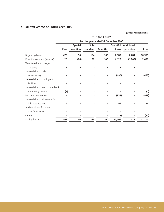## **12. ALLOWANCE FOR DOUBTFUL ACCOUNTS**

|                                   | <b>THE BANK ONLY</b>                |                |          |                 |                 |                   |              |  |  |
|-----------------------------------|-------------------------------------|----------------|----------|-----------------|-----------------|-------------------|--------------|--|--|
|                                   | For the year ended 31 December 2006 |                |          |                 |                 |                   |              |  |  |
|                                   |                                     | <b>Special</b> | Sub-     |                 | <b>Doubtful</b> | <b>Additional</b> |              |  |  |
|                                   | Pass                                | mention        | standard | <b>Doubtful</b> | of loss         | provision         | <b>Total</b> |  |  |
| Beginning balance                 | 479                                 | 56             | 194      | 160             | 7,389           | 2,281             | 10,559       |  |  |
| Doubtful accounts (reversal)      | 25                                  | (26)           | 39       | 100             | 4,126           | (1,808)           | 2,456        |  |  |
| Transferred from merger           |                                     |                |          |                 |                 |                   |              |  |  |
| company                           |                                     |                |          |                 |                 |                   |              |  |  |
| Reversal due to debt              |                                     |                |          |                 |                 |                   |              |  |  |
| restructuring                     |                                     |                |          |                 | (490)           |                   | (490)        |  |  |
| Reversal due to contingent        |                                     |                |          |                 |                 |                   |              |  |  |
| liabilities                       |                                     |                |          |                 |                 |                   |              |  |  |
| Reversal due to loan to interbank |                                     |                |          |                 |                 |                   |              |  |  |
| and money market                  | (1)                                 |                |          |                 |                 |                   | (1)          |  |  |
| Bad debts written off             |                                     |                |          |                 | (938)           |                   | (938)        |  |  |
| Reversal due to allowance for     |                                     |                |          |                 |                 |                   |              |  |  |
| debt restructuring                |                                     |                |          |                 | 196             |                   | 196          |  |  |
| Additional loss from loan         |                                     |                |          |                 |                 |                   |              |  |  |
| transfer to TAMC                  |                                     |                |          |                 |                 |                   |              |  |  |
| Others                            |                                     |                |          |                 | (77)            |                   | (77)         |  |  |
| Ending balance                    | 503                                 | 30             | 233      | 260             | 10,206          | 473               | 11,705       |  |  |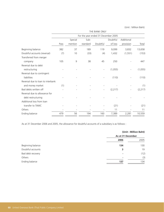|                                   | THE BANK ONLY                       |         |          |                          |          |            |          |  |  |
|-----------------------------------|-------------------------------------|---------|----------|--------------------------|----------|------------|----------|--|--|
|                                   | For the year ended 31 December 2005 |         |          |                          |          |            |          |  |  |
|                                   |                                     | Special | Sub-     |                          | Doubtful | Additional |          |  |  |
|                                   | Pass                                | mention | standard | Doubtful                 | of loss  | provision  | Total    |  |  |
| Beginning balance                 | 382                                 | 37      | 189      | 119                      | 9,099    | 3,832      | 13,658   |  |  |
| Doubtful accounts (reversal)      | (7)                                 | 10      | (33)     | (4)                      | 1,432    | (1, 551)   | (153)    |  |  |
| Transferred from merger           |                                     |         |          |                          |          |            |          |  |  |
| company                           | 105                                 | 9       | 38       | 45                       | 250      |            | 447      |  |  |
| Reversal due to debt              |                                     |         |          |                          |          |            |          |  |  |
| restructuring                     |                                     |         |          |                          | (1,055)  |            | (1,055)  |  |  |
| Reversal due to contingent        |                                     |         |          |                          |          |            |          |  |  |
| liabilities                       |                                     |         |          |                          | (110)    |            | (110)    |  |  |
| Reversal due to loan to interbank |                                     |         |          |                          |          |            |          |  |  |
| and money market                  | (1)                                 |         |          |                          |          |            | (1)      |  |  |
| Bad debts written off             |                                     |         |          | $\overline{\phantom{a}}$ | (2, 217) |            | (2, 217) |  |  |
| Reversal due to allowance for     |                                     |         |          |                          |          |            |          |  |  |
| debt restructuring                |                                     |         |          |                          |          |            |          |  |  |
| Additional loss from loan         |                                     |         |          |                          |          |            |          |  |  |
| transfer to TAMC                  |                                     |         |          |                          | (21)     |            | (21)     |  |  |
| Others                            |                                     |         |          |                          | 11       |            | 11       |  |  |
| Ending balance                    | 479                                 | 56      | 194      | 160                      | 7,389    | 2,281      | 10,559   |  |  |
|                                   |                                     |         |          |                          |          |            |          |  |  |

As at 31 December 2006 and 2005, the allowance for doubtful accounts of a subsidiary is as follows :

|                   |                   | (Unit: Million Baht) |  |  |
|-------------------|-------------------|----------------------|--|--|
|                   | As at 31 December |                      |  |  |
|                   | 2006              | 2005                 |  |  |
| Beginning balance | 134               | 130                  |  |  |
| Doubtful accounts | 3                 | 19                   |  |  |
| Bad debt recovery | ۰                 | (12)                 |  |  |
| Others            | ۰                 | (3)                  |  |  |
| Ending balance    | 137               | 134                  |  |  |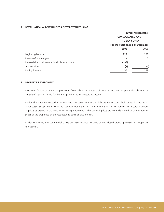### **13. REVALUATION ALLOWANCE FOR DEBT RESTRUCTURING**

|                                                | (Unit: Million Baht)            |                         |  |  |
|------------------------------------------------|---------------------------------|-------------------------|--|--|
|                                                |                                 | <b>CONSOLIDATED AND</b> |  |  |
|                                                | <b>THE BANK ONLY</b>            |                         |  |  |
|                                                | For the years ended 31 December |                         |  |  |
|                                                | 2006                            | 2005                    |  |  |
| Beginning balance                              | 229                             | 228                     |  |  |
| Increase (from merger)                         |                                 | 7                       |  |  |
| Reversal due to allowance for doubtful account | (196)                           |                         |  |  |
| Amortisation                                   | (3)                             | (6)                     |  |  |
| Ending balance                                 | 30                              | 229                     |  |  |

### **14. PROPERTIES FORECLOSED**

Properties foreclosed represent properties from debtors as a result of debt restructuring or properties obtained as a result of a successful bid for the mortgaged assets of debtors at auction.

Under the debt restructuring agreements, in cases where the debtors restructure their debts by means of a debt/asset swap, the Bank grants buyback options or first refusal rights to certain debtors for a certain period, at prices as agreed in the debt restructuring agreements. The buyback prices are normally agreed to be the transfer prices of the properties on the restructuring dates or plus interest.

Under BOT rules, the commercial banks are also required to treat owned closed branch premises as "Properties foreclosed".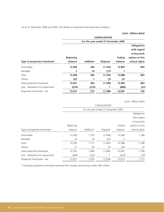As at 31 December 2006 and 2005, the details of properties foreclosed are as follows :

**(Unit : Million Baht)**

|                                 | <b>CONSOLIDATED</b>                 |                 |                 |               |                                                  |  |  |
|---------------------------------|-------------------------------------|-----------------|-----------------|---------------|--------------------------------------------------|--|--|
|                                 | For the year ended 31 December 2006 |                 |                 |               |                                                  |  |  |
|                                 |                                     |                 |                 |               | <b>Obligations</b><br>with regard<br>to buy back |  |  |
|                                 | <b>Beginning</b>                    |                 |                 | <b>Ending</b> | options or first                                 |  |  |
| Type of properties foreclosed   | balance                             | <b>Addition</b> | <b>Disposal</b> | balance       | refusal rights                                   |  |  |
| Immovable                       | 13,586                              | 466             | (1, 165)        | 12,887        | 803                                              |  |  |
| Movable                         | 2                                   | 16              | (17)            |               |                                                  |  |  |
| Total                           | 13,588                              | 482             | (1, 182)        | 12,888        | 803                                              |  |  |
| Others                          | 103                                 |                 | (7)             | 97            |                                                  |  |  |
| Total properties foreclosed     | 13,691                              | 483             | (1, 189)        | 12,985        | 803                                              |  |  |
| Less : Allowance for impairment | (679)                               | (210)           |                 | (888)         | (47)                                             |  |  |
| Properties foreclosed - net     | 13,012                              | 273             | (1, 188)        | 12,097        | 756                                              |  |  |

(Unit : Million Baht)

|                                | CONSOLIDATED                        |           |          |         |                  |  |  |  |
|--------------------------------|-------------------------------------|-----------|----------|---------|------------------|--|--|--|
|                                | For the year ended 31 December 2005 |           |          |         |                  |  |  |  |
|                                |                                     |           |          |         | Obligations      |  |  |  |
|                                |                                     |           |          |         | with regard      |  |  |  |
|                                |                                     |           |          |         | to buy back      |  |  |  |
|                                | Beginning                           |           |          | Ending  | options or first |  |  |  |
| Type of properties foreclosed  | balance                             | Addition* | Disposal | balance | refusal rights   |  |  |  |
| Immovable                      | 13,289                              | 1,755     | (1, 458) | 13,586  | 1,188            |  |  |  |
| Movable                        | 10                                  | 16        | (24)     | 2       |                  |  |  |  |
| Total                          | 13,299                              | 1,771     | (1,482)  | 13,588  | 1,188            |  |  |  |
| Others                         | 77                                  | 29        | (3)      | 103     | 10               |  |  |  |
| Total properties foreclosed    | 13,376                              | 1,800     | (1,485)  | 13,691  | 1,198            |  |  |  |
| Less: Allowance for impairment | (364)                               | (322)     | 7        | (679)   | (25)             |  |  |  |
| Properties foreclosed - net    | 13,012                              | 1,478     | (1, 478) | 13,012  | 1,173            |  |  |  |

\* Including properties foreclosed received from merger amounting to Baht 366 million.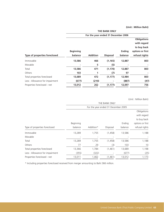|                                | THE BANK ONLY                       |                 |                 |                          |                                                  |  |  |  |
|--------------------------------|-------------------------------------|-----------------|-----------------|--------------------------|--------------------------------------------------|--|--|--|
|                                | For the year ended 31 December 2006 |                 |                 |                          |                                                  |  |  |  |
|                                |                                     |                 |                 |                          | <b>Obligations</b><br>with regard<br>to buy back |  |  |  |
| Type of properties foreclosed  | <b>Beginning</b><br>balance         | <b>Addition</b> | <b>Disposal</b> | <b>Ending</b><br>balance | options or first<br>refusal rights               |  |  |  |
| Immovable                      | 13,586                              | 466             | (1, 165)        | 12,887                   | 803                                              |  |  |  |
| Movable                        |                                     | 5               | (5)             |                          |                                                  |  |  |  |
| Total                          | 13,586                              | 471             | (1, 170)        | 12,887                   | 803                                              |  |  |  |
| Others                         | 103                                 |                 | (7)             | 97                       |                                                  |  |  |  |
| Total properties foreclosed    | 13,689                              | 472             | (1, 177)        | 12,984                   | 803                                              |  |  |  |
| Less: Allowance for impairment | (677)                               | (210)           |                 | (887)                    | (47)                                             |  |  |  |
| Properties foreclosed - net    | 13,012                              | 262             | (1, 177)        | 12,097                   | 756                                              |  |  |  |

(Unit : Million Baht)

|                                | THE BANK ONLY<br>For the year ended 31 December 2005 |           |          |         |                  |  |  |  |
|--------------------------------|------------------------------------------------------|-----------|----------|---------|------------------|--|--|--|
|                                |                                                      |           |          |         |                  |  |  |  |
|                                |                                                      |           |          |         | Obligations      |  |  |  |
|                                |                                                      |           |          |         | with regard      |  |  |  |
|                                |                                                      |           |          |         | to buy back      |  |  |  |
|                                | Beginning                                            |           |          | Ending  | options or first |  |  |  |
| Type of properties foreclosed  | balance                                              | Addition* | Disposal | balance | refusal rights   |  |  |  |
| Immovable                      | 13,289                                               | 1,755     | (1,458)  | 13,586  | 1,188            |  |  |  |
| Movable                        |                                                      |           |          |         |                  |  |  |  |
| Total                          | 13,289                                               | 1,755     | (1,458)  | 13,586  | 1,188            |  |  |  |
| Others                         | 77                                                   | 29        | (3)      | 103     | 10               |  |  |  |
| Total properties foreclosed    | 13,366                                               | 1,784     | (1,461)  | 13,689  | 1,198            |  |  |  |
| Less: Allowance for impairment | (355)                                                | (322)     |          | (677)   | (25)             |  |  |  |
| Properties foreclosed - net    | 13,011                                               | 1,462     | (1,461)  | 13,012  | 1,173            |  |  |  |

\* Including properties foreclosed received from merger amounting to Baht 366 million.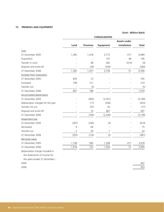## **15. PREMISES AND EQUIPMENT**

## **(Unit : Million Baht)**

|                                   | <b>CONSOLIDATED</b> |                 |                  |                     |          |  |
|-----------------------------------|---------------------|-----------------|------------------|---------------------|----------|--|
|                                   |                     |                 |                  | <b>Assets under</b> |          |  |
|                                   | Land                | <b>Premises</b> | <b>Equipment</b> | installation        | Total    |  |
| Cost                              |                     |                 |                  |                     |          |  |
| 31 December 2005                  | 1,382               | 1,418           | 3,772            | 417                 | 6,989    |  |
| Acquisition                       |                     |                 | 147              | 48                  | 195      |  |
| Transfer in (out)                 |                     | 48              | 362              | (414)               | (4)      |  |
| Disposal and write-off            |                     | (39)            | (545)            | L,                  | (584)    |  |
| 31 December 2006                  | 1,382               | 1,427           | 3,736            | 51                  | 6,596    |  |
| Increase from revaluation         |                     |                 |                  |                     |          |  |
| 31 December 2005                  | 693                 | 72              |                  |                     | 765      |  |
| Increased                         | 198                 | 121             |                  |                     | 319      |  |
| Transfer out                      |                     | (5)             |                  |                     | (5)      |  |
| 31 December 2006                  | 891                 | 188             |                  |                     | 1,079    |  |
| <b>Accumulated depreciation</b>   |                     |                 |                  |                     |          |  |
| 31 December 2005                  |                     | (665)           | (2, 501)         |                     | (3, 166) |  |
| Depreciation charged for the year |                     | (17)            | (436)            |                     | (453)    |  |
| Transfer (in) out                 |                     | (97)            | 20               |                     | (77)     |  |
| Disposal and write-off            |                     | 10              | 487              |                     | 497      |  |
| 31 December 2006                  |                     | (769)           | (2,430)          |                     | (3, 199) |  |
| Impairment loss                   |                     |                 |                  |                     |          |  |
| 31 December 2005                  | (367)               | (240)           | (3)              |                     | (610)    |  |
| Decreased                         | 9                   | 66              |                  |                     | 75       |  |
| Transfer out                      | 3                   | 50              | 1                |                     | 54       |  |
| 31 December 2006                  | (355)               | (124)           | (2)              |                     | (481)    |  |
| Net book value                    |                     |                 |                  |                     |          |  |
| 31 December 2005                  | 1,708               | 585             | 1,268            | 417                 | 3,978    |  |
| 31 December 2006                  | 1,918               | 722             | 1,304            | 51                  | 3,995    |  |
| Depreciation charge included in   |                     |                 |                  |                     |          |  |
| the statements of income for      |                     |                 |                  |                     |          |  |
| the years ended 31 December :-    |                     |                 |                  |                     |          |  |

2005 447 2006 453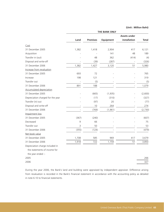|                                   | <b>THE BANK ONLY</b> |                 |                  |                     |              |  |
|-----------------------------------|----------------------|-----------------|------------------|---------------------|--------------|--|
|                                   |                      |                 |                  | <b>Assets under</b> |              |  |
|                                   | Land                 | <b>Premises</b> | <b>Equipment</b> | installation        | <b>Total</b> |  |
| Cost                              |                      |                 |                  |                     |              |  |
| 31 December 2005                  | 1,382                | 1,418           | 2,904            | 417                 | 6,121        |  |
| Acquisition                       |                      |                 | 141              | 48                  | 189          |  |
| Transfer in (out)                 |                      | 48              | 362              | (414)               | (4)          |  |
| Disposal and write-off            |                      | (39)            | (287)            |                     | (326)        |  |
| 31 December 2006                  | 1,382                | 1,427           | 3,120            | 51                  | 5,980        |  |
| Increase from revaluation         |                      |                 |                  |                     |              |  |
| 31 December 2005                  | 693                  | 72              |                  |                     | 765          |  |
| Increase                          | 198                  | 121             |                  |                     | 319          |  |
| Transfer out                      |                      | (5)             |                  |                     | (5)          |  |
| 31 December 2006                  | 891                  | 188             |                  |                     | 1,079        |  |
| <b>Accumulated depreciation</b>   |                      |                 |                  |                     |              |  |
| 31 December 2005                  |                      | (665)           | (1, 935)         |                     | (2,600)      |  |
| Depreciation charged for the year |                      | (17)            | (310)            |                     | (327)        |  |
| Transfer (in) out                 |                      | (97)            | 20               |                     | (77)         |  |
| Disposal and write-off            |                      | 10              | 264              |                     | 274          |  |
| 31 December 2006                  |                      | (769)           | (1, 961)         |                     | (2,730)      |  |
| Impairment loss                   |                      |                 |                  |                     |              |  |
| 31 December 2005                  | (367)                | (240)           |                  |                     | (607)        |  |
| Decreased                         | 9                    | 66              |                  |                     | 75           |  |
| Transfer out                      | 3                    | 50              |                  |                     | 53           |  |
| 31 December 2006                  | (355)                | (124)           |                  |                     | (479)        |  |
| Net book value                    |                      |                 |                  |                     |              |  |
| 31 December 2005                  | 1,708                | 585             | 969              | 417                 | 3,679        |  |
| 31 December 2006                  | 1,918                | 722             | 1,159            | 51                  | 3,850        |  |
| Depreciation charge included in   |                      |                 |                  |                     |              |  |
| the statements of income for      |                      |                 |                  |                     |              |  |
| the year ended :-                 |                      |                 |                  |                     |              |  |
| 2005                              |                      |                 |                  |                     | 266          |  |
| 2006                              |                      |                 |                  |                     | 327          |  |

During the year 2006, the Bank's land and building were appraised by independent appraiser. Difference arising from revaluation is recorded in the Bank's financial statement in accordance with the accounting policy as detailed in note 6.10 to financial statements.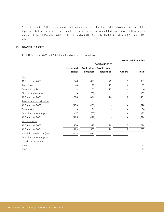As at 31 December 2006, certain premises and equipment items of the Bank and its subsidiaries have been fully depreciated but are still in use. The original cost, before deducting accumulated depreciation, of those assets amounted to Baht 1,114 million (2005 : Baht 1,363 million). (The Bank only : Baht 1,061 million, 2005 : Baht 1,315 million)

### **16. INTANGIBLE ASSETS**

As at 31 December 2006 and 2005, the intangible assets are as follows :-

|                                 |           |          |                                 |               | (Unit: Million Baht) |
|---------------------------------|-----------|----------|---------------------------------|---------------|----------------------|
|                                 |           |          | <b>CONSOLIDATED</b>             |               |                      |
|                                 | Leasehold |          | <b>Application Assets under</b> |               |                      |
|                                 | rights    | software | installation                    | <b>Others</b> | <b>Total</b>         |
| Cost                            |           |          |                                 |               |                      |
| 31 December 2005                | 348       | 823      | 179                             | 7             | 1,357                |
| Acquisition                     | 40        | 90       | 22                              |               | 152                  |
| Transfer in (out)               |           | 181      | (177)                           |               | $\overline{4}$       |
| Disposal and write-off          |           | (50)     |                                 | (2)           | (52)                 |
| 31 December 2006                | 388       | 1,044    | 24                              | 5             | 1,461                |
| <b>Accumulated amortisation</b> |           |          |                                 |               |                      |
| 31 December 2005                | (178)     | (450)    |                                 |               | (628)                |
| Transfer out                    |           | 36       |                                 |               | 36                   |
| Amortisation for the year       | (17)      | (65)     |                                 |               | (82)                 |
| 31 December 2006                | (195)     | (479)    |                                 |               | (674)                |
| Net book value                  |           |          |                                 |               |                      |
| 31 December 2005                | 170       | 373      | 179                             | 7             | 729                  |
| 31 December 2006                | 193       | 565      | 24                              | 5             | 787                  |
| Remaining useful lives (years)  | $1 - 24$  | $1 - 10$ |                                 | 2             |                      |
| Amortisation for the years      |           |          |                                 |               |                      |
| ended 31 December               |           |          |                                 |               |                      |
| 2005                            |           |          |                                 |               | 121                  |

2006 82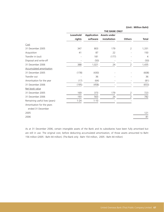|                                | <b>THE BANK ONLY</b> |          |                                 |                |                |  |  |
|--------------------------------|----------------------|----------|---------------------------------|----------------|----------------|--|--|
|                                | Leasehold            |          | <b>Application Assets under</b> |                |                |  |  |
|                                | rights               | software | installation                    | <b>Others</b>  | <b>Total</b>   |  |  |
| Cost                           |                      |          |                                 |                |                |  |  |
| 31 December 2005               | 347                  | 803      | 179                             | 2              | 1,331          |  |  |
| Acquisition                    | 41                   | 87       | 22                              |                | 150            |  |  |
| Transfer in (out)              |                      | 181      | (177)                           |                | $\overline{4}$ |  |  |
| Disposal and write-off         |                      | (50)     |                                 |                | (50)           |  |  |
| 31 December 2006               | 388                  | 1,021    | 24                              | $\overline{2}$ | 1,435          |  |  |
| Accumulated amortisation       |                      |          |                                 |                |                |  |  |
| 31 December 2005               | (178)                | (430)    |                                 |                | (608)          |  |  |
| Transfer out                   |                      | 36       |                                 |                | 36             |  |  |
| Amortisation for the year      | (17)                 | (64)     |                                 |                | (81)           |  |  |
| 31 December 2006               | (195)                | (458)    |                                 |                | (653)          |  |  |
| Net book value                 |                      |          |                                 |                |                |  |  |
| 31 December 2005               | 169                  | 373      | 179                             | 2              | 723            |  |  |
| 31 December 2006               | 193                  | 563      | 24                              | $\overline{2}$ | 782            |  |  |
| Remaining useful lives (years) | $1 - 24$             | $1 - 10$ |                                 |                |                |  |  |
| Amortisation for the years     |                      |          |                                 |                |                |  |  |
| ended 31 December              |                      |          |                                 |                |                |  |  |
| 2005                           |                      |          |                                 |                | 121            |  |  |
| 2006                           |                      |          |                                 |                | 81             |  |  |
|                                |                      |          |                                 |                |                |  |  |

As at 31 December 2006, certain intangible assets of the Bank and its subsidiaries have been fully amortised but are still in use. The original cost, before deducting accumulated amortization, of those assets amounted to Baht 156 million (2005 : Baht 44 million). (The Bank only : Baht 154 million, 2005 : Baht 44 million)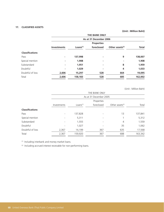## **17. CLASSIFIED ASSETS**

**(Unit : Million Baht)**

|                        |                    | <b>THE BANK ONLY</b>   |            |                             |              |  |  |  |  |
|------------------------|--------------------|------------------------|------------|-----------------------------|--------------|--|--|--|--|
|                        |                    | As at 31 December 2006 |            |                             |              |  |  |  |  |
|                        |                    | <b>Properties</b>      |            |                             |              |  |  |  |  |
|                        | <b>Investments</b> | Loans <sup>(1)</sup>   | foreclosed | Other assets <sup>(2)</sup> | <b>Total</b> |  |  |  |  |
| <b>Classifications</b> |                    |                        |            |                             |              |  |  |  |  |
| Pass                   | ٠                  | 137,998                | ٠          | 9                           | 138,007      |  |  |  |  |
| Special mention        |                    | 1,908                  | ۰          |                             | 1,908        |  |  |  |  |
| Substandard            | ٠                  | 1,951                  | ۰          | 8                           | 1,959        |  |  |  |  |
| Doubtful               |                    | 1,029                  | ۰          | 4                           | 1,033        |  |  |  |  |
| Doubtful of loss       | 2,606              | 15,297                 | 528        | 664                         | 19,095       |  |  |  |  |
| Total                  | 2,606              | 158,183                | 528        | 685                         | 162,002      |  |  |  |  |
|                        |                    |                        |            |                             |              |  |  |  |  |

(Unit : Million Baht)

| THE BANK ONLY          |                        |             |            |                    |         |  |  |
|------------------------|------------------------|-------------|------------|--------------------|---------|--|--|
|                        | As at 31 December 2005 |             |            |                    |         |  |  |
|                        |                        |             | Properties |                    |         |  |  |
|                        | Investments            | Loans $(1)$ | foreclosed | Other assets $(2)$ | Total   |  |  |
| <b>Classifications</b> |                        |             |            |                    |         |  |  |
| Pass                   | $\overline{a}$         | 137,828     |            | 13                 | 137,841 |  |  |
| Special mention        |                        | 5,311       | ۰          |                    | 5,312   |  |  |
| Substandard            |                        | 1,555       |            | 4                  | 1,559   |  |  |
| Doubtful               |                        | 1,027       | ۰          | 35                 | 1,062   |  |  |
| Doubtful of loss       | 2,367                  | 14,199      | 367        | 635                | 17,568  |  |  |
| Total                  | 2,367                  | 159,920     | 367        | 688                | 163,342 |  |  |

(1) Including interbank and money market loans.

(2) Including accrued interest receivable for non-performing loans.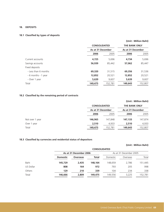### **18. DEPOSITS**

## **18.1 Classified by types of deposits**

|                      |                     |                   |                      | (Unit: Million Baht) |  |
|----------------------|---------------------|-------------------|----------------------|----------------------|--|
|                      | <b>CONSOLIDATED</b> |                   | <b>THE BANK ONLY</b> |                      |  |
|                      |                     | As at 31 December |                      | As at 31 December    |  |
|                      | 2006                | 2005              | 2006                 | 2005                 |  |
| Current accounts     | 4,725               | 5,696             | 4,734                | 5,696                |  |
| Savings accounts     | 56,939              | 85,442            | 57,062               | 85,447               |  |
| Fixed deposits       |                     |                   |                      |                      |  |
| - Less than 6 months | 69,320              | 31,515            | 69,356               | 31,536               |  |
| - 6 months - 1 year  | 12,852              | 20,521            | 12,852               | 20,521               |  |
| - Over 1 year        | 5,639               | 9,607             | 5,639                | 9,607                |  |
| Total                | 149,475             | 152,781           | 149,643              | 152,807              |  |
|                      |                     |                   |                      |                      |  |

## **18.2 Classified by the remaining period of contracts**

|                 |                                          |         | (Unit: Million Baht)                      |         |  |
|-----------------|------------------------------------------|---------|-------------------------------------------|---------|--|
|                 | <b>CONSOLIDATED</b><br>As at 31 December |         | <b>THE BANK ONLY</b><br>As at 31 December |         |  |
|                 |                                          |         |                                           |         |  |
|                 | 2006                                     | 2005    | 2006                                      | 2005    |  |
| Not over 1 year | 146,965                                  | 147.848 | 147,133                                   | 147,874 |  |
| Over 1 year     | 2,510                                    | 4,933   | 2,510                                     | 4,933   |  |
| Total           | 149,475                                  | 152,781 | 149,643                                   | 152,807 |  |

## **18.3 Classified by currencies and residential status of depositors**

|           |                        |                 |                     |          |                        | (Unit: Million Baht) |
|-----------|------------------------|-----------------|---------------------|----------|------------------------|----------------------|
|           |                        |                 | <b>CONSOLIDATED</b> |          |                        |                      |
|           | As at 31 December 2006 |                 |                     |          | As at 31 December 2005 |                      |
|           | <b>Domestic</b>        | <b>Overseas</b> | <b>Total</b>        | Domestic | Overseas               | Total                |
| Baht      | 145,729                | 2,435           | 148,164             | 148,659  | 2,786                  | 151,445              |
| US Dollar | 808                    | 164             | 972                 | 793      | 205                    | 998                  |
| Others    | 129                    | 210             | 339                 | 104      | 234                    | 338                  |
| Total     | 146,666                | 2,809           | 149,475             | 149,556  | 3,225                  | 152,781              |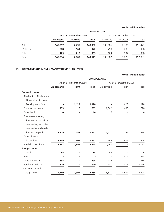|           |                 | <b>THE BANK ONLY</b>   |         |          |                        |         |  |  |
|-----------|-----------------|------------------------|---------|----------|------------------------|---------|--|--|
|           |                 | As at 31 December 2006 |         |          | As at 31 December 2005 |         |  |  |
|           | <b>Domestic</b> | <b>Overseas</b>        | Total   | Domestic | Overseas               | Total   |  |  |
| Baht      | 145,897         | 2,435                  | 148,332 | 148.685  | 2.786                  | 151,471 |  |  |
| US Dollar | 808             | 164                    | 972     | 793      | 205                    | 998     |  |  |
| Others    | 129             | 210                    | 339     | 104      | 234                    | 338     |  |  |
| Total     | 146,834         | 2,809                  | 149,643 | 149,582  | 3,225                  | 152,807 |  |  |

## **19. INTERBANK AND MONEY MARKET ITEMS (LIABILITIES)**

|                               |                        |             |              |                        |       | (Unit: Million Baht) |  |
|-------------------------------|------------------------|-------------|--------------|------------------------|-------|----------------------|--|
|                               | <b>CONSOLIDATED</b>    |             |              |                        |       |                      |  |
|                               | As at 31 December 2006 |             |              | As at 31 December 2005 |       |                      |  |
|                               | On demand              | <b>Term</b> | <b>Total</b> | On demand              | Term  | Total                |  |
| <b>Domestic items</b>         |                        |             |              |                        |       |                      |  |
| The Bank of Thailand and      |                        |             |              |                        |       |                      |  |
| <b>Financial Institutions</b> |                        |             |              |                        |       |                      |  |
| Development Fund              |                        | 1,128       | 1,128        |                        | 1,028 | 1,028                |  |
| Commercial banks              | 753                    | 10          | 763          | 1,302                  | 488   | 1,790                |  |
| Other banks                   | 10                     |             | 10           | 6                      |       | 6                    |  |
| Finance companies,            |                        |             |              |                        |       |                      |  |
| finance and securities        |                        |             |              |                        |       |                      |  |
| companies, securities         |                        |             |              |                        |       |                      |  |
| companies and credit          |                        |             |              |                        |       |                      |  |
| foncier companies             | 1,719                  | 252         | 1,971        | 2,237                  | 247   | 2,484                |  |
| Other financial               |                        |             |              |                        |       |                      |  |
| institutions                  | 1,349                  | 604         | 1,953        | 995                    | 409   | 1,404                |  |
| Total domestic items          | 3,831                  | 1,994       | 5,825        | 4,540                  | 2,172 | 6,712                |  |
| <b>Foreign items</b>          |                        |             |              |                        |       |                      |  |
| US Dollar                     | 35                     |             | 35           | 46                     |       | 46                   |  |
| Yen                           |                        |             |              |                        | 1,815 | 1,815                |  |
| Other currencies              | 694                    |             | 694          | 935                    |       | 935                  |  |
| Total foreign items           | 729                    |             | 729          | 981                    | 1,815 | 2,796                |  |
| Total domestic and            |                        |             |              |                        |       |                      |  |
| foreign items                 | 4,560                  | 1,994       | 6,554        | 5,521                  | 3,987 | 9,508                |  |
|                               |                        |             |              |                        |       |                      |  |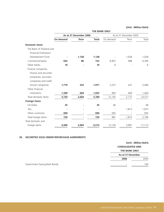|                               | <b>THE BANK ONLY</b>   |             |              |           |                        |        |
|-------------------------------|------------------------|-------------|--------------|-----------|------------------------|--------|
|                               | As at 31 December 2006 |             |              |           | As at 31 December 2005 |        |
|                               | <b>On demand</b>       | <b>Term</b> | <b>Total</b> | On demand | Term                   | Total  |
| <b>Domestic items</b>         |                        |             |              |           |                        |        |
| The Bank of Thailand and      |                        |             |              |           |                        |        |
| <b>Financial Institutions</b> |                        |             |              |           |                        |        |
| Development Fund              |                        | 1,128       | 1,128        |           | 1,028                  | 1,028  |
| Commercial banks              | 642                    | 80          | 722          | 8,907     | 488                    | 9,395  |
| Other banks                   | 10                     |             | 10           | 6         |                        | 6      |
| Finance companies,            |                        |             |              |           |                        |        |
| finance and securities        |                        |             |              |           |                        |        |
| companies, securities         |                        |             |              |           |                        |        |
| companies and credit          |                        |             |              |           |                        |        |
| foncier companies             | 1,719                  | 252         | 1,971        | 2,237     | 247                    | 2,484  |
| Other financial               |                        |             |              |           |                        |        |
| institutions                  | 1,349                  | 604         | 1,953        | 995       | 409                    | 1,404  |
| Total domestic items          | 3,720                  | 2,064       | 5,784        | 12,145    | 2,172                  | 14,317 |
| <b>Foreign items</b>          |                        |             |              |           |                        |        |
| US Dollar                     | 35                     |             | 35           | 46        |                        | 46     |
| Yen                           |                        |             |              |           | 1,815                  | 1,815  |
| Other currencies              | 694                    |             | 694          | 935       |                        | 935    |
| Total foreign items           | 729                    |             | 729          | 981       | 1,815                  | 2,796  |
| Total domestic and            |                        |             |              |           |                        |        |
| foreign items                 | 4,449                  | 2,064       | 6,513        | 13,126    | 3,987                  | 17,113 |
|                               |                        |             |              |           |                        |        |

# **20. SECURITIES SOLD UNDER REPURCHASE AGREEMENTS**

|                         | (Unit: Million Baht) |  |  |
|-------------------------|----------------------|--|--|
| <b>CONSOLIDATED AND</b> |                      |  |  |
| <b>THE BANK ONLY</b>    |                      |  |  |
| As at 31 December       |                      |  |  |
| 2006                    | 2005                 |  |  |
|                         |                      |  |  |

**Government Saving Bank Bonds**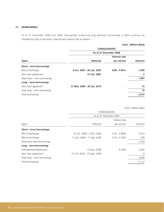## **21. BORROWINGS**

As at 31 December 2006 and 2005, borrowings comprising only domestic borrowings in Baht currency are classified by type of securities, maturity and interest rate as follows :-

# **(Unit : Million Baht)**

|                               |                             | <b>CONSOLIDATED</b> |        |  |  |  |
|-------------------------------|-----------------------------|---------------------|--------|--|--|--|
|                               | As at 31 December 2006      |                     |        |  |  |  |
|                               |                             | Interest rate       |        |  |  |  |
| <b>Types</b>                  | <b>Maturity</b>             | per annum           | Amount |  |  |  |
| Short – term borrowings       |                             |                     |        |  |  |  |
| Bills of exchange             | 4 Jan. 2007 - 26 Jun. 2007  | $4.00 - 5.00\%$     | 1,995  |  |  |  |
| Term loan agreement           | 31 Oct. 2007                |                     | 2      |  |  |  |
| Total short – term borrowings |                             |                     | 1,997  |  |  |  |
| Long – term borrowings        |                             |                     |        |  |  |  |
| Term loan agreement           | 31 Mar. 2009 - 20 Jan. 2013 |                     | 15     |  |  |  |
| Total long – term borrowings  |                             |                     | 15     |  |  |  |
| Total borrowings              |                             |                     | 2,012  |  |  |  |
|                               |                             |                     |        |  |  |  |

|                              | CONSOLIDATED                |                 |        |  |  |
|------------------------------|-----------------------------|-----------------|--------|--|--|
|                              | As at 31 December 2005      |                 |        |  |  |
|                              |                             | Interest rate   |        |  |  |
| <b>Types</b>                 | Maturity                    | per annum       | Amount |  |  |
| Short – term borrowings      |                             |                 |        |  |  |
| Bills of exchange            | 25 Jan. 2006 - 5 Oct. 2006  | $3.00 - 3.88\%$ | 2,873  |  |  |
| Bills of exchange            | 11 Jan. 2006 - 11 Apr. 2006 | $3.00 - 3.30\%$ | 230    |  |  |
| Total short-term borrowings  |                             |                 | 3,103  |  |  |
| Long - term borrowings       |                             |                 |        |  |  |
| Subordinated debentures      | 15 Aug. 2008                | 6.50%           | 2,000  |  |  |
| Term loan agreement          | 31 Oct. 2007 - 31 Mar. 2009 |                 | 9      |  |  |
| Total long – term borrowings |                             |                 | 2,009  |  |  |
| Total borrowings             |                             |                 | 5,112  |  |  |
|                              |                             |                 |        |  |  |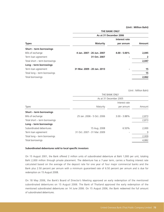|                               | <b>THE BANK ONLY</b>        |                 |               |  |  |
|-------------------------------|-----------------------------|-----------------|---------------|--|--|
|                               | As at 31 December 2006      |                 |               |  |  |
|                               |                             | Interest rate   |               |  |  |
| <b>Types</b>                  | <b>Maturity</b>             | per annum       | <b>Amount</b> |  |  |
| Short – term borrowings       |                             |                 |               |  |  |
| Bills of exchange             | 4 Jan. 2007 - 26 Jun. 2007  | $4.00 - 5.00\%$ | 2,045         |  |  |
| Term loan agreement           | 31 Oct. 2007                |                 | 2             |  |  |
| Total short – term borrowings |                             |                 | 2,047         |  |  |
| Long – term borrowings        |                             |                 |               |  |  |
| Term loan agreement           | 31 Mar. 2009 - 20 Jan. 2013 |                 | 15            |  |  |
| Total long – term borrowings  |                             |                 | 15            |  |  |
| Total borrowings              |                             |                 | 2,062         |  |  |
|                               |                             |                 |               |  |  |

(Unit : Million Baht)

|                               | THE BANK ONLY               |                        |        |  |  |  |
|-------------------------------|-----------------------------|------------------------|--------|--|--|--|
|                               |                             | As at 31 December 2005 |        |  |  |  |
|                               |                             | Interest rate          |        |  |  |  |
| Types                         | Maturity                    | per annum              | Amount |  |  |  |
| Short – term borrowings       |                             |                        |        |  |  |  |
| Bills of exchange             | 25 Jan. 2006 - 5 Oct. 2006  | $3.00 - 3.88\%$        | 2,873  |  |  |  |
| Total short - term borrowings |                             |                        | 2,873  |  |  |  |
| Long – term borrowings        |                             |                        |        |  |  |  |
| Subordinated debentures       | 15 Aug. 2008                | 6.50%                  | 2,000  |  |  |  |
| Term loan agreement           | 31 Oct. 2007 - 31 Mar. 2009 |                        | 9      |  |  |  |
| Total long - term borrowings  |                             |                        | 2,009  |  |  |  |
| Total borrowings              |                             |                        | 4,882  |  |  |  |
|                               |                             |                        |        |  |  |  |

#### **Subordinated debentures sold to local specific investors**

On 15 August 2001, the Bank offered 2 million units of subordinated debenture at Baht 1,000 per unit, totaling Baht 2,000 million through private placement. The debenture has a 7-year term, carries a floating interest rate calculated based on the average of the deposit rate for one year of four major commercial banks and the Bank plus 2.50 percent per annum with a minimum guaranteed rate of 6.50 percent per annum and is due for redemption on 15 August 2008.

On 18 May 2006, the Bank's Board of Director's Meeting approved an early redemption of the mentioned subordinated debentures on 15 August 2006. The Bank of Thailand approved the early redemption of the mentioned subordinated debentures on 14 June 2006. On 15 August 2006, the Bank redeemed the full amount of subordinated debentures.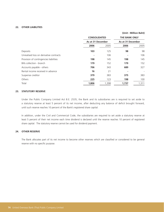### **22. OTHER LIABILITIES**

|                                         |                     |       | (Unit: Million Baht) |       |
|-----------------------------------------|---------------------|-------|----------------------|-------|
|                                         | <b>CONSOLIDATED</b> |       | <b>THE BANK ONLY</b> |       |
|                                         | As at 31 December   |       | As at 31 December    |       |
|                                         | 2006                | 2005  | 2006                 | 2005  |
| Deposits                                | 103                 | 125   | 98                   | 98    |
| Unrealised loss on derivative contracts |                     | 106   |                      | 106   |
| Provision of contingencies liabilities  | 198                 | 145   | 198                  | 145   |
| Bills collection - branch               | 179                 | 152   | 179                  | 152   |
| Accounts payable - others               | 706                 | 343   | 689                  | 327   |
| Rental income received in advance       | 16                  | 21    |                      |       |
| Suspense creditor                       | 379                 | 383   | 375                  | 383   |
| Others                                  | 225                 | 123   | 198                  | 100   |
| Total                                   | 1,806               | 1,398 | 1,737                | 1,311 |

#### **23. STATUTORY RESERVE**

Under the Public Company Limited Act B.E. 2535, the Bank and its subsidiaries are is required to set aside to a statutory reserve at least 5 percent of its net income, after deducting any balance of deficit brought forward, until such reserve reaches 10 percent of the Bank's registered share capital.

In addition, under the Civil and Commercial Code, the subsidiaries are required to set aside a statutory reserve at least 5 percent of their net income each time dividend is declared until the reserve reaches 10 percent of registered share capital. The statutory reserve cannot be used for dividend payment.

### **24. OTHER RESERVE**

The Bank allocates part of its net income to become other reserves which are classified or considered to be general reserve with no specific purpose.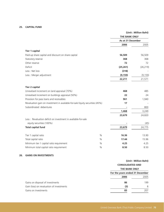# **25. CAPITAL FUND**

|                                                                              |               | (Unit: Million Baht)<br><b>THE BANK ONLY</b><br>As at 31 December |           |
|------------------------------------------------------------------------------|---------------|-------------------------------------------------------------------|-----------|
|                                                                              |               |                                                                   |           |
|                                                                              |               |                                                                   |           |
|                                                                              |               | 2006                                                              | 2005      |
| <b>Tier 1 capital</b>                                                        |               |                                                                   |           |
| Paid-up share capital and discount on share capital                          |               | 56,509                                                            | 56,509    |
| Statutory reserve                                                            |               | 368                                                               | 368       |
| Other reserve                                                                |               | 72                                                                | 72        |
| Deficit                                                                      |               | (25, 261)                                                         | (26, 219) |
| Less: Net loss                                                               |               | (318)                                                             |           |
| Less : Merger adjustment                                                     |               | (9, 159)                                                          | (9, 159)  |
|                                                                              |               | 22,211                                                            | 21,571    |
| <b>Tier 2 capital</b>                                                        |               |                                                                   |           |
| Unrealised increment on land appraisal (70%)                                 |               | 468                                                               | 485       |
| Unrealised increment on buildings appraisal (50%)                            |               | 22                                                                | 24        |
| Provision for pass loans and receivables                                     |               | 961                                                               | 1,940     |
| Revaluation gain on investment in available-for-sale Equity securities (45%) |               | 17                                                                |           |
| Subordinated debentures                                                      |               |                                                                   | 800       |
|                                                                              |               | 1,468                                                             | 3,249     |
|                                                                              |               | 23,679                                                            | 24,820    |
| Less : Revaluation deficit on investment in available-for-sale               |               |                                                                   |           |
| equity securities (100%)                                                     |               |                                                                   | (45)      |
| <b>Total capital fund</b>                                                    |               | 23,679                                                            | 24,775    |
| Tier 1 capital ratio                                                         | $\%$          | 16.36                                                             | 13.90     |
| Total capital ratio                                                          | $\frac{0}{0}$ | 17.44                                                             | 15.96     |
| Minimum tier 1 capital ratio requirement                                     | $\frac{0}{0}$ | 4.25                                                              | 4.25      |
| Minimum total capital ratio requirement                                      | $\%$          | 8.50                                                              | 8.50      |
|                                                                              |               |                                                                   |           |

# **26. GAINS ON INVESTMENTS**

|                                           | (Unit: Million Baht)<br><b>CONSOLIDATED AND</b><br><b>THE BANK ONLY</b> |      |  |
|-------------------------------------------|-------------------------------------------------------------------------|------|--|
|                                           |                                                                         |      |  |
|                                           |                                                                         |      |  |
|                                           | For the years ended 31 December                                         |      |  |
|                                           | 2006                                                                    | 2005 |  |
| Gains on disposal of investments          | 86                                                                      | 199  |  |
| Gain (loss) on revaluation of investments | (3)                                                                     | 8    |  |
| Gains on investments                      | 83                                                                      | 207  |  |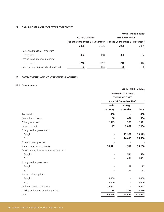# **27. GAINS (LOSSES) ON PROPERTIES FORECLOSED**

|                                                        |       |                                                         | (Unit: Million Baht) |
|--------------------------------------------------------|-------|---------------------------------------------------------|----------------------|
| <b>CONSOLIDATED</b><br>For the years ended 31 December |       | <b>THE BANK ONLY</b><br>For the years ended 31 December |                      |
|                                                        |       |                                                         |                      |
|                                                        |       |                                                         |                      |
| 302                                                    | 168   | 300                                                     | 162                  |
|                                                        |       |                                                         |                      |
| (210)                                                  | (312) | (210)                                                   | (312)                |
| 92                                                     | (144) | 90                                                      | (150)                |
|                                                        |       |                                                         |                      |

# **28. COMMITMENTS AND CONTINGENCIES LIABILITIES**

# **28.1 Commitments**

|                                             |             | (Unit: Million Baht)                           |              |  |
|---------------------------------------------|-------------|------------------------------------------------|--------------|--|
|                                             |             | <b>CONSOLIDATED AND</b>                        |              |  |
|                                             |             | <b>THE BANK ONLY</b><br>As at 31 December 2006 |              |  |
|                                             |             |                                                |              |  |
|                                             | <b>Baht</b> | Foreign                                        |              |  |
|                                             | currency    | currencies                                     | <b>Total</b> |  |
| Aval to bills                               | 488         |                                                | 488          |  |
| Guarantees of loans                         | 80          | 484                                            | 564          |  |
| Other guarantees                            | 12,515      | 376                                            | 12,891       |  |
| Letters of credit                           | 47          | 2,087                                          | 2,134        |  |
| Foreign exchange contracts                  |             |                                                |              |  |
| Bought                                      |             | 23,979                                         | 23,979       |  |
| Sold                                        |             | 26,630                                         | 26,630       |  |
| Forward rate agreement                      |             |                                                |              |  |
| Interest rate swap contracts                | 34,621      | 1,587                                          | 36,208       |  |
| Cross currency interest rate swap contracts |             |                                                |              |  |
| Bought                                      |             | 584                                            | 584          |  |
| Sold                                        |             | 1,451                                          | 1,451        |  |
| Foreign exchange options                    |             |                                                |              |  |
| Bought                                      |             | 72                                             | 72           |  |
| Sold                                        |             | 72                                             | 72           |  |
| Equity - linked options                     |             |                                                |              |  |
| Bought                                      | 1,009       |                                                | 1,009        |  |
| Sold                                        | 1,009       |                                                | 1,009        |  |
| Undrawn overdraft amount                    | 19,361      |                                                | 19,361       |  |
| Liability under unmatured import bills      | 34          | 1,125                                          | 1,159        |  |
| Total                                       | 69,164      | 58,447                                         | 127,611      |  |
|                                             |             |                                                |              |  |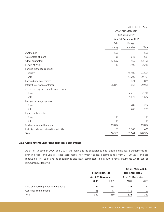|                                             | CONSOLIDATED AND<br>THE BANK ONLY<br>As at 31 December 2005 |                          |         |  |
|---------------------------------------------|-------------------------------------------------------------|--------------------------|---------|--|
|                                             |                                                             |                          |         |  |
|                                             |                                                             |                          |         |  |
|                                             | Baht<br>Foreign                                             |                          |         |  |
|                                             | currency                                                    | currencies               | Total   |  |
| Aval to bills                               | 506                                                         |                          | 506     |  |
| Guarantees of loans                         | 35                                                          | 646                      | 681     |  |
| Other guarantees                            | 12,637                                                      | 559                      | 13,196  |  |
| Letters of credit                           | 118                                                         | 3,100                    | 3,218   |  |
| Foreign exchange contracts                  |                                                             |                          |         |  |
| Bought                                      |                                                             | 24,505                   | 24,505  |  |
| Sold                                        |                                                             | 29,703                   | 29,703  |  |
| Forward rate agreements                     |                                                             | 821                      | 821     |  |
| Interest rate swap contracts                | 26,879                                                      | 3,057                    | 29,936  |  |
| Cross currency interest rate swap contracts |                                                             |                          |         |  |
| Bought                                      |                                                             | 2,716                    | 2,716   |  |
| Sold                                        |                                                             | 1,677                    | 1,677   |  |
| Foreign exchange options                    |                                                             |                          |         |  |
| Bought                                      |                                                             | 287                      | 287     |  |
| Sold                                        |                                                             | 205                      | 205     |  |
| Equity - linked options                     |                                                             |                          |         |  |
| Bought                                      | 115                                                         |                          | 115     |  |
| Sold                                        | 115                                                         |                          | 115     |  |
| Undrawn overdraft amount                    | 19,892                                                      | $\overline{\phantom{a}}$ | 19,892  |  |
| Liability under unmatured import bills      | 53                                                          | 1,368                    | 1,421   |  |
| Total                                       | 60,350                                                      | 68,644                   | 128,994 |  |

#### **28.2 Commitments under long-term lease agreements**

As at 31 December 2006 and 2005, the Bank and its subsidiaries had land/building lease agreements for branch offices and vehicles lease agreements, for which the lease terms range from 3 - 30 years and are renewable. The Bank and its subsidiaries also have committed to pay future rental payments which can be summarised as follows :

|      |      | (Unit: Million Baht)                     |      |
|------|------|------------------------------------------|------|
|      |      | <b>THE BANK ONLY</b>                     |      |
|      |      | As at 31 December                        |      |
| 2006 | 2005 | 2006                                     | 2005 |
| 242  | 263  | 221                                      | 232  |
| 68   | 17   | 110                                      | 107  |
| 310  | 280  | 331                                      | 339  |
|      |      | <b>CONSOLIDATED</b><br>As at 31 December |      |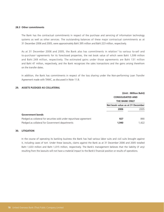#### **28.3 Other commitments**

The Bank has the contractual commitments in respect of the purchase and servicing of information technology systems as well as other services. The outstanding balances of these major contractual commitments as at 31 December 2006 and 2005, were approximately Baht 395 million and Baht 223 million, respectively.

As at 31 December 2006 and 2005, the Bank also has commitments in relation " to various to-sell and to-purchase " agreements for its foreclosed properties, the net book value of which were Baht 1,599 million and Baht 249 million, respectively. The estimated gains under those agreements are Baht 131 million and Baht 47 million, respectively, and the Bank recognizes the sales transactions and the gains arising therefrom on the transfer dates.

In addition, the Bank has commitments in respect of the loss sharing under the Non-performing Loan Transfer Agreement made with TAMC, as discussed in Note 11.8.

# **29. ASSETS PLEDGED AS COLLATERAL**

|                                                                      |                                  | (Unit: Million Baht) |
|----------------------------------------------------------------------|----------------------------------|----------------------|
|                                                                      | <b>CONSOLIDATED AND</b>          |                      |
|                                                                      | <b>THE BANK ONLY</b>             |                      |
|                                                                      | Net book value as at 31 December |                      |
|                                                                      | 2006                             | 2005                 |
| <b>Government bonds</b>                                              |                                  |                      |
| Pledged as collateral for securities sold under repurchase agreement | 927                              | 890                  |
| Pledged as collateral for Government departments                     | 1,940                            | 1.422                |

#### **30. LITIGATION**

In the course of operating its banking business the Bank has had various labor suits and civil suits brought against it, including cases of tort. Under these lawsuits, claims against the Bank as at 31 December 2006 and 2005 totalled Baht 1,633 million and Baht 1,015 million, respectively. The Bank's management believes that the liability (if any) resulting from the lawsuits will not have a material impact to the Bank's financial position or results of operations.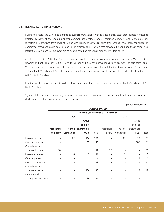#### **31. RELATED PARTY TRANSACTIONS**

During the years, the Bank had significant business transactions with its subsidiaries, associated, related companies (related by ways of shareholding and/or common shareholders and/or common directors) and related persons (directors or executives from level of Senior Vice President upwards). Such transactions, have been concluded on commercial terms and based agreed upon in the ordinary course of business between the Bank and those companies. Interest rates on loans to employees are calculated based on the Bank's employee welfare policy.

As at 31 December 2006 the Bank also has staff welfare loans to executives from level of Senior Vice President upwards of Baht 18 million (2005 : Baht 15 million) and also has normal loans to its executive officers from Senior Vice President level upwards and their closed family members with the outstanding balance as at 31 December 2006 of Baht 21 million (2005 : Baht 36 million) and the average balance for the period then ended of Baht 23 million (2005 : Baht 25 million).

In addition, the Bank also has deposits of those staffs and their closed family members of Baht 75 million (2005 : Baht 31 million).

Significant transactions, outstanding balances, income and expenses incurred with related parties, apart from those disclosed in the other notes, are summarized below.

|                    |                   |                  |             | <b>CONSOLIDATED</b> |                                 |                |             |       |
|--------------------|-------------------|------------------|-------------|---------------------|---------------------------------|----------------|-------------|-------|
|                    |                   |                  |             |                     | For the years ended 31 December |                |             |       |
|                    |                   | 2006             |             |                     |                                 | 2005           |             |       |
|                    |                   |                  | Group       |                     |                                 |                | Group       |       |
|                    |                   |                  | of major    |                     |                                 |                | of major    |       |
|                    | <b>Associated</b> | <b>Related</b>   | shareholder |                     | Associated                      | Related        | shareholder |       |
|                    | company           | <b>Companies</b> | (UOB)       | <b>Total</b>        | company                         | Companies      | (UOB)       | Total |
| Interest income    | ۰                 | 92               | 136         | 228                 |                                 | 99             | 22          | 121   |
| Gain on exchange   |                   | 1                | 65          | 66                  |                                 | $\overline{a}$ | 183         | 183   |
| Commission and     |                   |                  |             |                     |                                 |                |             |       |
| service income     | 18                | 1                |             | 19                  | 20                              |                |             | 20    |
| Interest expenses  | ٠                 | 8                | 3           | 11                  |                                 | 3              |             | 3     |
| Other expenses     |                   |                  |             |                     |                                 | $\overline{a}$ | 1           | 1     |
| Insurance expenses | 13                |                  |             | 13                  | 13                              |                | 11          | 24    |
| Commission and     |                   |                  |             |                     |                                 |                |             |       |
| service expenses   |                   |                  | 100         | 100                 |                                 |                | 19          | 19    |
| Premises and       |                   |                  |             |                     |                                 |                |             |       |
| equipment expenses |                   |                  | 26          | 26                  |                                 |                | 7           | 7     |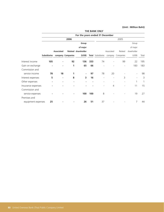|                    |                     |            |                   |                                 |     | <b>THE BANK ONLY</b>      |            |                          |             |       |
|--------------------|---------------------|------------|-------------------|---------------------------------|-----|---------------------------|------------|--------------------------|-------------|-------|
|                    |                     |            |                   | For the years ended 31 December |     |                           |            |                          |             |       |
|                    |                     |            | 2006              |                                 |     |                           |            | 2005                     |             |       |
|                    |                     |            |                   | Group                           |     |                           |            |                          | Group       |       |
|                    |                     |            |                   | of major                        |     |                           |            |                          | of major    |       |
|                    |                     | Associated |                   | Related shareholder             |     |                           | Associated | Related                  | shareholder |       |
|                    | <b>Subsidiaries</b> |            | company Companies | (UOB)                           |     | <b>Total</b> Subsidiaries | company    | Companies                | (UOB)       | Total |
| Interest income    | 105                 |            | 92                | 136                             | 333 | 74                        |            | 99                       | 22          | 195   |
| Gain on exchange   |                     |            | 1                 | 65                              | 66  |                           |            | $\overline{\phantom{a}}$ | 183         | 183   |
| Commission and     |                     |            |                   |                                 |     |                           |            |                          |             |       |
| service income     | 78                  | 18         | 1                 |                                 | 97  | 78                        | 20         |                          |             | 98    |
| Interest expenses  | 5                   | ٠          | 8                 | 3                               | 16  |                           |            | 3                        |             | 3     |
| Other expenses     |                     | ٠          |                   |                                 |     |                           |            | $\overline{a}$           | 1           | 1     |
| Insurance expenses |                     |            |                   |                                 |     |                           | 4          |                          | 11          | 15    |
| Commission and     |                     |            |                   |                                 |     |                           |            |                          |             |       |
| service expenses   |                     |            |                   | 100                             | 100 | 8                         |            |                          | 19          | 27    |
| Premises and       |                     |            |                   |                                 |     |                           |            |                          |             |       |
| equipment expenses | 25                  |            |                   | 26                              | 51  | 37                        |            |                          | 7           | 44    |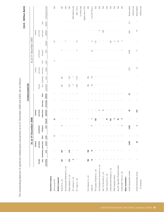|                                        |               |                                |           |        | As at 31 December 2006 |             |                        |                        |       | <b>CONSOLIDATED</b> |                   |                |        | As at 31 December 2005 |                |                |             | (Unit: Million Baht)     |
|----------------------------------------|---------------|--------------------------------|-----------|--------|------------------------|-------------|------------------------|------------------------|-------|---------------------|-------------------|----------------|--------|------------------------|----------------|----------------|-------------|--------------------------|
|                                        |               |                                | Interbank |        |                        |             | Interbank              |                        |       |                     |                   | Interbank      |        |                        |                | Interbank      |             |                          |
|                                        | Average       |                                | and money |        | Commitment/            |             | and money              |                        |       | Average             |                   | and money      |        | Commitment             |                | and money      |             |                          |
|                                        |               | loans Outstanding market items |           | Other  | off-balance            |             | market items           | Short-term             | Other |                     | loans Outstanding | market items   | Other  | off-balance            |                | market items   | Other       |                          |
|                                        | outstanding   | loans                          | (assets)  | assets | sheet                  |             | Deposits (liabilities) | borrowings liabilities |       | outstanding         | loans             | (assets)       | assets | sheet                  | Deposits       | (liabilities)  | liabilities | Pricing policy of loans  |
| Associated company                     |               |                                |           |        |                        |             |                        |                        |       |                     |                   |                |        |                        |                |                |             |                          |
| AXA Insurance Plc.                     |               |                                |           | S      |                        | 23          |                        |                        |       |                     |                   |                | 4      |                        | 33             |                |             | ΝA                       |
| Related companies                      |               |                                |           |        |                        |             |                        |                        |       |                     |                   |                |        |                        |                |                |             |                          |
| Wing Fat Co., Ltd.                     | 367           | 367                            |           |        |                        |             |                        |                        |       | 367                 | 367               |                |        |                        |                |                |             | $\mathbb{\underline{P}}$ |
| Asia Dhanavadh Warehouse Co., Ltd.     |               |                                |           |        |                        |             |                        |                        |       |                     |                   |                |        |                        |                |                |             | $\lesssim$               |
| Piyalai Holdings Co., Ltd.             | 574           | 574                            |           |        |                        |             |                        |                        |       | 574                 | 574               |                |        |                        |                |                |             | $\mathbb{\overline{E}}$  |
| JAT Leasing Co., Ltd.                  | ڡ             |                                |           |        |                        |             |                        |                        |       | $\sim$              |                   |                |        |                        |                |                |             | MLR reference rate       |
| N.Y. Sugar Co., Ltd.                   |               |                                |           |        |                        |             |                        |                        |       | 1,790               | 1,776             |                |        |                        | $\overline{9}$ |                |             | $MLR - 2%$ or            |
|                                        |               |                                |           |        |                        |             |                        |                        |       |                     |                   |                |        |                        |                |                |             | 12-month fixed           |
|                                        |               |                                |           |        |                        |             |                        |                        |       |                     |                   |                |        |                        |                |                |             | deposit rate+2.75%       |
| First Andaman Co., Ltd.                | 186           | 186                            |           |        |                        |             |                        |                        |       | 186                 | 186               |                |        |                        |                |                |             | PL<br>Z                  |
| Loxley Plc.                            | $\frac{9}{5}$ | 13                             |           |        |                        |             |                        |                        |       | $\approx$           | 59                |                |        | 52                     | $\circ$        |                |             | 7.14 to 8.75% p.a.       |
| TNT Logistics (Thailand) Co., Ltd.     |               |                                |           |        |                        | 106         |                        |                        |       |                     |                   |                |        |                        | 137            |                |             | ΝA                       |
| The Muangthai Life Assurance Co., Ltd. |               |                                |           |        |                        |             |                        |                        |       |                     |                   |                |        |                        |                | 4              |             | $\lesssim$               |
| Siam City Securities Co., Ltd.         |               |                                |           |        |                        |             |                        |                        |       |                     |                   |                |        |                        |                | 203            |             | $\lesssim$               |
| Ocean Assurance Co., Ltd.              |               |                                |           |        |                        | $\tilde{=}$ |                        |                        |       |                     |                   |                |        |                        |                |                |             | ΝÄ                       |
| Underwaterworld Pattaya Co., Ltd.      |               |                                |           |        |                        | 140         |                        |                        |       |                     |                   |                |        |                        | 158            |                |             | ΝÄ                       |
| PPHR (Thailand) Limited                |               |                                |           |        |                        | $\sim$      |                        |                        |       |                     |                   |                |        |                        | Z              |                |             | ΝÄ                       |
| Haw Par Tiger Balm (Thailand) Limited  |               |                                |           |        |                        | 96          |                        |                        |       |                     |                   |                |        |                        | 4              |                |             | ΝÄ                       |
| United B MEC (Thai) Co., Ltd.          |               |                                |           |        |                        | ᅿ           |                        |                        |       |                     |                   |                |        |                        | $\sim$         |                |             | ΝÄ                       |
| Major shareholders                     |               |                                |           |        |                        |             |                        |                        |       |                     |                   |                |        |                        |                |                |             |                          |
| United Overseas Bank Limited           |               |                                | 3,296     |        | 3,025                  |             | 38                     |                        | 25    |                     |                   | 1,507          |        | 9,994                  |                | 1,841          | 317         | Money market             |
|                                        |               |                                |           |        |                        |             |                        |                        |       |                     |                   |                |        |                        |                |                |             | reference rate           |
| United Overseas Bank Group             |               |                                | 26        |        | $\sim$                 |             | 614                    |                        |       |                     |                   | $\overline{2}$ |        | $\equiv$               |                | $\overline{0}$ |             | Money Market             |
| of Companies                           |               |                                |           |        |                        |             |                        |                        |       |                     |                   |                |        |                        |                |                |             | reference rate           |

The outstanding balances of significant related party transactions as at 31 December 2006 and 2005, are as follows : The outstanding balances of significant related party transactions as at 31 December 2006 and 2005, are as follows :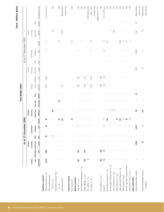|               |                        |           |             |                                | Pricing policy of loans |                      | 5.2 to 6.25% p.a.            |                             | $\mathbb N$      |                               | $\lesssim$ | reference rate<br>Money Market |                    | $\stackrel{\triangleleft}{\geq}$ |                   | $\overline{\Xi}$   | $\lesssim$                         | $\overline{\Xi}$           | MLR reference rate    | MLR $- 2%$ or        | 12-month fixed | deposit rate $+2.75\%$<br>$\mathbb{\overline{P}}$ | $7.14 - 8.75%$ p.a. | NA                                 | $\lesssim$                             | $\lesssim$                     | <b>N/A</b>                | $\lesssim$                        | $\lesssim$              | $\mathbb N\mathbb A$                  | $\lesssim$                    |                    | Money Market<br>reference rate | Money Market                  | reference rate |
|---------------|------------------------|-----------|-------------|--------------------------------|-------------------------|----------------------|------------------------------|-----------------------------|------------------|-------------------------------|------------|--------------------------------|--------------------|----------------------------------|-------------------|--------------------|------------------------------------|----------------------------|-----------------------|----------------------|----------------|---------------------------------------------------|---------------------|------------------------------------|----------------------------------------|--------------------------------|---------------------------|-----------------------------------|-------------------------|---------------------------------------|-------------------------------|--------------------|--------------------------------|-------------------------------|----------------|
|               |                        |           |             | Other                          | liabilities             |                      |                              |                             |                  |                               |            |                                |                    |                                  |                   |                    |                                    |                            |                       |                      |                | $\,$                                              | $\mathbf{I}$        |                                    |                                        |                                |                           |                                   |                         |                                       |                               |                    | 317                            |                               |                |
|               |                        | Interbank | and money   | market items                   | (liabilities)           |                      | ٠                            |                             | 73               |                               |            | 7,532                          |                    |                                  |                   |                    |                                    |                            |                       |                      |                |                                                   |                     |                                    | 4                                      | 203                            |                           |                                   |                         |                                       |                               |                    | 1,841                          | $\overline{0}$                |                |
|               |                        |           |             |                                | Deposits                |                      | $\sim$                       |                             |                  |                               | 25         |                                |                    | m                                |                   |                    |                                    |                            |                       | $\overline{9}$       |                |                                                   | $\circ$             | 137                                |                                        |                                |                           | 158                               | $\sim$                  | $\overline{4}$                        | $\sim$                        |                    |                                |                               |                |
|               | As at 31 December 2005 |           | Commitment  | off-balance                    | sheet                   |                      | $\overline{5}$               |                             |                  |                               |            |                                |                    |                                  |                   |                    |                                    |                            |                       | $\sim$               |                |                                                   | 52                  |                                    |                                        |                                |                           |                                   |                         |                                       |                               |                    | 9,994                          | $\equiv$                      |                |
|               |                        |           |             | Other                          | assets                  |                      |                              |                             |                  |                               |            |                                |                    |                                  |                   |                    |                                    |                            |                       |                      |                |                                                   |                     |                                    |                                        |                                |                           |                                   |                         |                                       |                               |                    |                                |                               |                |
|               |                        | Interbank | and money   | market items                   | (assets)                |                      |                              |                             |                  |                               |            |                                |                    |                                  |                   |                    |                                    |                            |                       |                      |                |                                                   |                     |                                    |                                        |                                |                           |                                   |                         |                                       |                               |                    | 1,507                          | 22                            |                |
|               |                        |           |             | loans Outstanding              | loans                   |                      | 2,282                        |                             |                  |                               |            |                                |                    |                                  |                   | 367                |                                    | 574                        |                       | 1,776                |                | 186                                               | 59                  |                                    |                                        |                                |                           |                                   |                         |                                       |                               |                    |                                |                               |                |
| THE BANK ONLY |                        |           | Average     |                                | outstanding             |                      | 2,314                        |                             |                  |                               |            | 221                            |                    |                                  |                   | 367                |                                    | 574                        | $\sim$                | 1,790                |                | 186                                               | SO                  |                                    |                                        |                                |                           |                                   |                         |                                       |                               |                    |                                |                               |                |
|               |                        |           |             | Other                          |                         |                      |                              |                             |                  |                               |            |                                |                    |                                  |                   |                    |                                    |                            |                       |                      |                |                                                   |                     |                                    |                                        |                                |                           |                                   |                         |                                       |                               |                    | 25                             |                               |                |
|               |                        |           |             | Short-term                     | borrowings liabilities  |                      |                              |                             |                  |                               | 50         |                                |                    |                                  |                   |                    |                                    |                            |                       |                      |                |                                                   |                     |                                    |                                        |                                |                           |                                   |                         |                                       |                               |                    |                                |                               |                |
|               |                        | Interbank | and money   | market items                   | (liabilities)           |                      | ٠                            |                             | 134              |                               |            |                                |                    |                                  |                   |                    |                                    |                            |                       |                      |                |                                                   |                     |                                    |                                        | S                              |                           |                                   |                         |                                       |                               |                    | 38                             | 614                           |                |
|               |                        |           |             |                                | <b>Deposits</b>         |                      | 20                           |                             |                  |                               | 43         | 105                            |                    | 23                               |                   |                    |                                    |                            | ×                     | ×                    |                |                                                   |                     | 106                                |                                        |                                | $\approx$                 | $\frac{9}{2}$                     | $\sim$                  | 96                                    | 4                             |                    |                                |                               |                |
|               | As at 31 December 2006 |           | Commitment/ | off-balance                    | sheet                   |                      | ¥                            |                             |                  |                               |            |                                |                    |                                  |                   |                    |                                    |                            |                       |                      |                |                                                   |                     |                                    |                                        |                                |                           |                                   |                         |                                       |                               |                    | 3,02                           |                               |                |
|               |                        |           |             | Other                          | assets                  |                      | \$                           |                             | $\sim$           |                               |            |                                |                    |                                  |                   |                    |                                    |                            |                       |                      |                |                                                   |                     |                                    |                                        |                                |                           |                                   |                         |                                       |                               |                    |                                |                               |                |
|               |                        | Interbank | and money   |                                | (assets)                |                      | ×                            |                             |                  |                               |            |                                |                    |                                  |                   |                    |                                    |                            | $\blacksquare$        |                      |                |                                                   |                     |                                    |                                        |                                |                           |                                   |                         | ٠                                     |                               |                    | 3,296                          | 26                            |                |
|               |                        |           |             | loans Outstanding market items | loans                   |                      | 1,906                        |                             |                  |                               |            |                                |                    |                                  |                   | 367                |                                    | 574                        |                       |                      |                | 186                                               | م.                  |                                    |                                        |                                |                           |                                   |                         |                                       |                               |                    |                                |                               |                |
|               |                        |           | Average     |                                | outstanding             |                      | 2,218                        |                             |                  |                               |            |                                |                    | ٠                                |                   | 367                |                                    | 574                        | ڡ                     | J.                   |                | 186                                               | $\frac{6}{5}$       |                                    |                                        |                                |                           |                                   |                         |                                       |                               |                    |                                |                               |                |
|               |                        |           |             |                                |                         | Subsidiary companies | UOB Leasing (Thai) Co., Ltd. | <b>UOB Asset Management</b> | (Thai) Co., Ltd. | UOB Buillion & Futures (Thai) | Co., Ltd.  | UOB Radanasin Plc.             | Associated company | AXA Insurance Plc.               | Related companies | Wing Fat Co., Ltd. | Asia Dhanavadh Warehouse Co., Ltd. | Piyalai Holdings Co., Ltd. | JAT Leasing Co., Ltd. | N.Y. Sugar Co., Ltd. |                | First Andaman Co., Ltd.                           | Loxley Plc.         | TNT Logistics (Thailand) Co., Ltd. | The Muangthai Life Assurance Co., Ltd. | Siam City Securities Co., Ltd. | Ocean Assurance Co., Ltd. | Underwaterworld Pattaya Co., Ltd. | PPHR (Thailand) Limited | Haw Par Tiger Balm (Thailand) Limited | United B MEC (Thai) Co., Ltd. | Major shareholders | United Overseas Bank Limited   | United Overseas Bank Group of | Companies      |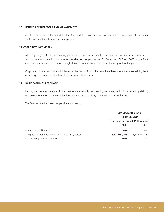#### **32. BENEFITS OF DIRECTORS AND MANAGEMENT**

As at 31 December 2006 and 2005, the Bank and its subsidiaries had not paid other benefits except for normal staff benefits to their directors and management.

# **33. CORPORATE INCOME TAX**

After adjusting profits for accounting purposes for non-tax deductible expenses and tax-exempt revenues in the tax computation, there is no income tax payable for the years ended 31 December 2006 and 2005 of the Bank and its subsidiaries since the tax loss brought forward from previous year exceeds the net profit for the years.

Corporate income tax of the subsidiaries on the net profit for the years have been calculated after adding back certain expenses which are disallowable for tax computation purpose.

### **34. BASIC EARNINGS PER SHARE**

Earning per share as presented in the income statements is basic earning per share, which is calculated by dividing net income for the year by the weighted average number of ordinary shares in issue during the year.

The Bank had the basic earnings per share as follows :

|                                                     | <b>CONSOLIDATED AND</b>         |               |
|-----------------------------------------------------|---------------------------------|---------------|
|                                                     | <b>THE BANK ONLY</b>            |               |
|                                                     | For the years ended 31 December |               |
|                                                     | 2006                            | 2005          |
| Net income (Million Baht)                           | 601                             | 954           |
| Weighted average number of ordinary shares (shares) | 8,217,062,166                   | 5,617,141,350 |
| Basic earnings per share (Baht)                     | 0.07                            | 0.17          |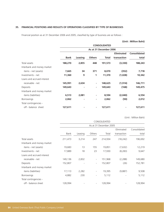# **35. FINANCIAL POSITIONS AND RESULTS OF OPERATIONS CLASSIFIED BY TYPE OF BUSINESSES**

Financial position as at 31 December 2006 and 2005, classified by type of business are as follows :

# **(Unit : Million Baht)**

|                            |             |         |               | <b>CONSOLIDATED</b>    |                   |                     |
|----------------------------|-------------|---------|---------------|------------------------|-------------------|---------------------|
|                            |             |         |               | As at 31 December 2006 |                   |                     |
|                            |             |         |               |                        | <b>Eliminated</b> | <b>Consolidated</b> |
|                            | <b>Bank</b> | Leasing | <b>Others</b> | Total                  | transaction       | total               |
| Total assets               | 188,270     | 2,855   | 448           | 191,573                | (3,330)           | 188,243             |
| Interbank and money market |             |         |               |                        |                   |                     |
| items - net (assets)       | 7,665       | 34      | 371           | 8,070                  | (352)             | 7,718               |
| Investments - net          | 11,360      | 9       | 1             | 11,370                 | (1,028)           | 10,342              |
| Loans and accrued interest |             |         |               |                        |                   |                     |
| receivable - net           | 145,991     | 2,634   | ٠             | 148,625                | (1, 914)          | 146,711             |
| Deposits                   | 149,643     |         | ٠             | 149,643                | (168)             | 149,475             |
| Interbank and money market |             |         |               |                        |                   |                     |
| items (liabilities)        | 6,513       | 2,081   | ٠             | 8,594                  | (2,040)           | 6,554               |
| Borrowings                 | 2,062       | ٠       | ٠             | 2,062                  | (50)              | 2,012               |
| Total contingencies -      |             |         |               |                        |                   |                     |
| off - balance sheet        | 127,611     |         | ٠             | 127,611                |                   | 127,611             |

|                            |         |         |                          | CONSOLIDATED           |             |              |
|----------------------------|---------|---------|--------------------------|------------------------|-------------|--------------|
|                            |         |         |                          | As at 31 December 2005 |             |              |
|                            |         |         |                          |                        | Eliminated  | Consolidated |
|                            | Bank    | Leasing | Others                   | Total                  | transaction | total        |
| Total assets               | 211,473 | 3,214   | 247                      | 214,934                | (18, 242)   | 196,692      |
| Interbank and money market |         |         |                          |                        |             |              |
| items - net (assets)       | 19,683  | 13      | 155                      | 19,851                 | (7,632)     | 12,219       |
| Investments - net          | 17,889  | 18      | 23                       | 17,930                 | (8, 283)    | 9,647        |
| Loans and accrued interest |         |         |                          |                        |             |              |
| receivable - net           | 149,136 | 2,832   | $\overline{\phantom{a}}$ | 151,968                | (2,288)     | 149,680      |
| Deposits                   | 152,807 |         | $\overline{\phantom{a}}$ | 152,807                | (26)        | 152,781      |
| Interbank and money market |         |         |                          |                        |             |              |
| items (liabilities)        | 17,113  | 2,282   | $\overline{\phantom{a}}$ | 19,395                 | (9,887)     | 9,508        |
| <b>Borrowings</b>          | 4,882   | 230     | $\overline{\phantom{a}}$ | 5,112                  |             | 5,112        |
| Total contingencies -      |         |         |                          |                        |             |              |
| off - balance sheet        | 128,994 |         | $\overline{\phantom{a}}$ | 128,994                |             | 128,994      |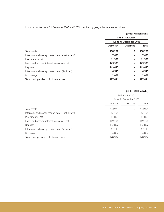Financial position as at 31 December 2006 and 2005, classified by geographic type are as follows :

# **(Unit : Million Baht) THE BANK ONLY As at 31 December 2006 Domestic Overseas Total** Total assets **188,267 3 188,270** Interbank and money market items - net (assets) **7,665** 7,665 - 7,665 Investments - net **11,360 - 11,360** Loans and accrued interest receivable - net **145,991 145,991 145,991 145,991** Deposits **149,643 - 149,643** Interbank and money market items (liabilities) **6,513 - 6,513** Borrowings **2,062 - 2,062** Total contingencies - off - balance sheet **127,611** 127,611 127,611

|                                                 |          | THE BANK ONLY            |         |
|-------------------------------------------------|----------|--------------------------|---------|
|                                                 |          | As at 31 December 2005   |         |
|                                                 | Domestic | Overseas                 | Total   |
| Total assets                                    | 203,928  | 3                        | 203,931 |
| Interbank and money market items - net (assets) | 12,151   | -                        | 12,151  |
| Investments - net                               | 17,889   | $\overline{\phantom{a}}$ | 17,889  |
| Loans and accrued interest receivable - net     | 149,136  |                          | 149,136 |
| Deposits                                        | 152,807  | $\overline{\phantom{a}}$ | 152,807 |
| Interbank and money market items (liabilities)  | 17,113   | $\overline{\phantom{a}}$ | 17,113  |
| <b>Borrowings</b>                               | 4,882    |                          | 4,882   |
| Total contingencies - off - balance sheet       | 128,994  |                          | 128,994 |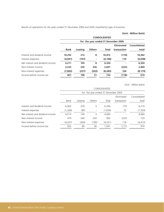Results of operations for the years ended 31 December 2006 and 2005 classified by type of business :

**(Unit : Million Baht)**

|                                  |             |         |                                     | <b>CONSOLIDATED</b> |                   |              |
|----------------------------------|-------------|---------|-------------------------------------|---------------------|-------------------|--------------|
|                                  |             |         | For the year ended 31 December 2006 |                     |                   |              |
|                                  |             |         |                                     |                     | <b>Eliminated</b> | Consolidated |
|                                  | <b>Bank</b> | Leasing | <b>Others</b>                       | Total               | transaction       | total        |
| Interest and dividend income     | 10,252      | 212     | 8                                   | 10,472              | (110)             | 10,362       |
| Interest expenses                | (4,041)     | (107)   | ٠                                   | (4, 148)            | 110               | (4,038)      |
| Net interest and dividend income | 6,211       | 105     | 8                                   | 6,324               |                   | 6,324        |
| Non-interest income              | 2.233       | 232     | 226                                 | 2.691               | (222)             | 2,469        |
| Non-interest expenses            | (7, 843)    | (237)   | (203)                               | (8, 283)            | 104               | (8, 179)     |
| Income before income tax         | 601         | 100     | 31                                  | 732                 | (118)             | 614          |

|                                  |          |         |        | CONSOLIDATED                        |             |              |
|----------------------------------|----------|---------|--------|-------------------------------------|-------------|--------------|
|                                  |          |         |        | For the year ended 31 December 2005 |             |              |
|                                  |          |         |        |                                     | Eliminated  | Consolidated |
|                                  | Bank     | Leasing | Others | Total                               | transaction | total        |
| Interest and dividend income     | 6,062    | 229     | 3      | 6,294                               | (75)        | 6,219        |
| Interest expenses                | (1, 549) | (85)    |        | (1,634)                             | 75          | (1, 559)     |
| Net interest and dividend income | 4,513    | 144     | 3      | 4,660                               |             | 4,660        |
| Non-interest income              | 479      | 240     | 243    | 962                                 | (233)       | 729          |
| Non-interest expenses            | (4,037)  | (304)   | (190)  | (4,531)                             | 116         | (4, 415)     |
| Income before income tax         | 955      | 80      | 56     | 1,091                               | (117)       | 974          |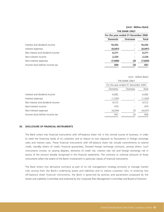|                                  |                                     | <b>THE BANK ONLY</b> |              |
|----------------------------------|-------------------------------------|----------------------|--------------|
|                                  | For the year ended 31 December 2006 |                      |              |
|                                  | <b>Domestic</b>                     | <b>Overseas</b>      | <b>Total</b> |
| Interest and dividend income     | 10,252                              | ۰                    | 10,252       |
| Interest expenses                | (4,041)                             | ۰                    | (4,041)      |
| Net interest and dividend income | 6,211                               | ٠                    | 6,211        |
| Non-interest income              | 2,233                               | ۰                    | 2,233        |
| Non-interest expenses            | (7, 840)                            | (3)                  | (7, 843)     |
| Income (loss) before income tax  | 604                                 | (3)                  | 601          |

#### (Unit : Million Baht)

| Domestic | Overseas | Total                                                |
|----------|----------|------------------------------------------------------|
| 6,062    |          | 6,062                                                |
| (1, 550) |          | (1, 550)                                             |
| 4,512    |          | 4,512                                                |
| 479      |          | 479                                                  |
| (4,034)  | (3)      | (4,037)                                              |
| 957      | (3)      | 954                                                  |
|          |          | THE BANK ONLY<br>For the year ended 31 December 2005 |

#### **36. DISCLOSURE OF FINANCIAL INSTRUMENTS**

The Bank enters into financial instruments with off-balance sheet risk in the normal course of business, in order to meet the financing needs of its customers and to reduce its own exposure to fluctuations in foreign exchange rates and interest rates. These financial instruments with off-balance sheet risk include commitments to extend credit, standby letters of credit, financial guarantees, forward foreign exchange contracts, among others. Such instruments involve, to varying degrees, elements of credit risk, interest rate risk and foreign exchange risk in excess of the amount already recognised in the financial statements. The contracts or notional amounts of those instruments reflect the extent of the Bank's involvement in particular classes of financial instruments.

The Bank enters into derivative contracts as part of its risk management strategy primarily to manage market risks arising from the Bank's underlying assets and liabilities and to reduce customer risks. In entering into off-balance sheet financial instruments, the Bank is governed by policies and parameters proposed by the Assets and Liabilities Committee and endorsed by the Corporate Risk Management Committee and Board of Directors.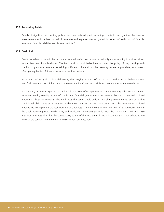#### **36.1 Accounting Policies**

Details of significant accounting policies and methods adopted, including criteria for recognition, the basis of measurement and the basis on which revenues and expenses are recognised in respect of each class of financial assets and financial liabilities, are disclosed in Note 6.

#### **36.2 Credit Risk**

Credit risk refers to the risk that a counterparty will default on its contractual obligations resulting in a financial loss to the Bank and its subsidiaries. The Bank and its subsidiaries have adopted the policy of only dealing with creditworthy counterparts and obtaining sufficient collateral or other security, where appropriate, as a means of mitigating the risk of financial losses as a result of defaults.

In the case of recognised financial assets, the carrying amount of the assets recorded in the balance sheet, net of allowance for doubtful accounts, represents the Bank's and its subsidiaries' maximum exposure to credit risk.

Furthermore, the Bank's exposure to credit risk in the event of non-performance by the counterparties to commitments to extend credit, standby letters of credit, and financial guarantees is represented by the contractual notional amount of those instruments. The Bank uses the same credit policies in making commitments and accepting conditional obligations as it does for on-balance sheet instruments. For derivatives, the contract or notional amounts do not represent the real exposure to credit loss. The Bank controls the credit risk of its derivatives through the credit approval process, credit limits, and monitoring procedures set by its Executive Committee. Credit risks also arise from the possibility that the counterparty to the off-balance sheet financial instruments will not adhere to the terms of the contract with the Bank when settlement becomes due.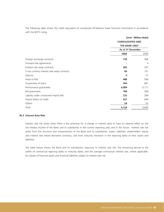The following table shows the credit equivalent of unmatured off-balance sheet financial instruments in accordance with the BOT's ruling.

|                                             | <b>CONSOLIDATED AND</b><br><b>THE BANK ONLY</b> | (Unit: Million Baht) |
|---------------------------------------------|-------------------------------------------------|----------------------|
|                                             | As at 31 December                               |                      |
|                                             | 2006                                            | 2005                 |
| Foreign exchange contracts                  | 739                                             | 566                  |
| Forward rate agreements                     |                                                 | $\overline{4}$       |
| Interest rate swap contracts                | 282                                             | 247                  |
| Cross currency interest rate swap contracts | 66                                              | 151                  |
| Options                                     | 4                                               | 21                   |
| Avals to bills                              | 488                                             | 506                  |
| Guarantees of loans                         | 564                                             | 681                  |
| Performance guarantees                      | 6,084                                           | 6,117                |
| Bid guarantees                              | 184                                             | 369                  |
| Liability under unmatured import bills      | 232                                             | 284                  |
| Import letters of credit                    | 427                                             | 644                  |
| Others                                      | 54                                              | 55                   |
| Total                                       | 9,124                                           | 9,645                |

#### **36.3 Interest Rate Risk**

Interest rate risk arises when there is the potential for a change in interest rates to have an adverse effect on the net interest income of the Bank and its subsidiaries in the current reporting year, and in the future. Interest rate risk arises from the structure and characteristics of the Bank and its subsidiaries' assets, liabilities, shareholders' equity and interest rate linked derivative contracts, and from maturity mismatch in the repricing dates of their assets and liabilities.

The table below shows the Bank and its subsidiaries' exposure to interest rate risk, the remaining period to the earlier of contractual repricing dates or maturity dates, and the average contractual interest rate, where applicable, for classes of financial assets and financial liabilities subject to interest rate risk.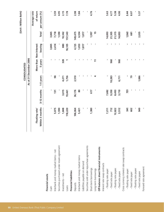| 2,035<br>٠           |       |                                                                                                                | 1,086                  |                                                               | 949             | - fixed rate payee                          |
|----------------------|-------|----------------------------------------------------------------------------------------------------------------|------------------------|---------------------------------------------------------------|-----------------|---------------------------------------------|
|                      |       |                                                                                                                |                        |                                                               |                 |                                             |
|                      |       |                                                                                                                |                        |                                                               |                 | - floating rate payee                       |
| 681                  |       |                                                                                                                | 79                     |                                                               | 602             | - fixed rate payer                          |
| 1,262                |       |                                                                                                                | ٠                      | 721                                                           | 541             | - floating rate payer                       |
|                      |       |                                                                                                                |                        |                                                               |                 | Cross currency interest rate swap contracts |
| 14,893               |       | 960                                                                                                            | 6,711                  | 3,710                                                         | 3,512           | - fixed rate payee                          |
| 21,315               |       |                                                                                                                |                        | 8,493                                                         |                 | - floating rate payee                       |
| 21,305               |       | 960                                                                                                            |                        | 9,350                                                         | 712             | - fixed rate payer                          |
| 14,893               |       |                                                                                                                |                        | 7,682                                                         |                 | - floating rate payer                       |
|                      |       |                                                                                                                |                        |                                                               |                 | Interest rate swap contracts                |
|                      |       |                                                                                                                |                        |                                                               |                 | Off-balance sheet financial instruments     |
| 15                   |       | $\overline{1}$                                                                                                 | 4                      |                                                               |                 | Long-term borrowings                        |
|                      |       |                                                                                                                |                        | 617                                                           | 1,380           | Short-term borrowings                       |
|                      |       |                                                                                                                | J,                     |                                                               |                 | Securities sold under repurchase agreements |
| 1,817                |       |                                                                                                                |                        |                                                               |                 | Liabilities payable on demand               |
| 6,554                |       |                                                                                                                | ٠                      | 80                                                            | 5,421           | Interbank and money market items            |
| 149,475              |       |                                                                                                                | 2,510                  | 36,176                                                        | 106,064         | Deposits                                    |
|                      |       |                                                                                                                |                        |                                                               |                 | <b>Financial liabilities</b>                |
| 157,543              |       |                                                                                                                | 1,756                  | 19,461                                                        | 118,220         | Loans                                       |
| 10,342               |       | 328                                                                                                            | 4,271                  | 3,015                                                         | 1,848           | Investments - net                           |
| 1,590                |       | p                                                                                                              |                        |                                                               |                 | Securities purchased under resale agreement |
| 7,718                |       |                                                                                                                | 98                     | 131                                                           | 5,075           | Interbank and money market items - net      |
| 3,865                |       |                                                                                                                | ٠                      |                                                               |                 | Financial assets<br>Cash                    |
| <b>Total</b>         |       | 5 years                                                                                                        |                        | 3-12 months                                                   | Within 3 months |                                             |
|                      |       |                                                                                                                |                        |                                                               | Floating rate/  |                                             |
|                      |       |                                                                                                                |                        |                                                               |                 |                                             |
|                      |       |                                                                                                                |                        |                                                               |                 |                                             |
|                      |       |                                                                                                                |                        |                                                               |                 |                                             |
| (Unit: Million Baht) |       |                                                                                                                |                        |                                                               |                 |                                             |
|                      | 1,997 | 4,725<br>×<br>J,<br>٠<br>٠<br>bearing<br>3,865<br>2,414<br>880<br>18,105<br>1,053<br>1,817<br>٠<br>٠<br>٠<br>٠ | More than Non-interest | As at 31 December 2006<br>CONSOLIDATED<br>1-5 years<br>10,283 |                 | 1,590<br>12,822<br>7,211                    |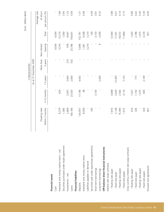|                                             |                 |             |           |                        |              |         | (Unit: Million Baht) |
|---------------------------------------------|-----------------|-------------|-----------|------------------------|--------------|---------|----------------------|
|                                             |                 |             |           | CONSOLIDATED           |              |         |                      |
|                                             |                 |             |           | As at 31 December 2005 |              |         |                      |
|                                             |                 |             |           |                        |              |         | Average rate         |
|                                             | Floating rate/  |             |           | More than              | Non-interest |         | of return            |
|                                             | Within 3 months | 3-12 months | 1-5 years | 5 years                | bearing      | Total   | per annum (%)        |
| <b>Financial assets</b>                     |                 |             |           |                        |              |         |                      |
| Cash                                        |                 |             |           |                        | 4,934        | 4,934   |                      |
| Interbank and money market items - net      | 8,279           | 624         |           |                        | 3,316        | 12,219  | 1.86                 |
| Securities purchased under resale agreement | 1,000           |             |           |                        |              | 1,000   | 3.95                 |
| Investments - net                           | 2,809           | 2,007       | 3,643     | 210                    | 978          | 9,647   | $\overline{1}$ .     |
| Loans                                       | 109,180         | 23,503      | 2,600     | 532                    | 23,786       | 59,601  | 5.69                 |
| <b>Financial liabilities</b>                |                 |             |           |                        |              |         |                      |
| Deposits                                    | 124,957         | 17,196      | 4,932     |                        | 5,696        | 152,781 | 1.31                 |
| Interbank and money market items            | 8,059           | 89          |           |                        | 1,381        | 9,508   | 0.96                 |
| Liabilities payable on demand               | ı               |             |           |                        | 2,210        | 2,210   |                      |
| Securities sold under repurchase agreements | 100             |             |           |                        |              | 100     | 4.09                 |
| Short-term borrowings                       |                 | 3,103       |           |                        | л.           | 3,103   | $\overline{3.81}$    |
| Long-term borrowings                        |                 |             | 2,000     |                        | G            | 2,009   | 6.32                 |
| Off-balance sheet financial instruments     |                 |             |           |                        |              |         |                      |
| Interest rate swap contracts                |                 |             |           |                        |              |         |                      |
| - floating rate payer                       | 7,816           | 4,848       |           |                        |              | 12,664  | 3.88                 |
| - fixed rate payer                          | 2,148           | 2,620       | 12,493    |                        |              | 17,261  | 4.01                 |
| - floating rate payee                       | 15,490          | 2,582       |           |                        |              | 18,072  | 4.14                 |
| - fixed rate payee                          | 1,615           | 3,116       | 7,133     |                        |              | 11,864  | 3.15                 |
| Cross currency interest rate swap contracts |                 |             |           |                        |              |         |                      |
| - floating rate payer                       | 616             | 1,027       |           |                        |              | 1,643   | 0.80                 |
| - fixed rate payer                          | 329             | 1,742       | 715       |                        |              | 2,786   | 4.42                 |
| - floating rate payee                       |                 | 1,075       |           |                        |              | 1,075   | 5.45                 |
| - fixed rate payee                          | 324             | 845         | 2,149     |                        |              | 3,318   | 5.30                 |
| Forward rate agreements                     | 821             |             |           |                        |              | 821     | 4.00                 |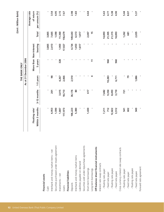|                                             |                 |             |           |                        |         |                | (Unit: Million Baht) |
|---------------------------------------------|-----------------|-------------|-----------|------------------------|---------|----------------|----------------------|
|                                             |                 |             |           | THE BANK ONLY          |         |                |                      |
|                                             |                 |             |           | As at 31 December 2006 |         |                |                      |
|                                             |                 |             |           |                        |         |                | Average rate         |
|                                             | Floating rate/  |             |           | More than Non-interest |         |                | of return            |
|                                             | Within 3 months | 3-12 months | 1-5 years | 5 years                | bearing | <b>Total</b>   | per annum (%)        |
| <b>Financial assets</b>                     |                 |             |           |                        |         |                |                      |
| Cash                                        | p               |             | ٠         |                        | 3,865   | 3,865          |                      |
| Interbank and money market items - net      | 4,953           | 201         | 86        | л                      | 2,413   | 7,665          | 3.54                 |
| Securities purchased under resale agreement | 1,590           |             |           | p                      |         | 1,590          | 4.95                 |
| Investments - net                           | 1,847           | 3,015       | 4,267     | 328                    | 1,903   | 11,360         | 2.15                 |
| Loans                                       | 117,973         | 18,713      | 2,066     |                        | 17,927  | 156,679        | 7.67                 |
| <b>Financial liabilities</b>                |                 |             |           |                        |         |                |                      |
| Deposits                                    | 106,223         | 36,176      | 2,510     |                        | 4,734   | 149,643        | 2.98                 |
| Interbank and money market items            | 5,380           | 80          |           |                        | 1,053   | 6,513          | 1.83                 |
| Liabilities payable on demand               |                 |             |           |                        | 1,817   | 1,817          |                      |
| Securities sold under repurchase agreements | ٠               |             |           |                        |         |                |                      |
| Short-term borrowings                       | 1,430           | 617         |           |                        |         | 2,047          | 4.64                 |
| Long-term borrowings                        |                 |             | 4         | $\overline{1}$         |         | $\frac{15}{2}$ |                      |
| Off-balance sheet financial instruments     |                 |             |           |                        |         |                |                      |
| Interest rate swap contracts                |                 |             |           |                        |         |                |                      |
| - floating rate payer                       | 7,211           | 7,682       |           |                        |         | 14,893         | 5.63                 |
| - fixed rate payer                          | 712             | 9,350       | 10,283    | 960                    |         | 21,305         | 4.77                 |
| - floating rate payee                       | 12,822          | 8,493       |           |                        |         | 21,315         | 5.38                 |
| - fixed rate payee                          | 3,512           | 3,710       | 6,711     | 960                    |         | 14,893         | 4.90                 |
| Cross currency interest rate swap contracts |                 |             |           |                        |         |                |                      |
| - floating rate payer                       | 541             | 721         | ٠         |                        |         | 1,262          | 5.44                 |
| - fixed rate payer                          | 602             |             | 79        |                        | J.      | 681            | 8.07                 |
| - floating rate payee                       |                 |             |           |                        |         |                |                      |
| - fixed rate payee                          | 949             |             | 1,086     |                        |         | 2,035          | 5.37                 |
| Forward rate agreement                      | p               |             |           |                        |         |                |                      |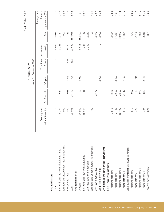|                                             |                 |             |           |                        |              |         | (Unit: Million Baht) |
|---------------------------------------------|-----------------|-------------|-----------|------------------------|--------------|---------|----------------------|
|                                             |                 |             |           | THE BANK ONLY          |              |         |                      |
|                                             |                 |             |           | As at 31 December 2005 |              |         |                      |
|                                             |                 |             |           |                        |              |         | Average rate         |
|                                             | Floating rate/  |             |           | More than              | Non-interest |         | of return            |
|                                             | Within 3 months | 3-12 months | 1-5 years | 5 years                | bearing      | Total   | per annum (%)        |
| <b>Financial assets</b>                     |                 |             |           |                        |              |         |                      |
| Cash                                        |                 |             |           |                        | 4,934        | 4,934   |                      |
| Interbank and money market items - net      | 8,254           | 611         |           |                        | 3,286        | 12,151  | 2.09                 |
| Securities purchased under resale agreement | 1,000           |             |           |                        |              | 1,000   | 3.95                 |
| Investments - net                           | 2,809           | 1,985       | 3,643     | 210                    | 9,242        | 17,889  | 1.23                 |
| Loans                                       | 109,008         | 24,142      | 1,606     | 532                    | 23,630       | 158,918 | 5.62                 |
| <b>Financial liabilities</b>                |                 |             |           |                        |              |         |                      |
| Deposits                                    | 124,982         | 17,197      | 4,932     |                        | 5,696        | 152,807 | 1.31                 |
| Interbank and money market items            | 15,664          | 89          |           |                        | 1,381        | 17,113  | 0.89                 |
| Liabilities payable on demand               |                 |             |           |                        | 2,210        | 2,210   |                      |
| Securities sold under repurchase agreements | 100             |             |           |                        |              | 100     | 4.09                 |
| Short-term borrowings                       |                 | 2,873       |           |                        |              | 2,873   | 3.87                 |
| Long-term borrowings                        |                 |             | 2,000     |                        | G            | 2,009   | 6.32                 |
| Off-balance sheet financial instruments     |                 |             |           |                        |              |         |                      |
| Interest rate swap contracts                |                 |             |           |                        |              |         |                      |
| - floating rate payer                       | 7,816           | 4,848       |           |                        |              | 12,664  | 3.88                 |
| - fixed rate payer                          | 2,148           | 2,620       | 12,493    |                        |              | 17,261  | 4.01                 |
| - floating rate payee                       | 15,490          | 2,582       |           |                        |              | 18,072  | 4.14                 |
| - fixed rate payee                          | 1,615           | 3,116       | 7,133     |                        |              | 11,864  | 3.15                 |
| Cross currency interest rate swap contracts |                 |             |           |                        |              |         |                      |
| - floating rate payer                       | 616             | 1,027       |           |                        |              | 1,643   | 0.80                 |
| - fixed rate payer                          | 329             | 1,742       | 715       |                        |              | 2,786   | 4.42                 |
| - floating rate payee                       |                 | 1,075       |           |                        |              | 1,075   | 5.45                 |
| - fixed rate payee                          | 324             | 845         | 2,149     |                        |              | 3,318   | 5.30                 |
| Forward rate agreements                     | 821             |             |           |                        |              | 821     | 4.00                 |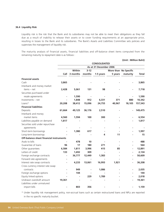#### **36.4 Liquidity Risk**

Liquidity risk is the risk that the Bank and its subsidiaries may not be able to meet their obligations as they fall due as a result of inability to release their assets or to cover funding requirements at an appropriate price, resulting in losses to the Bank and its subsidiaries. The Bank's Assets and Liabilities Committee sets policies and supervises the management of liquidity risk.

The maturity analysis of financial assets, financial liabilities and off-balance sheet items computed from the remaining maturity to repayment date is as follows :

**(Unit : Million Baht)**

|                                         |                |                |          | <b>CONSOLIDATED</b>    |         |                          |         |
|-----------------------------------------|----------------|----------------|----------|------------------------|---------|--------------------------|---------|
|                                         |                |                |          | As at 31 December 2006 |         |                          |         |
|                                         |                | Within         | $3 - 12$ |                        |         | More than No Specific    |         |
|                                         |                | Call 3 months  | months   | 1-5 years              | 5 years | maturity                 | Total   |
| <b>Financial assets</b>                 |                |                |          |                        |         |                          |         |
| Cash                                    | 3,865          |                |          |                        |         |                          | 3,865   |
| Interbank and money market              |                |                |          |                        |         |                          |         |
| items - net                             | 2,428          | 5,061          | 131      | 98                     |         |                          | 7,718   |
| Securities purchased under              |                |                |          |                        |         |                          |         |
| resale agreements                       |                | 1,590          |          |                        |         |                          | 1,590   |
| Investments - net                       |                | 1,848          | 912      | 6,331                  | 371     | 880                      | 10,342  |
| $Loans*$                                | 20,208         | 38,412         | 15,096   | 24,755                 | 40,967  | 18,105                   | 157,543 |
| <b>Financial liabilities</b>            |                |                |          |                        |         |                          |         |
| Deposits                                | 61,664         | 49,125         | 36,176   | 2,510                  |         |                          | 149,475 |
| Interbank and money                     |                |                |          |                        |         |                          |         |
| market items                            | 4,560          | 1,594          | 100      | 300                    |         |                          | 6,554   |
| Liabilities payable on demand           | 1,817          |                |          |                        |         |                          | 1,817   |
| Securities sold under repurchase        |                |                |          |                        |         |                          |         |
| agreements                              |                |                |          |                        |         |                          |         |
| Short-term borrowings                   |                | 1,380          | 617      |                        |         |                          | 1,997   |
| Long-term borrowings                    |                |                |          | 4                      | 11      |                          | 15      |
| Off-balance sheet financial instruments |                |                |          |                        |         |                          |         |
| Avals to bills                          |                | 478            | 10       |                        |         |                          | 488     |
| Guarantee of loans                      | 96             | 17             | 180      | 271                    |         | $\overline{\phantom{0}}$ | 564     |
| Other guarantees                        | 6,584          | 1,811          | 3,996    | 415                    | 85      | $\overline{\phantom{a}}$ | 12,891  |
| Letters of credit                       | 133            | 1,692          | 309      |                        | ÷       | $\blacksquare$           | 2,134   |
| Foreign exchange contracts              | $\blacksquare$ | 36,777         | 12,449   | 1,383                  |         | $\overline{\phantom{a}}$ | 50,609  |
| Forward rate agreements                 |                | $\blacksquare$ |          |                        |         |                          |         |
| Interest rate swap contracts            | ٠              | 4,233          | 13,061   | 16,993                 | 1,921   |                          | 36,208  |
| Cross currency interest rate swap       |                |                |          |                        |         |                          |         |
| contracts                               |                | 949            |          | 1,086                  |         |                          | 2,035   |
| Foreign exchange options                |                | 144            |          |                        |         |                          | 144     |
| Equity linked options                   |                |                | 229      | 1,789                  |         |                          | 2,018   |
| Undrawn overdraft amount                | 19,361         |                |          |                        |         |                          | 19,361  |
| Liabilities under unmatured             |                |                |          |                        |         |                          |         |
| import bills                            |                | 803            | 356      |                        |         |                          | 1,159   |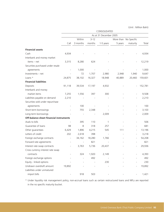|                                         |                          |                          |          | CONSOLIDATED           |         |                          |         |
|-----------------------------------------|--------------------------|--------------------------|----------|------------------------|---------|--------------------------|---------|
|                                         |                          |                          |          | As at 31 December 2005 |         |                          |         |
|                                         |                          | Within                   | $3 - 12$ |                        |         | More than No Specific    |         |
|                                         | Call                     | 3 months                 | months   | 1-5 years              | 5 years | maturity                 | Total   |
| <b>Financial assets</b>                 |                          |                          |          |                        |         |                          |         |
| Cash                                    | 4,934                    |                          |          |                        |         |                          | 4,934   |
| Interbank and money market              |                          |                          |          |                        |         |                          |         |
| items - net                             | 3,315                    | 8,280                    | 624      |                        |         |                          | 12,219  |
| Securities purchased under resale       |                          |                          |          |                        |         |                          |         |
| agreements                              |                          | 1,000                    |          |                        |         |                          | 1,000   |
| Investments - net                       |                          | 72                       | 1,707    | 2,980                  | 2,948   | 1,940                    | 9,647   |
| Loans *                                 | 24,875                   | 38,102                   | 16,327   | 18,948                 | 40,889  | 20,460                   | 159,601 |
| <b>Financial liabilities</b>            |                          |                          |          |                        |         |                          |         |
| Deposits                                | 91,118                   | 39,534                   | 17,197   | 4,932                  |         | $\qquad \qquad -$        | 152,781 |
| Interbank and money                     |                          |                          |          |                        |         |                          |         |
| market items                            | 7,255                    | 1,556                    | 397      | 300                    |         |                          | 9,508   |
| Liabilities payable on demand           | 2,210                    |                          |          |                        |         |                          | 2,210   |
| Securities sold under repurchase        |                          |                          |          |                        |         |                          |         |
| agreements                              |                          | 100                      |          |                        |         | $\overline{\phantom{a}}$ | 100     |
| Short-term borrowings                   |                          | 755                      | 2,348    |                        |         | $\overline{\phantom{a}}$ | 3,103   |
| Long-term borrowings                    |                          |                          |          | 2,009                  |         |                          | 2,009   |
| Off-balance sheet financial instruments |                          |                          |          |                        |         |                          |         |
| Avals to bills                          |                          | 395                      | 110      | 1                      |         | $\qquad \qquad -$        | 506     |
| Guarantee of loans                      | 98                       | 8                        | 318      | 257                    |         | $\overline{\phantom{a}}$ | 681     |
| Other guarantees                        | 6,429                    | 1,896                    | 4,215    | 545                    | 111     | $\overline{\phantom{a}}$ | 13,196  |
| Letters of credit                       | 202                      | 2,618                    | 398      |                        |         | $\overline{\phantom{a}}$ | 3,218   |
| Foreign exchange contracts              | $\overline{\phantom{m}}$ | 34,162                   | 18,280   | 1,766                  |         |                          | 54,208  |
| Forward rate agreements                 |                          | $\overline{\phantom{a}}$ | 821      |                        |         | $\overline{\phantom{a}}$ | 821     |
| Interest rate swap contracts            |                          | 3,763                    | 5,736    | 20,437                 |         |                          | 29,936  |
| Cross currency interest rate swap       |                          |                          |          |                        |         |                          |         |
| contracts                               |                          | 324                      | 1,920    | 2,149                  |         |                          | 4,393   |
| Foreign exchange options                |                          |                          | 492      |                        |         |                          | 492     |
| Equity - linked options                 |                          |                          |          | 230                    |         |                          | 230     |
| Undrawn overdraft amount                | 19,892                   |                          |          |                        |         |                          | 19,892  |
| Liabilities under unmatured             |                          |                          |          |                        |         |                          |         |
| import bills                            |                          | 918                      | 503      |                        |         |                          | 1,421   |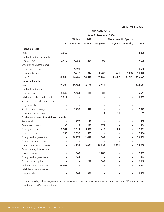|                                         |        |               |          | <b>THE BANK ONLY</b>   |         |                       |              |
|-----------------------------------------|--------|---------------|----------|------------------------|---------|-----------------------|--------------|
|                                         |        |               |          | As at 31 December 2006 |         |                       |              |
|                                         |        | Within        | $3 - 12$ |                        |         | More than No Specific |              |
|                                         |        | Call 3 months | months   | 1-5 years              | 5 years | maturity              | <b>Total</b> |
| <b>Financial assets</b>                 |        |               |          |                        |         |                       |              |
| Cash                                    | 3,865  |               |          |                        |         |                       | 3,865        |
| Interbank and money market              |        |               |          |                        |         |                       |              |
| items – net                             | 2,413  | 4,953         | 201      | 98                     |         |                       | 7,665        |
| Securities purchased under              |        |               |          |                        |         |                       |              |
| resale agreements                       |        | 1,590         |          |                        |         |                       | 1,590        |
| Investments - net                       |        | 1,847         | 912      | 6,327                  | 371     | 1,903                 | 11,360       |
| Loans *                                 | 20,608 | 37,765        | 14,346   | 25,065                 | 40,967  | 17,928                | 156,679      |
| <b>Financial liabilities</b>            |        |               |          |                        |         |                       |              |
| Deposits                                | 61,796 | 49,161        | 36,176   | 2,510                  |         |                       | 149,643      |
| Interbank and money                     |        |               |          |                        |         |                       |              |
| market items                            | 4,449  | 1,664         | 100      | 300                    |         |                       | 6,513        |
| Liabilities payable on demand           | 1,817  |               |          |                        |         |                       | 1,817        |
| Securities sold under repurchase        |        |               |          |                        |         |                       |              |
| agreements                              |        |               |          |                        |         |                       |              |
| Short-term borrowings                   |        | 1,430         | 617      |                        |         |                       | 2,047        |
| Long-term borrowings                    |        |               |          | 4                      | 11      |                       | 15           |
| Off-balance sheet financial instruments |        |               |          |                        |         |                       |              |
| Avals to bills                          |        | 478           | 10       |                        |         |                       | 488          |
| Guarantee of loans                      | 96     | 17            | 180      | 271                    |         |                       | 564          |
| Other guarantees                        | 6,584  | 1,811         | 3,996    | 415                    | 85      |                       | 12,891       |
| Letters of credit                       | 133    | 1,692         | 309      |                        |         |                       | 2,134        |
| Foreign exchange contracts              | ۰      | 36,777        | 12,449   | 1,383                  |         |                       | 50,609       |
| Forward rate agreements                 |        |               |          |                        |         |                       |              |
| Interest rate swap contracts            |        | 4,233         | 13,061   | 16,993                 | 1,921   |                       | 36,208       |
| Cross currency interest rate            |        |               |          |                        |         |                       |              |
| swap contracts                          |        | 949           |          | 1,086                  |         |                       | 2,035        |
| Foreign exchange options                |        | 144           |          |                        |         |                       | 144          |
| Equity - linked options                 |        | $\frac{1}{2}$ | 229      | 1,789                  |         |                       | 2,018        |
| Undrawn overdraft amount                | 19,361 |               |          |                        |         |                       | 19,361       |
| Liabilities under unmatured             |        |               |          |                        |         |                       |              |
| import bills                            |        | 803           | 356      |                        |         |                       | 1,159        |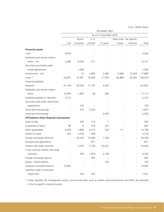|                                         |                |          |          | THE BANK ONLY          |         |                          |         |
|-----------------------------------------|----------------|----------|----------|------------------------|---------|--------------------------|---------|
|                                         |                |          |          | As at 31 December 2005 |         |                          |         |
|                                         |                | Within   | $3 - 12$ |                        |         | More than No Specific    |         |
|                                         | Call           | 3 months | months   | 1-5 years              | 5 years | maturity                 | Total   |
| <b>Financial assets</b>                 |                |          |          |                        |         |                          |         |
| Cash                                    | 4,934          |          |          |                        |         |                          | 4,934   |
| Interbank and money market              |                |          |          |                        |         |                          |         |
| items - net                             | 3,286          | 8,254    | 611      |                        |         |                          | 12,151  |
| Securities purchased under              |                |          |          |                        |         |                          |         |
| resale agreements                       |                | 1,000    |          |                        |         |                          | 1,000   |
| Investments - net                       |                | 72       | 1,685    | 2,980                  | 2,948   | 10,204                   | 17,889  |
| Loans *                                 | 24,875         | 37,931   | 16,966   | 17,954                 | 40,889  | 20,303                   | 158,918 |
| Financial liabilities                   |                |          |          |                        |         |                          |         |
| Deposits                                | 91,144         | 39,534   | 17,197   | 4,932                  |         |                          | 152,807 |
| Interbank and money market              |                |          |          |                        |         |                          |         |
| items                                   | 14,940         | 1,805    | 68       | 300                    |         |                          | 17,113  |
| Liabilities payable on demand           | 2,210          |          |          |                        |         |                          | 2,210   |
| Securities sold under repurchase        |                |          |          |                        |         |                          |         |
| agreements                              |                | 100      |          |                        |         |                          | 100     |
| Short-term borrowings                   |                | 570      | 2,303    |                        |         |                          | 2,873   |
| Long-term borrowings                    |                |          |          | 2,009                  |         |                          | 2,009   |
| Off-balance sheet financial instruments |                |          |          |                        |         |                          |         |
| Avals to bills                          |                | 395      | 110      | 1                      |         |                          | 506     |
| Guarantee of loans                      | 98             | 8        | 318      | 257                    |         | $\overline{\phantom{a}}$ | 681     |
| Other guarantees                        | 6,429          | 1,896    | 4,215    | 545                    | 111     | $\qquad \qquad -$        | 13,196  |
| Letters of credit                       | 202            | 2,618    | 398      |                        |         |                          | 3,218   |
| Foreign exchange contracts              | $\overline{a}$ | 34,162   | 18,280   | 1,766                  |         |                          | 54,208  |
| Forward rate agreements                 |                |          | 821      |                        |         |                          | 821     |
| Interest rate swap contracts            |                | 3,763    | 5,736    | 20,437                 |         |                          | 29,936  |
| Cross currency interest rate swap       |                |          |          |                        |         |                          |         |
| contracts                               |                | 324      | 1,920    | 2,149                  |         |                          | 4,393   |
| Foreign exchange options                |                |          | 492      |                        |         |                          | 492     |
| Equity - linked options                 |                |          |          | 230                    |         |                          | 230     |
| Undrawn overdraft amount                | 19,892         |          |          |                        |         |                          | 19,892  |
| Liabilities under unmatured             |                |          |          |                        |         |                          |         |
| import bills                            |                | 918      | 503      |                        |         |                          | 1,421   |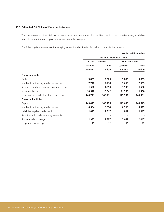# **36.5 Estimated Fair Value of Financial Instruments**

The fair values of financial instruments have been estimated by the Bank and its subsidiaries using available market information and appropriate valuation methodologies.

The following is a summary of the carrying amount and estimated fair value of financial instruments :

|                                              |                     |                        |               | (Unit: Million Baht) |
|----------------------------------------------|---------------------|------------------------|---------------|----------------------|
|                                              |                     | As at 31 December 2006 |               |                      |
|                                              | <b>CONSOLIDATED</b> |                        | THE BANK ONLY |                      |
|                                              | Carrying            | Fair                   | Carrying      | Fair                 |
|                                              | amount              | value                  | amount        | value                |
| <b>Financial assets</b>                      |                     |                        |               |                      |
| Cash                                         | 3,865               | 3,865                  | 3,865         | 3,865                |
| Interbank and money market items - net       | 7,718               | 7,718                  | 7,665         | 7,665                |
| Securities purchased under resale agreements | 1,590               | 1,590                  | 1,590         | 1,590                |
| Investments - net                            | 10,342              | 10,342                 | 11,360        | 11,360               |
| Loans and accrued interest receivable – net  | 146,711             | 146,711                | 145,991       | 145,991              |
| <b>Financial liabilities</b>                 |                     |                        |               |                      |
| Deposits                                     | 149,475             | 149,475                | 149,643       | 149,643              |
| Interbank and money market items             | 6,554               | 6,554                  | 6,513         | 6,513                |
| Liabilities payable on demand                | 1,817               | 1,817                  | 1,817         | 1,817                |
| Securities sold under resale agreements      |                     |                        |               |                      |
| Short-term borrowings                        | 1,997               | 1,997                  | 2,047         | 2,047                |
| Long-term borrowings                         | 15                  | 12                     | 15            | 12                   |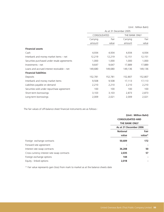|                                              |              | As at 31 December 2005 |               |         |  |
|----------------------------------------------|--------------|------------------------|---------------|---------|--|
|                                              | CONSOLIDATED |                        | THE BANK ONLY |         |  |
|                                              | Carrying     | Fair                   |               | Fair    |  |
|                                              | amount       | value                  | amount        | value   |  |
| <b>Financial assets</b>                      |              |                        |               |         |  |
| Cash                                         | 4,934        | 4,934                  | 4,934         | 4,934   |  |
| Interbank and money market items - net       | 12,219       | 12,219                 | 12,151        | 12,151  |  |
| Securities purchased under resale agreements | 1,000        | 1,000                  | 1,000         | 1,000   |  |
| Investments - net                            | 9,647        | 9,647                  | 17,889        | 17,889  |  |
| Loans and accrued interest receivable – net  | 149,680      | 149,680                | 149,136       | 149,136 |  |
| <b>Financial liabilities</b>                 |              |                        |               |         |  |
| Deposits                                     | 152,781      | 152,781                | 152,807       | 152,807 |  |
| Interbank and money market items             | 9,508        | 9,508                  | 17,113        | 17,113  |  |
| Liabilities payable on demand                | 2,210        | 2,210                  | 2,210         | 2,210   |  |
| Securities sold under repurchase agreement   | 100          | 100                    | 100           | 100     |  |
| Short-term borrowings                        | 3,103        | 3,103                  | 2,873         | 2,873   |  |
| Long-term borrowings                         | 2,009        | 2,021                  | 2,009         | 2,021   |  |

The fair values of off-balance sheet financial instruments are as follows :

|                                             | (Unit: Million Baht)    |        |  |
|---------------------------------------------|-------------------------|--------|--|
|                                             | <b>CONSOLIDATED AND</b> |        |  |
|                                             | <b>THE BANK ONLY</b>    |        |  |
|                                             | As at 31 December 2006  |        |  |
|                                             | <b>Notional</b>         | Fair   |  |
|                                             | value                   | value* |  |
| Foreign exchange contracts                  | 50,609                  | 172    |  |
| Forward rate agreement                      |                         |        |  |
| Interest rate swap contracts                | 36,208                  | 50     |  |
| Cross currency interest rate swap contracts | 2,035                   | 57     |  |
| Foreign exchange options                    | 144                     | ۰      |  |
| Equity - linked options                     | 2,018                   |        |  |

\* Fair value represents gain (loss) from mark to market as at the balance sheets date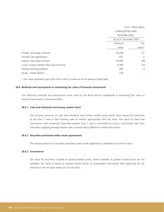| (Unit: Million Baht)                                               |      |          |        |
|--------------------------------------------------------------------|------|----------|--------|
| <b>CONSOLIDATED AND</b><br>THE BANK ONLY<br>As at 31 December 2005 |      |          |        |
|                                                                    |      | Notional | Fair   |
|                                                                    |      | value    | value* |
| 54,208                                                             | 37   |          |        |
| 821                                                                | 2    |          |        |
| 29,936                                                             | (66) |          |        |
| 4,359                                                              | (72) |          |        |
| 492                                                                | (1)  |          |        |
| 230                                                                |      |          |        |
|                                                                    |      |          |        |

\* Fair value represents gain (loss) from mark to market as at the balance sheets date

#### **36.6 Methods and assumptions in estimating fair value of financial instruments**

The following methods and assumptions were used by the Bank and its subsidiaries in estimating fair value of financial instruments as disclosed herein.

#### **36.6.1 Cash and interbank and money market items**

The carrying amounts of cash and interbank and money market items which have remaining maturities of less than 1 year or bear floating rates of interest approximate their fair value. Fair value for fixed rate instruments with remaining maturities greater than 1 year is estimated by using a discounted cash flow calculation applying average interest rates currently being offered on similar instruments.

#### **36.6.2 Securities purchased under resale agreements**

The carrying amount of securities purchased under resale agreements is deemed to be the fair value.

#### **36.6.3 Investments**

Fair value for securities is based on quoted market prices, where available. If quoted market prices are not available, fair value is based on quoted market prices of comparable instruments after adjusting for risk involved or the net asset values of such securities.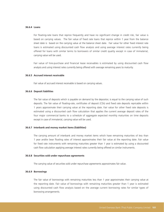#### **36.6.4 Loans**

For floating-rate loans that reprice frequently and have no significant change in credit risk, fair value is based on carrying values. The fair value of fixed rate loans that reprice within 1 year from the balance sheet date is based on the carrying value at the balance sheet date. Fair value for other fixed interest rate loans is estimated using discounted cash flow analysis and using average interest rates currently being offered for loans with similar terms to borrowers of similar credit quality except in case of immaterial, carrying value will be used.

Fair value of hire-purchase and financial lease receivables is estimated by using discounted cash flow analysis and using interest rates currently being offered with average remaining years to maturity.

#### **36.6.5 Accrued interest receivable**

Fair value of accrued interest receivable is based on carrying values.

#### **36.6.6 Deposit liabilities**

The fair value of deposits which is payable on demand by the depositor, is equal to the carrying value of such deposits. The fair value of floating-rate, certificates of deposit (CDs) and fixed rate deposits repricable within 1 years approximate their carrying value at the reporting date. Fair value for other fixed rate deposits is estimated using a discounted cash flow calculation that applies the current average deposit rates of the four major commercial banks to a schedule of aggregate expected monthly maturities on time deposits except in case of immaterial, carrying value will be used.

#### **36.6.7 Interbank and money market items (liabilities)**

The carrying amount of interbank and money market items which have remaining maturities of less than 1 year and/or bear floating rates of interest approximates their fair value at the reporting date. Fair value for fixed rate instruments with remaining maturities greater than 1 year is estimated by using a discounted cash flow calculation applying average interest rates currently being offered on similar instruments.

#### **36.6.8 Securities sold under repurchase agreements**

The carrying value of securities sold under repurchase agreements approximates fair value.

#### **36.6.9 Borrowings**

The fair value of borrowings with remaining maturities less than 1 year approximates their carrying value at the reporting date. Fair value of borrowings with remaining maturities greater than 1 year is estimated using discounted cash flow analysis based on the average current borrowing rates for similar types of borrowing arrangements.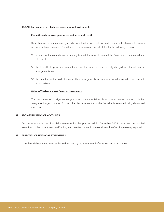#### **36.6.10 Fair value of off-balance sheet financial instruments**

#### **Commitments to aval, guarantee, and letters of credit**

These financial instruments are generally not intended to be sold or traded such that estimated fair values are not readily ascertainable. Fair value of these items were not calculated for the following reasons :

- (i) very few of the commitments extending beyond 1 year would commit the Bank to a predetermined rate of interest;
- (ii) the fees attaching to these commitments are the same as those currently charged to enter into similar arrangements; and
- (iii) the quantum of fees collected under these arrangements, upon which fair value would be determined, is not material.

### **Other off-balance sheet financial instruments**

The fair values of foreign exchange contracts were obtained from quoted market prices of similar foreign exchange contracts. For the other derivative contracts, the fair value is estimated using discounted cash flow.

#### **37. RECLASSIFICATION OF ACCOUNTS**

Certain amounts in the financial statements for the year ended 31 December 2005, have been reclassified to conform to the current year classification, with no effect on net income or shareholders' equity previously reported.

## **38. APPROVAL OF FINANCIAL STATEMENTS**

These financial statements were authorised for issue by the Bank's Board of Directors on 2 March 2007.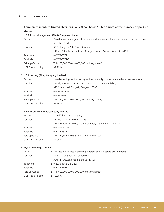**1. Companies in which United Overseas Bank (Thai) holds 10% or more of the number of paid up shares**

# **1.1 UOB Asset Management (Thai) Company Limited**

| <b>Business</b>           | : Provides asset management for funds, including mutual funds (equity and fixed income) and |  |  |  |  |
|---------------------------|---------------------------------------------------------------------------------------------|--|--|--|--|
|                           | provident funds                                                                             |  |  |  |  |
| Location                  | : $5th$ Fl., Bangkok City Tower Building,                                                   |  |  |  |  |
|                           | 179/6-10 South Sathon Road, Thungmahamek, Sathon, Bangkok 10120                             |  |  |  |  |
| Telephone                 | $: 0-2679-5577$                                                                             |  |  |  |  |
| Facsimile                 | $\therefore$ 0-2679-5571-5                                                                  |  |  |  |  |
| Paid-up Capital           | : THB 100,000,000 (10,000,000 ordinary shares)                                              |  |  |  |  |
| <b>UOB Thai's Holding</b> | $: 99.99\%$                                                                                 |  |  |  |  |

# **1.2 UOB Leasing (Thai) Company Limited**

| <b>Business</b>    | : Provides leasing, and factoring services, primarily to small and medium-sized companies |
|--------------------|-------------------------------------------------------------------------------------------|
| Location           | : 29th Fl., Room No.2902C, 2903-2904 United Center Building,                              |
|                    | 323 Silom Road, Bangrak, Bangkok 10500                                                    |
| Telephone          | $\therefore$ 0-2266-7290-9                                                                |
| Facsimile          | $: 0 - 2266 - 7300$                                                                       |
| Paid-up Capital    | : THB 320,000,000 (32,000,000 ordinary shares)                                            |
| UOB Thai's Holding | $: 99.99\%$                                                                               |
|                    |                                                                                           |

#### **1.3 AXA Insurance Public Company Limited**

| <b>Business</b>    | : Non-life insurance company                              |
|--------------------|-----------------------------------------------------------|
| Location           | $\pm$ 23 <sup>rd</sup> Fl., Lumpini Tower Building,       |
|                    | 1168/67 Rama IV Road, Thungmahamek, Sathon, Bangkok 10120 |
| Telephone          | $: 0 - 2285 - 6376 - 82$                                  |
| Facsimile          | $\therefore$ 0-2285-6383                                  |
| Paid-up Capital    | : THB 352,642,100 (3,526,421 ordinary shares)             |
| UOB Thai's Holding | $: 22.06\%$                                               |

#### **1.4 Piyalai Holdings Limited**

| : Engages in activities related to properties and real estate developments |
|----------------------------------------------------------------------------|
| : 22 <sup>nd</sup> Fl., Wall Street Tower Building,                        |
| 33/114 Surawong Road, Bangkok 10500                                        |
| $\therefore$ 0-2233-1666 Ext. 2220-1                                       |
| $\therefore$ 0-2233-3895                                                   |
| : THB 600,000,000 (6,000,000 ordinary shares)                              |
| $: 10.00\%$                                                                |
|                                                                            |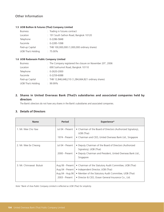# **1.5 UOB Bullion & Futures (Thai) Company Limited**

| <b>Business</b>    | : Trading in futures contract                 |
|--------------------|-----------------------------------------------|
| Location           | : 191 South Sathon Road, Bangkok 10120        |
| Telephone          | $: 0 - 2286 - 5848$                           |
| Facsimile          | $: 0 - 2285 - 1098$                           |
| Paid-up Capital    | : THB 100,000,000 (1,000,000 ordinary shares) |
| UOB Thai's Holding | $: 75.00\%$                                   |

### **1.6 UOB Radanasin Public Company Limited**

| <b>Business</b>           | : The Company registered the closure on November 20th, 2006 |
|---------------------------|-------------------------------------------------------------|
| Location                  | : 690 Sukhumvit Road, Bangkok 10110                         |
| Telephone                 | $: 0 - 2620 - 2000$                                         |
| Facsimile                 | $: 0 - 2259 - 6088$                                         |
| Paid-up Capital           | : THB 12,846,648,210 (1,284,664,821 ordinary shares)        |
| <b>UOB Thai's Holding</b> | .9999%                                                      |

# **2. Shares in United Overseas Bank (Thai)'s subsidiaries and associated companies held by directors**

The Bank's directors do not have any shares in the Bank's subsidiaries and associated companies.

# **3. Details of Directors**

| <b>Name</b>             | <b>Period</b>                                                             | <b>Experience*</b>                                                                                                                                                                                            |
|-------------------------|---------------------------------------------------------------------------|---------------------------------------------------------------------------------------------------------------------------------------------------------------------------------------------------------------|
| 1. Mr. Wee Cho Yaw      | Jul 04 - Present                                                          | • Chairman of the Board of Directors (Authorized Signatory),<br>UOB (Thai)                                                                                                                                    |
|                         | 1974 - Present                                                            | • Chairman and CEO, United Overseas Bank Ltd., Singapore                                                                                                                                                      |
| 2. Mr. Wee Ee Cheong    | Jul 04 - Present<br>2000 - Present                                        | • Deputy Chairman of the Board of Directors (Authorized<br>Signatory), UOB (Thai)<br>• Deputy Chairman and President, United Overseas Bank Ltd.,<br>Singapore                                                 |
| 3. Mr. Chinnawat Bulsuk | Aug 06 - Present<br>Aug 04 - Present<br>Aug 04 - Aug 06<br>2003 - Present | • Chairman of the Statutory Audit Committee, UOB (Thai)<br>• Independent Director, UOB (Thai)<br>• Member of the Statutory Audit Committee, UOB (Thai)<br>• Director & CEO, Ocean General Insurance Co., Ltd. |

*Note \*Bank of Asia Public Company Limited is reflected as UOB (Thai) for simplicity.*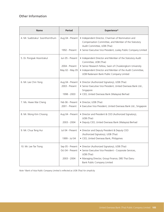| <b>Name</b>                     | <b>Period</b>                                         | Experience*                                                                                                                                                                                                                                                |
|---------------------------------|-------------------------------------------------------|------------------------------------------------------------------------------------------------------------------------------------------------------------------------------------------------------------------------------------------------------------|
| 4. Mr. Suebtrakul Soonthornthum | Aug 04 - Present<br>1992 - Present                    | • Independent Director, Chairman of Nomination and<br>Compensation Committee, and Member of the Statutory<br>Audit Committee, UOB (Thai)<br>• Senior Executive Vice President, Loxley Public Company Limited                                               |
| 5. Dr. Pongsak Hoontrakul       | Jun 05 - Present<br>2004 - Present<br>May 02 - May 05 | • Independent Director and Member of the Statutory Audit<br>Committee, UOB (Thai)<br>• Senior Research Fellow, Sasin of Chulalongkorn University<br>• Independent Director and Member of the Audit Committee,<br>UOB Radanasin Bank Public Company Limited |
| 6. Mr. Lee Chin Yong            | Aug 04 - Present<br>2003 - Present<br>1998 - 2003     | · Director (Authorized Signatory), UOB (Thai)<br>· Senior Executive Vice President, United Overseas Bank Ltd.,<br>Singapore<br>· CEO, United Overseas Bank (Malaysia) Berhad                                                                               |
| 7. Ms. Hwee Wai Cheng           | Feb 06 - Present<br>2001 - Present                    | · Director, UOB (Thai)<br>• Executive Vice President, United Overseas Bank Ltd., Singapore                                                                                                                                                                 |
| 8. Mr. Wong Kim Choong          | Aug 04 - Present<br>2003 - 2004                       | • Director and President & CEO (Authorized Signatory),<br>UOB (Thai)<br>· Deputy CEO, United Overseas Bank (Malaysia) Berhad                                                                                                                               |
| 9. Mr. Chua Teng Hui            | Jul 04 - Present<br>1999 - Jul 04                     | • Director and Deputy President & Deputy CEO<br>(Authorized Signatory), UOB (Thai)<br>• CEO, United Overseas Bank, Philippines                                                                                                                             |
| 10. Mr. Lee Tse Tiong           | Sep 05 - Present<br>Oct 04 - Present<br>2003 - 2004   | · Director (Authorized Signatory), UOB (Thai)<br>· Senior Executive Vice President - Corporate Services,<br>UOB (Thai)<br>· Managing Director, Group Finance, DBS Thai Danu<br>Bank Public Company Limited                                                 |

*Note \*Bank of Asia Public Company Limited is reflected as UOB (Thai) for simplicity.*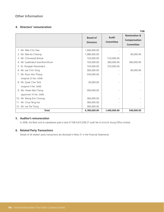# **4. Directors' remuneration**

|                                 | <b>Board of</b><br><b>Directors</b> | Audit<br><b>Committee</b> | <b>Nomination &amp;</b><br>Compensation<br><b>Committee</b> |
|---------------------------------|-------------------------------------|---------------------------|-------------------------------------------------------------|
| 1. Mr. Wee Cho Yaw              | 1,440,000.00                        |                           |                                                             |
| 2. Mr. Wee Ee Cheong            | 1,080,000.00                        |                           | 90,000.00                                                   |
| 3. Mr. Chinnawat Bulsuk         | 720,000.00                          | 510,000.00                |                                                             |
| 4. Mr. Suebtrakul Soonthornthum | 720,000.00                          | 360,000.00                | 360,000.00                                                  |
| 5. Dr. Pongsak Hoontrakul       | 720,000.00                          | 570,000.00                |                                                             |
| 6. Mr. Lee Chin Yong            | 360,000.00                          |                           | 90,000.00                                                   |
| 7. Mr. Poon Hon Thang           | 330,000.00                          |                           |                                                             |
| (resigned 23 Nov. 2006)         |                                     |                           |                                                             |
| 8. Mr. Quek Cher Teck           | 30,000.00                           |                           |                                                             |
| (resigned 3 Feb. 2006)          |                                     |                           |                                                             |
| 9. Ms. Hwee Wai Cheng           | 300,000.00                          |                           |                                                             |
| (appointed 16 Feb. 2006)        |                                     |                           |                                                             |
| 10. Mr. Wong Kim Choong         | 360,000.00                          |                           |                                                             |
| 11. Mr. Chua Teng Hui           | 360,000.00                          |                           |                                                             |
| 12. Mr. Lee Tse Tiong           | 360,000.00                          |                           |                                                             |
| <b>Total</b>                    | 6,780,000.00                        | 1,440,000.00              | 540,000.00                                                  |

# **5. Auditor's remuneration**

In 2006, the Bank and its subsidiaries paid a total of THB 9,675,938.27 audit fee to Ernst & Young Office Limited.

# **6. Related Party Transactions**

Details of all related- party transactions are disclosed in Note 31 in the Financial Statements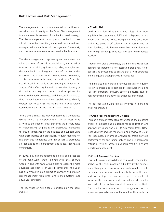## Risk Factors and Risk Management

The management of risk is fundamental to the financial soundness and integrity of the Bank. Risk management forms an essential element of the Bank's overall strategy. The risk management philosophy of the Bank is that all risks must be identified, measured, monitored and managed within a robust risk management framework, and that returns must commensurate with the risks taken.

The risk management corporate governance structure takes the form of overall responsibility by the Board of Directors in providing guidance regarding strategies and risk appetite for an integrated view of the Bank's risk exposures. The Corporate Risk Management Committee, a sub-committee with delegated authority from the Board, establishes policies and strategies covering all aspects of risk affecting the Bank, reviews the adequacy of risk policies and highlight new risks and exceptional risk events to the Audit Committee and the Board from time to time. Other internal committees established to directly oversee day to day risk related matters include Credit Committee and Asset and Liability Committee ("ALCO").

To this end, a centralized Risk Management & Compliance Group, which is independent of the business units as well as the support units, performs the primary roles of implementing risk policies and procedures, monitoring to ensure compliance by the business and support units with these policies and procedures. Regular reporting on risk exposures, compliance with risk policies & procedures are updated to the management and various risk related committees.

In 2006, key risk management polices and practices of the Bank were further aligned with that of UOB Group. In line with UOB Group's plan to adopt the more advanced approaches for Basel II compliance, the Bank has also embarked on a project to enhance and improve risk management framework and related systems over a two-year timeframe.

The key types of risk closely monitored by the Bank include :-

### **• Credit Risk**

Credit risk is defined as the potential loss arising from any failure by customers to fulfill their obligations, as and when they fall due. These obligations may arise from on-balance sheet or off balance sheet exposures such as direct lending, trade finance, receivables under derivative and foreign exchange contracts and other credit related activities.

Through the Credit Committee, the Bank establishes well defined risk parameters for accepting credit risk, credit policies and procedures to ensure that a well diversified and high quality credit portfolio is maintained.

The Bank also has in place a rigorous process to regularly review, monitor and report credit exposures including risk concentrations, industry sector exposures, level of non-performing loans as well as adequacy of provisions.

The key operating units directly involved in managing credit risk include :-

#### **(1) Credit Risk Management Division**

This unit is primarily responsible for preparing and proposing credit risk policies and guidelines for consideration and approval by Board and / or its sub-committees. Other responsibilities include monitoring and reviewing credit risk exposures, performing analysis on credit portfolio performance for fine-tuning policies and risk acceptance criteria as well as preparing various credit risk related reports to management.

#### **(2) Credit Approval Division**

This unit's main responsibility is to provide independent analysis of the credit proposals submitted by the business units. Through the issuance of a separate credit advice to the approving authority, credit analysts under this unit address the degree of risks and concerns in each risk aspect of the borrower in order to evaluate whether the assessed risks lie within acceptable range of the Bank. The credit advice may also cover suggestion for the restructuring or adjustment of the credit facilities, collateral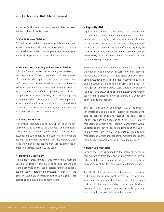## Risk Factors and Risk Management

and other facility terms and conditions to best represent the risk profiles of the borrower.

#### **(3) Credit Review Division**

This unit is responsible for performing independent credit review to ensure that all credits accepted are in compliance with established polices, control procedures as well as to ensure all proper legal documentations are in place.

#### **(4) Financial Restructuring and Recovery Division**

This unit focuses on loan restructuring and recovery of the larger non performing commercial loans with the aim of minimizing damages and losses to the Bank. Non performing loans are transferred to this unit for intensive follow up and negotiation with the borrower from the early stages of loan default. Depending on the level of co-operation from the borrower, legal proceedings may be commenced against the borrower for loan repayment as well as collateral enforcement. All restructured loans continue to be closely monitored by this unit until they have demonstrated good payment record.

#### **(5) Collections Division**

This division monitors and follows up on all delinquent consumer loans as well as the small retail and SME loans. Through the collection system, details of delinquent accounts are auto-routed to the collectors for immediate actions the moment borrowers go into default. Debt restructuring and legal actions may also be employed in order to maximize recovery to the Bank.

#### **(6) Litigation Department**

The Litigation Department, a unit within the Collections Division, undertakes and oversees all legal actions and related activities of the Bank. Besides undertaking legal actions against defaulted borrowers on behalf of the Bank, this unit is also in charge of putting up a legal defence against all legal suits filed against the Bank.

#### **• Liquidity Risk**

Liquidity risk is defined as the potential loss arising from the Bank's inability to meet its contractual obligations when due. Liquidity risk arises in the general funding of the Bank's activities and in the management of its assets. The Bank maintains sufficient liquidity to fund its day-to-day operations, meet customer deposit withdrawals, meet customers' demand for new loans and repay borrowings as they mature.

The management of liquidity risk is carried out throughout the year by a combination of cash flow management, maintenance of high quality liquid assets and other short term investments that can be readily converted to cash, diversification of the funding sources and proactive management of the core deposit base. Liquidity Contingency Funding Plan is drawn up to ensure that alternative funding sources are in place to minimize liquidity risk under any given liquidity crisis scenario.

The Asset and Liability Committee ("ALCO") formulates key strategies and policies on liquidity risk management, sets up control limits and reviews the Bank's asset liability structure on a regular basis. The Asset Liability Management Division under Treasury Management Group undertakes the day-to-day management of the Bank's liquidity cash flows while the Market & Liquidity Risk Management Division independently monitors and reports liquidity risk exposures to the ALCO on a regular basis.

### **• Balance Sheet Risk**

Balance sheet risk is defined as the potential change in earnings arising from the effect of movements in interest rates and foreign exchange rates on the structural banking book of the Bank that is not of a trading nature.

The ALCO establishes policies and strategies to manage and control the balance sheet interest rate risk exposure which may include adjusting lending and deposit rates and the structure and proportion of assets and liabilities. Exposure to currency risk is managed actively by setting limits for both overnight and intra-day position.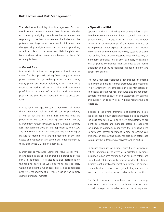## Risk Factors and Risk Management

The Market & Liquidity Risk Management Division monitors and reviews balance sheet interest rate risk exposures by analyzing the mismatches in interest rate re-pricing of the Bank's assets and liabilities and the potential earnings impact as a result of interest rate changes using analytical tools such as maturity/repricing schedules. Reports on asset and liability yield and balance sheet risk exposures are submitted to the ALCO on a regular basis.

#### **• Market Risk**

Market risk is defined as the potential loss in market value of a given portfolio arising from changes in market prices, namely foreign exchange rates, interest rates, equity prices and option volatility rates. The Bank is exposed to market risk in its trading and investment portfolios as the value of its trading and investment positions are sensitive to changes in market prices and rates.

Market risk is managed by using a framework of market risk management policies and risk control procedures, as well as risk and loss limits. Risk and loss limits are proposed by the respective trading desks under Treasury Management Group, reviewed by the Market & Liquidity Risk Management Division and approved by the ALCO and the Board of Directors annually. The monitoring of market risk trading limits and the reporting of any limit excess and ratification are carried out independently by the Middle Office Division on a daily basis.

Market risk is measured using the Value-at-risk (VaR) methodologies on all major trading portfolios of the Bank. In addition, stress testing is also performed on the trading portfolios which serve to provide early warning of potential worst case losses so as to facilitate proactive management of these risks in the rapidly changing financial markets.

#### **• Operational Risk**

Operational risk is defined as the potential loss arising from breakdown in the Bank's internal control or corporate governance that results in error, fraud, failure/delay to perform, or compromise of the Bank's interests by its employees. Other aspects of operational risk include major failure of information technology systems or events such as fire, flood or other disasters. Potential loss may be in the form of financial loss or other damages, for example, loss of public confidence that will impact the Bank's credibility and ability to transact, maintain liquidity and obtain new business.

The Bank manages operational risk through an internal framework of policies, control procedures and measures. This framework encompasses the identification of significant operational risk exposures and management controls, ongoing conduct of self assessment by business and support units as well as vigilant monitoring and reporting.

Included in the overall framework of operational risk is the disciplined product program process aimed at ensuring the risks associated with each new product/service are identified, analysed and managed before it is approved for launch. In addition, in line with the increasing need to outsource internal operations in order to achieve cost efficiency, an outsourcing policy has also been established to regulate the outsourcing of services to third parties.

To ensure continuity of business with timely recovery of critical functions in the event of a disaster or business disruption, a business continuity plan has been established for all critical business functions under the Bank's Business Continuity Management framework. The business continuity plan is subject to regular testing and exercise to ensure it is relevant, effective and operationally viable.

The Bank continues to emphasize on staff training, improvement and upgrade in systems, processes and procedures as part of overall operational risk management.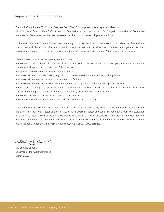## Report of the Audit Committee

The Audit Committee (AC) of United Overseas Bank (Thai) Pcl. comprises three independent directors :

Mr. Chinnawat Bulsuk, the AC Chairman, Mr. Suebtrakul Soonthornthum and Dr. Pongsak Hoontrakul as Committee members. All Committee members are non-executive directors and non-employees of the Bank.

In the year 2006, the Committee held seven meetings to review the Bank's internal controls and discussed financial and operational audit issues with the internal auditors and the Bank's external auditors. Relevant management members were invited to attend the meetings to provide additional information and clarification of the internal control systems.

Major matters discussed at the meeting were as follows :

- Reviewed the major items of the financial reports and external auditors' report and their opinion including monitoring the financial reports and the reliability of those reports
- Approved and monitored the Internal Audit Year Plan
- Acknowledged major audit findings regarding the compliance with internal and external regulations
- Acknowledged the quarterly audit reports and major findings
- Acknowledged the quarterly risk management report and major items of the risk management activities.
- Reviewed the adequacy and effectiveness of the Bank's internal control systems by discussion with the senior management regarding the Assessment on the Adequacy of the Internal Control System
- Reviewed the reasonableness of the connected transactions
- Proposed the Bank's external auditor and audit fees to the Board of Directors.

The Committee has continually reviewed and assessed the Bank's key risks, controls and monitoring system through the Bank's Internal Audit Sector and by discussion with external auditor and senior management. From the evaluation of the Bank's internal control system, it concluded that the Bank's internal controls in the area of financial reporting and risk management are adequate and reliable and that the Bank continues to improve the overall control framework within the Bank. In addition, the Internal Audit Function is ISO9001: 2000 certified.

Mr. Chinnawat Bulsuk Chairman of the Audit Committee March 2, 2007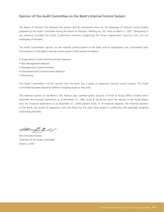## Opinion of the Audit Committee on the Bank's Internal Control System

The Board of Directors has reviewed the opinion and the Assessment Form on the Adequacy of Internal Control System prepared by the Audit Committee during the Board of Directors' Meeting no. 557 held on March 2, 2007. Participants in the meeting included the Audit Committee members comprising the three independent directors who are not employees of the Bank.

The Audit Committee's opinion on the internal control system of the Bank and its subsidiaries was summarized from the evaluation of the Bank's internal control system in five sections as follows :

- Organization Control and Environment Measure
- Risk Management Measure
- Management Control Activities
- Information and Communication Measure
- Monitoring

The Audit Committee is of the opinion that the Bank has in place an adequate internal control system. The Audit Committee has been regularly notified of ongoing issues as they arise.

The external auditor of the Bank is Ms. Ratana Jala, certified public account of Ernst & Young Office Limited which examined the Financial Statements as at December 31, 2006. Ernst & Young has given the opinion in the Audit Report that the financial statements as at December 31, 2006 present fairly, in all material respects, the financial position of the Bank, the results of operations and cash flows for the years then ended in conformity with generally accepted accounting principles.

Mr. Chinnawat Bulsuk Chairman of the Audit Committee March 2, 2007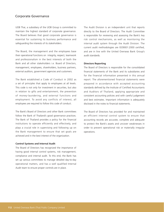## Corporate Governance

UOB Thai, a subsidiary of the UOB Group is committed to maintain the highest standard of corporate governance. The Board believes that good corporate governance is essential for sustaining its business performance and safeguarding the interests of its stakeholders.

The Board, the management and the employees base their operational functions on integrity, respect, teamwork and professionalism in the best interests of both the Bank and all other stakeholders i.e. Board of Directors, management, employees, shareholders, business partners, external auditors, government agencies and customers.

The Bank established a Code of Conduct in 2002 as a set of principles that apply to employees at all levels. This code is not only for investment in securities, but also in relation to gifts and entertainment, the prevention of money-laundering, and external functions and employment. To avoid any conflicts of interest, all employees are required to follow this code of conduct.

The Bank's Board of Directors and other Bank committees follow the Bank of Thailand's good governance practices. The Bank of Thailand provides a policy for the financial institutions to operate efficiently and effectively, and plays a crucial role in supervising and following up on the Bank management to ensure that set goals are achieved and in the best interest of the organization.

#### **Control Systems and Internal Audit**

The Board of Directors has recognized the importance of having good internal control systems, risk management, compliance and internal audit. To this end, the Bank has set up various committees to manage detailed day-to-day operational matters, and has a well qualified Internal Audit team to ensure proper controls are in place.

The Audit Division is an independent unit that reports directly to the Board of Directors. The Audit Committee is responsible for reviewing and assessing the Bank's key risk control mechanisms, as well as monitoring the internal audit system through the Audit Division. The current audit methodologies are ISO9001:2000 certified, and are in line with the United Overseas Bank Group's audit standards.

#### **Directors Reporting**

The Board of Directors is responsible for the consolidated financial statements of the Bank and its subsidiaries and for the financial information presented in this annual report. The aforementioned financial statements were prepared in accordance with accepted accounting standards defined by the Institute of Certified Accountants and Auditors of Thailand, applying appropriate and consistent accounting policies and with careful judgement and best estimates. Important information is adequately disclosed in the notes to financial statements.

The Board of Directors has provided for and maintained an efficient internal control system to ensure that accounting records are accurate, complete and adequate to protect the Bank's assets and uncover weaknesses in order to prevent operational risk or materially irregular operations.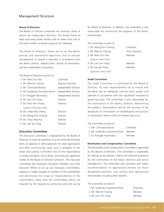## Management Structure

### **Board of Directors**

The Board of Directors comprises ten directors, three of whom are independent directors. The Board meets at least once every three months and no fewer than half of the total number constitute a quorum for meetings.

The Board of Directors' duties are to set the Bank's policies and operational objectives, and to oversee management to ensure it operates in accordance with the Bank's policies, relevant laws, articles of association, and the shareholders' resolutions.

The Board of Directors consists of :

| 1. Mr. Wee Cho Yaw              | Chairman             |
|---------------------------------|----------------------|
| 2. Mr. Wee Ee Cheong            | Deputy Chairman      |
| 3. Mr. Chinnawat Bulsuk         | Independent Director |
| 4. Mr. Suebtrakul Soonthornthum | Independent Director |
| 5. Dr. Pongsak Hoontrakul       | Independent Director |
| 6. Mr. Lee Chin Yong            | Director             |
| 7. Mr. Poon Hon Thang           | Director             |
| (resigned 23 November 2006)     |                      |
| 8. Ms. Hwee Wai Cheng           | Director             |
| 9. Mr. Wong Kim Choong          | Director             |
| 10. Mr. Chua Teng Hui           | Director             |
| 11. Mr. Lee Tse Tiong           | Director             |
|                                 |                      |

#### **Executive Committee**

The Executive Committee is empowered by the Board of Directors to have the authority to a) set credit discretionary limits, b) approve or ratify approvals for credit applications and debt restructuring cases, and c) delegate to the Asset and Liability Committee (ALCO) the responsibility to review the Bank's ALCO Work, and bring any significant matter to the Board of Director's attention. The Executive Committee also empowers the Bank's President and Chief Executive Officer to set up any necessary committee(s), appoints or makes changes to members of the committee(s) and determines the scope of responsibilities of the committee(s), other than the committee(s) which are required by the regulatory authorities and sets up by the Board of Directors. In addition, the committee is also responsible for monitoring the progress of the Bank's business plan.

The committee consists of :

1. Mr. Wong Kim Choong Chairman 2. Mr. Wee Ee Cheong Vice Chairman 3. Mr. Wee Cho Yow Member *(resigned 2 March 2007)* 4. Mr. Lee Chin Yong Member 5. Mr. Lee Tse Tiong Member

**Audit Committee**

*(appointed 2 March 2007)*

The Audit Committee is nominated by the Board of Directors. Its main responsibilities are to ensure that the Bank has an adequate internal audit system and operates in accordance with the regulations imposed by governing laws. The committee is also responsible for the nomination of the Bank's auditors, determining the auditors' remuneration and for the accuracy of the disclosure of information on related-party transactions or transactions where conflict of interest may occur.

The committee consists of :

| 1. Mr. Chinnawat Bulsuk                | Chairman |
|----------------------------------------|----------|
| 2. Mr. Suebtrakul Soonthornthum Member |          |
| 3. Dr. Pongsak Hoontrakul              | Member   |

#### **Nomination and Compensation Committee**

The Nomination and Compensation Committee is appointed by the Boards of Directors. The committee is responsible for setting up the policies, criteria and selection procedure for the nomination of the Bank's directors and senior management. The committee also considers and makes recommendation on appropriate persons for those designated positions, and reviews their appropriate remuneration including other benefits.

The committee consists of :

| 1. Mr. Suebtrakul Soonthornthum | Chairman |
|---------------------------------|----------|
| 2. Mr. Wee Ee Cheong            | Member   |
| 3. Mr. Lee Chin Yong            | Member   |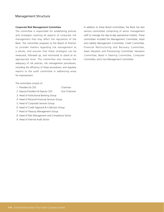## Management Structure

#### **Corporate Risk Management Committee**

The committee is responsible for establishing policies and strategies covering all aspects of corporate risk management that may affect the reputation of the Bank. The committee proposes to the Board of Director to consider matters regarding risk management as a whole, and ensures that these strategies can be measured, followed up, and monitored to stand at an appropriate level. The committee also reviews the adequacy of risk policies, risk management procedures, including the efficiency of these procedures, and regularly reports to the audit committee in addressing areas for improvement.

The committee consists of :

- 1. President & CEO Chairman
- 2. Deputy President & Deputy CEO Vice Chairman
- 3. Head of Institutional Banking Group
- 4. Head of Personal Financial Services Group
- 5. Head of Corporate Services Group
- 6. Head of Credit Approval & Collection Group
- 7. Head of Treasury Management Group
- 8. Head of Risk Management and Compliance Sector
- 9. Head of Internal Audit Sector

In addition to these Board committees, the Bank has also various committees comprising of senior management staff to manage the day-to-day operational matters. These committees included the Management Committee, Asset and Liability Management Committee, Credit Committee, Financial Restructuring and Recovery Committee, Asset Valuation and Provisioning Committee, Valuation Committee, Basel II Steering Committee, Computer Committee, and Crisis Management Committee.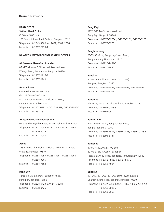**HEAD OFFICE**

**Sathon Head Office** (8.30 am-5.00 pm) 191 South Sathon Road, Sathon, Bangkok 10120 Telephone : 0-2343-3000 ext. 2682, 2684, 2686 Facsimile : 0-2287-2973-4

### **BANGKOK METROPOLITAN BRANCH OFFICES**

**All Seasons Place (Sub Branch)** 87 M Thai tower 3rd Floor., All Seasons Place, Wittayu Road, Pathumwan, Bangkok 10330 Telephone : 0-2257-0116-8 Facsimile : 0-2257-0149

### **Amarin Plaza**

(Mon.-Fri. 8.30 am-5.00 pm) (Sat. 11.00 am-5.00 pm) 500 1st Floor, Amarin Plaza, Ploenchit Road, Pathumwan, Bangkok 10500 Telephone : 0-2252-6292-3, 0-2251-8579, 0-2256-9045-6 Facsimile : 0-2252-7871

#### **Anusavaree Chaisamoraphoom**

911/1-3 Phaholyothin Road, Phaya Thai, Bangkok 10400 Telephone : 0-2271-0089, 0-2271-3447, 0-2271-2662, 0-2619-5916 Facsimile : 0-2271-0088

#### **Asoke**

163 Ratchapark Building 1st Floor, Sukhumvit 21 Road, Wattana, Bangkok 10110 Telephone : 0-2258-3259, 0-2258-3261, 0-2258-3263, 0-2258-3265 Facsimile : 0-2258-9552

### **Bang Bon**

72/65-68 Mu 6, Eakchai-Bangbon Road, Bang Bon, Bangkok 10150 Telephone : 0-2898-0423-5, 0-2415-6984 Facsimile : 0-2898-0426

#### **Bang Kapi**

177/22-23 Mu 3, Ladphrao Road, Bang Kapi, Bangkok 10240 Telephone : 0-2378-0973-4, 0-2375-0201, 0-2375-0203 Facsimile : 0-2378-0975

#### **Bangbuathong**

28/33-35 Mu 4, Bangkruay-Sainoi Road, Bangbuathong, Nontaburi 11110 Telephone : 0-2920-2451-5 Facsimile : 0-2920-2450

#### **Bangkae**

455/9-11 Petchkasame Road (Soi 51-53), Bangkae, Bangkok 10160 Telephone : 0-2455-2091, 0-2455-2095, 0-2455-2097 Facsimile : 0-2455-2108

#### **Bangmod**

1/2 Mu 9, Rama II Road, Jomthong, Bangkok 10150 Telephone : 0-2867-0203-5 Facsimile : 0-2867-0914

### **Bangna K.M.2**

21/235-236 Mu 12, Bang Na-Trad Road, Bangna, Bangkok 10260 Telephone : 0-2396-1931, 0-2393-9825, 0-2399-0178-81 Facsimile : 0-2393-6147

#### **Bangplee**

(Mon.-Fri.10.00 am-5.00 pm) 89 Mu 9, BIG C Center Bangplee, Taeparak KM 13 Road, Bangplee, Samutprakarn 10540 Telephone : 0-2752-4505, 0-2752-4507-9 Facsimile : 0-2752-4504

### **Bangrak**

1249/19, 1249/50, 1249/59 Jems Tower Building, Charoen Krung Road, Bangrak, Bangkok 10500 Telephone : 0-2237-5050-1, 0-2237-8577-8, 0-2234-5265, 0-2266-9896-7 Facsimile : 0-2266-9667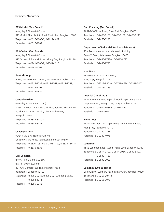#### **BTS Mochit (Sub Branch)**

(everyday 9.30 am-8.00 pm) BTS Mochit, Phaholyothin Road, Chatuchak, Bangkok 10900 Telephone : 0-2617-4005-6, 0-2617-4009 Facsimile : 0-2617-4007

#### **BTS On Nut (Sub Branch)**

(everyday 9.30 am-8.00 pm) BTS On Nut, Sukhumvit Road, Klong Toey, Bangkok 10110 Telephone : 0-2741-4206-7, 0-2741-4210 Facsimile : 0-2741-4208

#### **Buntudthong**

56/20, 56/59-62 Rama I Road, Pathumwan, Bangkok 10330 Telephone : 0-2214-1733, 0-2214-2067, 0-2214-2252, 0-2214-1292 Facsimile : 0-2215-4836

#### **Central Pinklao**

(everyday 10.30 am-8.00 pm) 7/364 2nd Floor, Central Plaza Pinklao, Baromratchonnanee Road, Kwang Arun Amarin, Khet Bangkok-Noi, Bangkok 10700 Telephone : 0-2884-8030-2 Facsimile : 0-2884-8033

#### **Chaengwatana**

99/349 Mu 2 Na Nakorn Building, Chaengwatana Road, Donmuang, Bangkok 10210 Telephone : 0-2576-1057-60, 0-2576-1490, 0-2576-1544-5 Facsimile : 0-2576-1533

#### **City Complex**

(Mon.-Fri. 8.30 am-5.00 pm) (Sat. 11.00am-5.00pm) 831 City Complex Building, Petchburi Road, Rajathevee, Bangkok 10400 Telephone : 0-2255-0746, 0-2255-0749, 0-2653-8522, 0-2252-1211 Facsimile : 0-2255-0748

#### **Dao Khanong (Sub Branch)**

1057/9-10 Taksin Road, Thon Buri, Bangkok 10600 Telephone : 0-2460-0157, 0-2460-0159, 0-2460-0243 Facsimile : 0-2460-0245

#### **Department of Industrial Works (Sub Branch)**

75/6 Department of Industrial Works Building, Rama VI Road, Rajathevee, Bangkok 10400 Telephone : 0-2640-9723-4, 0-2640-9727 Facsimile : 0-2640-9725

### **Hua Mark**

1929/3-5 Ramkamhaeng Road, Bang Kapi, Bangkok 10240 Telephone : 0-2318-8561-4, 0-2718-4624, 0-2319-3062 Facsimile : 0-2318-0139

### **Imperial (Ladphrao 81)**

2539 Basement Floor, Imperial World Department Store, Ladphrao Road, Wang Thong Lang, Bangkok 10310 Telephone : 0-2934-8686-9, 0-2934-8691 Facsimile : 0-2934-8690

### **Klong Toey**

1472-1474 Rama IV Department Store, Rama IV Road, Klong Toey, Bangkok 10110 Telephone : 0-2249-0886-7 Facsimile : 0-2249-4075

#### **Ladphrao**

1558 Ladphrao Road, Wang Thong Lang, Bangkok 10310 Telephone : 0-2514-2709, 0-2514-2964, 0-2539-5800, 0-2530-1120 Facsimile : 0-2539-2003

### **Lumphini (208 Building)**

208 Building, Witthayu Road, Pathumwan, Bangkok 10330 Telephone : 0-2256-7071-5 Facsimile : 0-2256-7076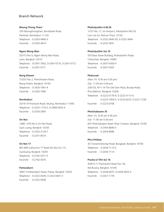**Muang Thong Thani** 339 Maungthongthani, Bondstreet Road, Parkkred, Nonthaburi 11120 Telephone : 0-2503-4940-3 Facsimile : 0-2503-4914

**Ngam Wong Wan** 207/15 Mu 6, Ngam Wong Wan Road, Luksi, Bangkok 10210 Telephone : 0-2591-7902, 0-2591-0770, 0-2591-0772 Facsimile : 0-2591-0771

#### **Nong Khaem**

77/207 Mu 2, Phetchkasem Road, Nong Khaem, Bangkok 10160 Telephone : 0-2420-7941-4 Facsimile : 0-2420-7940

#### **Nonthaburi**

32/16-19 Pracharat Road, Muang, Nonthaburi 11000 Telephone : 0-2525-1770-2, 0-2968-4592-4 Facsimile : 0-2526-2993

### **On Nut**

1468, 1470 Mu 6 On Nut Road, Suan Luang, Bangkok 10250 Telephone : 0-2332-3134-7 Facsimile : 0-2331-8519

#### **On Nut 17**

847-849 Sukhumvit 77 Road (On Nut Soi 17), Suanluang, Bangkok 10250 Telephone : 0-2742-5071-5 Facsimile : 0-2742-5070

### **Pattanakarn**

309/1-4 Pattanakarn Road, Praves, Bangkok 10250 Telephone : 0-2322-0439, 0-2322-0441-3 Facsimile : 0-2322-0438

**Phaholyothin K.M.26** 1/737 Mu 17, Soi Amporn, Paholyothin KM 26, Lam Luk Ka, Pathum Thani 12150 Telephone : 0-2532-3645-50, 0-2532-3644 Facsimile : 0-2532-3641

#### **Phaholyothin Soi 19**

555 Rasa Tower Building, Phaholyothin Road, Chatuchak, Bangkok 10900 Telephone : 0-2937-0300-4 Facsimile : 0-2937-0305

### **Phahurad**

(Mon.-Fri. 8.30 am-5.00 pm) (Sat. 11.00 am-5.00 pm) 2/30-33, 4/11-14 The Old Siam Plaza, Burapa Road, Phra Nakhon, Bangkok 10200 Telephone : 0-2222-0176-9, 0-2222-4113-4, 0-2223-1854-5, 0-2223-6233, 0-2221-7236 Facsimile : 0-2223-0708

#### **Phetchakasem 35**

(Mon.-Fri. 8.30 am-5.00 pm) (Sat. 11.00 am-5.00 pm) 607 Phetchakasem Road, Phasi Charoen, Bangkok 10160 Telephone : 0-2454-8690-5 Facsimile : 0-2454-8696

### **Phra Pinklao**

30 Charansnidvongs Road, Bangplad, Bangkok 10700 Telephone : 0-2434-7110-3 Facsimile : 0-2434-7114

## **Pracha-U-Thit Soi 16**

459/15-17 Prachauthit Road (Soi 16), Rat Burana, Bangkok 10140 Telephone : 0-2428-0037, 0-2428-3653-5 Facsimile : 0-2427-1778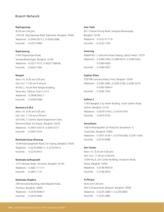**Rajchaprarop** (8.30 am-5.00 pm) 120/126 Rajchaprarop Road, Rajthevee, Bangkok 10400 Telephone : 0-2656-3071-2, 0-2656-3068, Facsimile : 0-2251-0404

#### **Rajchawong**

219/2 Rajawongse Road, Sampandhawongse, Bangkok 10100 Telephone : 0-2221-7515, 0-2622-7388-90, Facsimile : 0-2622-7392

#### **Rangsit**

(Mon.-Fri. 8.30 am-5.00 pm) (Sat.-Sun. 11.00 am-5.00 pm) 94 Mu 2, Future Park Rangsit Building, Tanya Buri, Pathum Thani 12110 Telephone : 0-2958-0562-7 Facsimile : 0-2958-0568

### **Ramintra K.M.9**

(Mon.-Fri. 8.30 am-5.00 pm) (Sat.-Sun. 11.00 am-5.00 pm) 5/5-6 Mu 7, Fashion Island Department Store, Ramintra Road, Kunnayao, Bangkok 10230 Telephone : 0-2947-5307-9, 0-2947-5311 Facsimile : 0-2947-5310

#### **Ratchada-Huay Khwang**

167/8 Ratchadaphisek Road, Din Daeng, Bangkok 10320 Telephone : 0-2276-9408-11, 0-2276-9414 Facsimile : 0-2276-9413

**Ratchada-Sathupradit** 127/1 Nonsee Road, Yannawa, Bangkok 10120 Telephone : 0-2681-1111-5 Facsimile : 0-2681-1110

**Ratchada-Thaphra** 299 Hansawat Building, Ratchdapisek Road, Thonburi, Bangkok 10600 Telephone : 0-2476-9945-9 Facsimile : 0-2476-9944

#### **Sam Yaek**

601 Charoen Krung Road, Samphandhawongse, Bangkok 10100 Telephone : 0-2222-5111-6 Facsimile : 0-2222-1354

### **Samrong**

999/99 Mu 1, Sukhumvit Road, Muang, Samut Prakan 10270 Telephone : 0-2384-7656, 0-2384-4510, 0-2394-0422, 0-2394-0428 Facsimile : 0-2384-4352

#### **Saphan Khao**

325/168 Lukluang Road, Dusit, Bangkok 10300 Telephone : 0-2282-3665, 0-2282-3796, 0-2282-4374, 0-2282-3694-5 Facsimile : 0-2282-1914

### **Sathon 2**

179/3 Bangkok City Tower Building, South Sathon Road, Sathon, Bangkok 10120 Telephone : 0-2679-5700-2, 0-2679-5704 Facsimile : 0-2679-5703

#### **Senanikom**

126/19 Phaholyothin 32 Road (Soi Senanikom 1), Chatuchak, Bangkok 10900 Telephone : 0-2561-3100-1, 0-2579-6248, 0-2561-1054 Facsimile : 0-2579-9088

#### **Seri Center**

(Mon.-Fri. 8.30 am-5.00 pm) (Sat.-Sun. 11.00 am-5.00 pm) 12/90 Mu 6, Seri Center Building, Srinakarin Road, Pravej, Bangkok 10260 Telephone : 0-2746-0816-8 Facsimile : 0-2746-0819

### **Si Phraya**

(8.30 am-5.00 pm) 295 Si Phraya Road, Bangrak, Bangkok 10500 Telephone : 0-2235-2884-7, 0-2236-6805 Facsimile : 0-2235-2882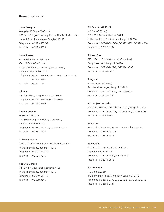### **Siam Paragon**

(everyday 10.00 am-7.00 pm) 991 Siam Paragon Shopping Center, Unit M14 Main Level, Rama 1 Road, Pathumwan, Bangkok 10330 Telephone : 0-2129-4570-2 Facsimile : 0-2129-4573

#### **Siam Square**

(Mon.-Fri. 8.30 am-5.00 pm) (Sat. 11.00 am-5.00 pm) 410-410/1 Siam Square Soi 6, Rama 1 Road, Pathumwan, Bangkok 10500 Telephone : 0-2251-3343, 0-2251-2145, 0-2251-2278, 0-2254-6800 Facsimile : 0-2251-2280

### **Silom II**

14 Silom Road, Bangrak, Bangkok 10500 Telephone : 0-2632-8801-3, 0-2632-8805 Facsimile : 0-2632-8804

### **Silom Complex**

(8.30 am-5.00 pm) 191 Silom Complex Building, Silom Road, Bangrak, Bangkok 10500 Telephone : 0-2231-3139-40, 0-2231-3100-1 Facsimile : 0-2231-3137

### **Si Yeak Sriwara**

573/139 Soi Ramkhamhaeng 39, Prachauthit Road, Wang Thong Lang, Bangkok 10310 Telephone : 0-2934-7941-4 Facsimile : 0-2934-7945

#### **Soi Chokechai 4**

141/3-4 Soi Chokechai 4 (Ladphrao 53), Wang Thong Lang, Bangkok 10310 Telephone : 0-2539-6111-3 Facsimile : 0-2539-3500

#### **Soi Sukhumvit 101/1**

(8.30 am-5.00 pm) 339/101-102 Soi Sukhumvit 101/1, Sukhumvit Road, Pra Khanong, Bangkok 10260 Telephone : 0-2361-6418-20, 0-2393-9952, 0-2399-4968 Facsimile : 0-2399-5132

### **Soi Yoo Dee**

597/113-114 Trok Watchannai, Chan Road, Bang Khoe Laem, Bangkok 10120 Telephone : 0-2292-1627-8, 0-2291-4904-5 Facsimile : 0-2291-4906

#### **Songwad**

1252-4 Songwad Road, Samphandhawongse, Bangkok 10100 Telephone : 0-2225-6254-7, 0-2226-3606-7 Facsimile : 0-2225-6256

### **Sri Yan (Sub Branch)**

468-468/1 Nakhon Chai Sri Road, Dusit, Bangkok 10300 Telephone : 0-2243-0914-5, 0-2241-3467, 0-2243-3725 Facsimile : 0-2241-3425

#### **Srinakarin**

395/5 Srinakarin Road, Muang, Samutprakarn 10270 Telephone : 0-2385-7312-5 Facsimile : 0-2385-7316

### **St. Louis 3**

9/10 Trok Chan Saphan 3, Chan Road, Sathon, Bangkok 10120 Telephone : 0-2212-7024, 0-2211-1407 Facsimile : 0-2211-0815

### **Sukhumvit 4**

(8.30 am-5.00 pm) 142 Sukhumvit Road, Klong Toey, Bangkok 10110 Telephone : 0-2653-2178-9, 0-2253-5137, 0-2653-2218 Facsimile : 0-2653-2181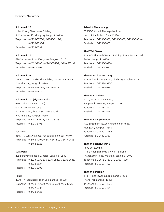#### **Sukhumvit 25**

1 Ban Chang Glass House Building, Soi Sukhumvit 25, Klongtoey, Bangkok 10110 Telephone : 0-2258-0270-1, 0-2260-6117-9, 0-2258-9330-2 Facsimile : 0-2258-4582

### **Sukhumvit 26**

690 Sukhumvit Road, Klongtoey, Bangkok 10110 Telephone : 0-2620-2000, 0-2260-5368-9, 0-260-5371-2 Facsimile : 0-2260-5368

### **Sukhumvit 83**

2149 2<sup>nd</sup> Floor, Market Plus Building, Soi Sukhumvit 83, Phra Khanong, Bangkok 10260 Telephone : 0-2742-5812-5, 0-2742-5818 Facsimile : 0-2742-5816

#### **Sukhumvit 101 (Piyarom Park)**

(Mon.-Fri. 8.30 am-5.00 pm) (Sat. 11.00 am-5.00 pm) 3079/25 Soi Piyabuttra, Sukhumvit Road, Phra Khanong, Bangkok 10260 Telephone : 0-2730-5100-3, 0-2730-5105 Facsimile : 0-2730-5106

#### **Suksawat**

86/17-19 Suksawat Road, Rat Burana, Bangkok 10140 Telephone : 0-2468-4797, 0-2477-2411-2, 0-2477-2408 0-2468-6028

#### **Surawong**

289 Surawongse Road, Bangrak, Bangkok 10500 Telephone : 0-2233-9730-5, 0-2234-9543, 0-2233-8686, 0-2233-6537 Facsimile : 0-2235-5208

### **Taksin**

43,45,47 Taksin Road, Thon Buri, Bangkok 10600 Telephone : 0-2438-6429, 0-2438-0063, 0-2439-1864, 0-2437-2387 Facsimile : 0-2438-6426

#### **Talard Si Mummuang**

355/33-35 Mu 8, Phaholyothin Road, Lam Luk Ka, Pathum Thani 12130 Telephone : 0-2536-7850, 0-2536-7852, 0-2536-7854-6 Facsimile : 0-2536-7853

### **Thai Wah Tower**

21/63-66 Thai Wah Tower 1 Building, South Sathon Road, Sathon, Bangkok 10120 Telephone : 0-2285-0092-4 Facsimile : 0-2285-0095

#### **Thanon Asoke-Dindaeng**

729 Asoke-Dindaeng Road, Dindaeng, Bangkok 10320 Telephone : 0-2248-6935-7 Facsimile : 0-2248-6933

### **Thanon Khaolarm**

2214, 2216 Khaolarm Road, Samphandhawongse, Bangkok 10100 Telephone : 0-2238-2540-2 Facsimile : 0-2238-2543

#### **Thanon Krungthonburi**

77/2 Sinsathorn Tower, Krungthonburi Road, Klongsarn, Bangkok 10600 Telephone : 0-2440-0345-9 Facsimile : 0-2440-0350

#### **Thanon Phaholyothin 8**

(8.30 am-5.00 pm) 414 G Floor, Shinawatra Tower 1 Building, Phaholyothin Road, Phayathai, Bangkok 10400 Telephone : 0-2616-9760-2, 0-2357-1690 Facsimile : 0-2357-1490

### **Thanon Phraram 6**

118/1 Tipco Tower Building, Rama 6 Road, Phaya Thai, Bangkok 10400 Telephone : 0-2357-3460-3 Facsimile : 0-2357-3464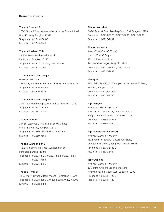#### **Thanon Phraram 9**

100/1 Ground Floor, Worrasombat Building, Rama 9 Road, Huay Khwang, Bangkok 10310 Telephone : 0-2645-0683-5 Facsimile : 0-2645-0440

### **Thanon Pracha-U-Thit**

147/1-4 Mu 8, Pracha-U-Thit Road, Rat Burana, Bangkok 10140 Telephone : 0-2873-1457-60, 0-2873-1439 Facsimile : 0-2873-1440

#### **Thanon Ramkhamhaeng 2**

(8.30 am-5.00 pm) 143 Mu 8, Ramkhamhaeng 2 Road, Pravej, Bangkok 10260 Telephone : 0-2316-9735-6 Facsimile : 0-2316-9739

#### **Thanon Ramkhamhaeng 81/1**

2945/1 Ramkamhaeng Road, Bangkapi, Bangkok 10240 Telephone : 0-2374-1374-7 Facsimile : 0-2732-2010

### **Thanon Sri Wara**

314 Soi Ladphrao 94 (Panjamit), Sri Wara Road, Wang Thong Lang, Bangkok 10310 Telephone : 0-2559-3600-5, 0-2935-6025-6 Facsimile : 0-2559-3606

## **Thanon Sukhaphiban 3**

198/3 Ramkamhaeng Road (Sukhaphiban 3), Bangkapi, Bangkok 10240 Telephone : 0-2375-8725, 0-2375-8794, 0-2375-8799, 0-2377-9183 Facsimile : 0-2375-8795

#### **Thanon Tiwanon**

121/2 Mu 4, Tiwanon Road, Muang, Nonthaburi 11000 Telephone : 0-2968-8586-9, 0-2968-8584, 0-2527-4706 Facsimile : 0-2968-8583

#### **Thanon Vorachak**

94-96 Vorachak Road, Pom Prap Sattru Phai, Bangkok 10100 Telephone : 0-2221-5223, 0-2225-9086, 0-2225-9088 Facsimile : 0-2225-9087

### **Thanon Yaowaraj**

(Mon.-Fri. 8.30 am-5.00 pm) (Sat.11.00 am-5.00 pm) 422, 424 Yaowaraj Road, Samphandhawongse, Bangkok 10100 Telephone : 0-2226-2930-1, 0-2226-5855 Facsimile : 0-2226-2933

#### **Thonglor**

283/15-17, 283/65, Soi Thonglor 13, Sukhumvit 55 Road, Wattana, Bangkok 10250 Telephone : 0-2712-7150-5 Facsimile : 0-2712-7156

#### **Tops Bangna**

(everyday 9.30 am-8.00 pm) 1090 Mu 12, Central City Department Store, Bangna-Trad Road, Bangna, Bangkok 10260 Telephone : 0-2361-7851-3 Facsimile : 0-2361-7854

### **Tops Bangrak (Sub Branch)**

(everyday 9.30 am-8.00 pm) 1522 Robinson Bangrak Department Store, Charoen Krung Road, Bangrak, Bangkok 10500 Telephone : 0-2630-6482-3 Facsimile : 0-2630-6484

### **Tops Chidlom**

(everyday 9.30 am-8.00 pm) 22 Central Chidlom Department Store, Ploenchit Road, Pathum Wan, Bangkok 10330 Telephone : 0-2254-7120-2 Facsimile : 0-2254-7123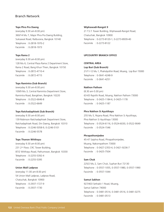#### **Tops Phra Pra Daeng**

(everyday 9.30 am-8.00 pm) 360/14 Mu 7, Major Phra Pra Daeng Building, Suksawat Road, Ratburana, Bangkok 10140 Telephone : 0-2818-1970-2 Facsimile : 0-2818-1973

### **Tops Rama 2**

(everyday 9.30 am-8.00 pm) 128 Mu 6, Central Plaza Rama 2 Department Store, Rama 2 Road, Bang Khun Thien, Bangkok 10150 Telephone : 0-2872-4710-4 Facsimile : 0-2872-4715

### **Tops Ramintra (Sub Branch)**

(everyday 9.30 am-8.00 pm) 109/9 Mu 3, Central Ramintra Department Store, Ramintra Road, Bangkhen, Bangkok 10220 Telephone : 0-2522-6646-8 Facsimile : 0-2522-6649

### **Tops Ratchadaphisek (Sub Branch)**

(everyday 9.30 am-8.00 pm) 139 Robinson Ratchadaphisek Department Store, Ratchadaphisek Road, Din Daeng, Bangkok 10310 Telephone : 0-2246-5058-9, 0-2246-5101 Facsimile : 0-2246-5578

#### **Tops Thanon Witthayu**

(everyday 9.30 am-8.00 pm) 231 2<sup>nd</sup> Floor, CRC Tower Building, 87/2 Witthayu Road, Pathumwan, Bangkok 10330 Telephone : 0-2255-5392-4 Facsimile : 0-2255-5395

## **Union Mall Ladprao**

(everyday 11.00 am-8.00 pm) 54 Union Mall Ladprao, Ladprao Road, Chatuchak, Bangkok 10900 Telephone : 0-2937-1727-9 Facsimile : 0-2937-1730

#### **Wiphawadi-Rangsit 9**

21 T.S.T. Tower Building, Wiphawadi-Rangsit Road, Chatuchak, Bangkok 10900 Telephone : 0-2273-8120-1, 0-2273-8939-40 Facsimile : 0-2273-8122

### **UPCOUNTRY BRANCH OFFICE**

**CENTRAL AREA**

**Lop Buri (Sub Branch)** 21/11-12 Mu 1, Phaholyothin Road, Muang, Lop Buri 15000 Telephone : 0-3641-4248-9

#### **Nakhon Pathom**

Facsimile : 0-3641-4251

(8.30 am-5.00 pm) 63-65 Rajvithi Road, Muang, Nakhon Pathom 73000 Telephone : 0-3425-1184-6, 0-3425-1178 Facsimile : 0-3425-1187

### **Phra Nakhon Si Ayutthaya**

255 Mu 5, Rojana Road, Phra Nakhon Si Ayutthaya, Phra Nakhon Si Ayutthaya 13000 Telephone : 0-3524-6116, 0-3524-6030, 0-3522-9049 Facsimile : 0-3524-1546

### **Phrapathomjedee**

45-47 Saiphra Road, Phrapathomjedee, Muang, Nakornpathom 73000 Telephone : 0-3427-2353-4, 0-3421-9236-7 Facsimile : 0-3425-7504

#### **Sam Chuk**

225/2 Mu 2, Sam Chuk, Suphan Buri 72130 Telephone : 0-3557-1055, 0-3557-1980, 0-3557-1990 Facsimile : 0-3557-1044

**Samut Sakhon** 927/403 Sethakit 1 Road, Muang, Samut Sakhon 74000 Telephone : 0-3481-0514, 0-3481-0516, 0-3481-0275 Facsimile : 0-3481-0513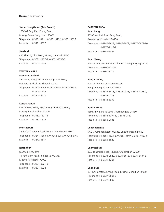#### **Samut Songkhram (Sub Branch)**

125/104 Tang Kao Muang Road, Muang, Samut Songkhram 75000 Telephone : 0-3471-8111, 0-3471-8222, 0-3471-8626 Facsimile : 0-3471-8627

### **Saraburi**

427 Phaholyothin Road, Muang, Saraburi 18000 Telephone : 0-3621-2137-8, 0-3631-2055-6 Facsimile : 0-3622-1636

#### **WESTERN AREA**

#### **Damnoen Saduak**

234 Mu 8, Bangpare-Samut Songkhram Road, Damnoen Saduak, Ratchaburi 70130 Telephone : 0-3225-4444, 0-3225-4930, 0-3225-4332, 0-3224-1333 Facsimile : 0-3225-4913

### **Kanchanaburi**

River Khwae Hotel, 284/15-16 Sangchutoe Road, Muang, Kanchanaburi 71000 Telephone : 0-3452-1621-3 Facsimile : 0-3452-1624

#### **Phetchaburi**

28 Panich Charoen Road, Muang, Phetchaburi 76000 Telephone : 0-3241-5883-4, 0-3242-5959, 0-3242-5169 Facsimile : 0-3242-8517

### **Ratchaburi**

(8.30 am-5.00 pm) 11 Kathatorn Road, Tumbol Na Muang, Muang, Ratchaburi 70000 Telephone : 0-3231-0321-3 Facsimile : 0-3231-0324

#### **EASTERN AREA**

#### **Baan Bung**

403 Chon Buri- Baan Bung Road, Baan Bung, Chon Buri 20170 Telephone : 0-3844-3628, 0-3844-3072, 0-3875-0979-80, 0-3875-1118-9 Facsimile : 0-3844-3039

### **Baan Chang**

51/12 Mu 5, Sukhumvit Road, Baan Chang, Rayong 21130 Telephone : 0-3860-3120-3 Facsimile : 0-3860-3119

### **Bang Lamung**

90/27 Mu 5, Pattaya-Naglue Road, Bang Lamung, Chon Buri 20150 Telephone : 0-3842-8418, 0-3842-9333, 0-3842-7748-9, 0-3842-0273 Facsimile : 0-3842-3332

### **Bang Pakong**

139 Mu 9, Bang Pakong, Chachoengsao 24130 Telephone : 0-3853-1297-8, 0-3853-2882 Facsimile : 0-3853-2086

### **Chachoengsao**

94/3 Chumphon Road, Muang, Chachoengsao 24000 Telephone : 0-3851-1621-2, 0-3881-8149, 0-3851-4627-8 Facsimile : 0-3851-1623

### **Chanthaburi**

82/9 Thachalab Road, Muang, Chanthaburi 22000 Telephone : 0-3931-2822, 0-3934-6616, 0-3934-6434-5 Facsimile : 0-3932-1201

### **Chon Buri**

804 Kor. Chetchamnong Road, Muang, Chon Buri 20000 Telephone : 0-3827-3601-6 Facsimile : 0-3827-3607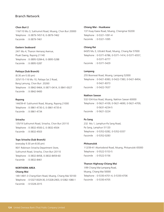**Chon Buri 2** 116/110 Mu 3, Sukhumvit Road, Muang, Chon Buri 20000 Telephone : 0-3879-7457-9, 0-3879-7462 Facsimile : 0-3879-7461

#### **Eastern Seaboard**

24/1 Mu 4, Thanon Hemaraj Avenue, Pluak Daeng, Rayong 21140 Telephone : 0-3895-5284-6, 0-3895-5288 Facsimile : 0-3895-5287

### **Pattaya (Sub Branch)**

(8.30 am-5.00 pm) 325/115-116 Mu 10, Pattaya Sai 2 Road, Bang Lamung, Chon Buri 20260 Telephone : 0-3842-9464, 0-3871-0414, 0-3841-0027 Facsimile : 0-3842-9400

#### **Rayong**

144/39-41 Sukhumvit Road, Muang, Rayong 21000 Telephone : 0-3861-4730-3, 0-3861-4735-6 Facsimile : 0-3861-4734

### **Sriracha**

135/19 Sukhumvit Road, Sriracha, Chon Buri 20110 Telephone : 0-3832-4500-2, 0-3832-4504 Facsimile : 0-3832-4503

#### **Tops Sriracha (Sub Branch)**

(everyday 9.30 am-8.00 pm) 90/1 Robinson Sriracha Department Store, Sukhumvit Road, Sriracha, Chon Buri 20110 Telephone : 0-3832-8458, 0-3832-8459-60 Facsimile : 0-3832-8461

# **NORTHERN AREA**

## **Chiang Mai**

149-149/1-3 Chang-Klarn Road, Muang, Chiang Mai 50100 Telephone : 0-5327-0029-30, 0-5328-2903, 0-5382-1080-1 Facsimile : 0-5328-2015

#### **Chiang Mai - Huaikaew**

137 Huay Kaew Road, Muang, Chiengmai 50200 Telephone : 0-5321-1091-4 Facsimile : 0-5321-1095

### **Chiang Rai**

643/5 Mu 3, Uttrakit Road, Muang, Chiang Rai 57000 Telephone : 0-5371-6786, 0-5371-1414, 0-5371-6557, 0-5371-6777 Facsimile : 0-5371-5429

### **Lampang**

255 Boonwat Road, Muang, Lampang 52000 Telephone : 0-5421-8383, 0-5422-7383, 0-5421-8454, 0-5421-8373 Facsimile : 0-5422-7637

### **Nakhon Sawan**

532-534 Kosi Road, Muang, Nakhon Sawan 60000 Telephone : 0-5621-4109, 0-5621-4690, 0-5621-4709, 0-5631-4234-5 Facsimile : 0-5621-3224

### **Pa Sang**

232 Mu 1, Lamphun-Pa Sang Road, Pa Sang, Lamphun 51120 Telephone : 0-5352-0282, 0-5352-0337 Facsimile : 0-5352-0283

#### **Phitsanulok**

112/39-41 Akartodsrod Road, Muang, Phitsanulok 65000 Telephone : 0-5522-5153-5 Facsimile : 0-5522-5156

#### **Thanon Highway-Chiang Mai**

1/99 Chiang Mai-Lampang Road, Muang, Chiang Mai 50000 Telephone : 0-5330-4701-4, 0-5330-4706 Facsimile : 0-5330-4705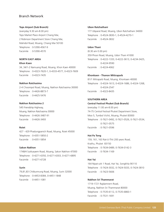### **Tops Airport (Sub Branch)**

(everyday 9.30 am-8.00 pm) Tops Market Place Airport Chiang Mai, 2 Robinson Department Store Chiang Mai, Mahidol Road, Muang, Chiang Mai 50100 Telephone : 0-5390-4567-9 Facsimile : 0-5390-4570

### **NORTH EAST AREA**

### **Khon Kaen**

34, 34/1-2 Namuang Road, Muang, Khon Kaen 40000 Telephone : 0-4323-7620-1, 0-4333-4577, 0-4323-7609 Facsimile : 0-4323-7435

#### **Nakhon Ratchasima**

2-4 Choompol Road, Muang, Nakhon Ratchasima 30000 Telephone : 0-4426-8873-7 Facsimile : 0-4425-5476

### **Nakhon Ratchasima 2**

545 Friendship Highway, Muang, Nakhon Ratchasima 30000 Telephone : 0-4426-3487-91 Facsimile : 0-4426-3493

### **Roiet**

427 - 429 Phadungpanich Road, Muang, Roiet 45000 Telephone : 0-4351-5850-2 Facsimile : 0-4351-5854

#### **Sakon Nakhon**

1748/4 Sukkasaem Road, Muang, Sakon Nakhon 47000 Telephone : 0-4271-6350, 0-4271-6303, 0-4271-6895 Facsimile : 0-4271-6728

### **Surin**

79,81,83 Chitbumrung Road, Muang, Surin 32000 Telephone : 0-4453-8384, 0-4451-1848 Facsimile : 0-4451-1081

#### **Ubon Ratchathani**

177 Ubparat Road, Muang, Ubon Ratchathani 34000 Telephone : 0-4524-3830-1, 0-4524-4270-1 Facsimile : 0-4524-3832

#### **Udon Thani**

(8.30 am-5.00 pm) 359 Phosri Road, Muang, Udon Thani 41000 Telephone : 0-4222-1333, 0-4222-3613, 0-4234-3425, 0-4224-9590 Facsimile : 0-4224-4062

#### **Khonkaen - Thanon Mittraparb**

81/1 Mitraparb Road, Muang, Khonkaen 40000 Telephone : 0-4324-1613, 0-4324-1686, 0-4324-1268, 0-4324-2547 Facsimile : 0-4323-8435

### **SOUTHERN AREA**

#### **Central Festival Phuket (Sub Branch)**

(everyday 11.00 am-8.00 pm) 74-75 Central Festival Phuket Department Store, Moo 5, Tumbol Vichit, Muang, Phuket 83000 Telephone : 0-7621-0492, 0-7621-0526, 0-7621-0534, 0-7621-0575 Facsimile : 0-7621-0596

### **Hat Pa Tong**

159, 161, 163 Rat-U-Thit 200 years Road, Krathu, Phuket 83150 Telephone : 0-7634-0489, 0-7634-0142-3 Facsimile : 0-7634-1169

#### **Hat Yai**

164 Nipat-utit 1 Road, Hat Yai, Songkhla 90110 Telephone : 0-7424-3032, 0-7424-5033, 0-7424-3810 Facsimile : 0-7423-5606

### **Nakhon Sri Thammarat**

1719-1721 Rajdamnern Road, Muang, Nakhon Sri Thammarat 80000 Telephone : 0-7535-6112, 0-7535-6860-1 Facsimile : 0-7531-1691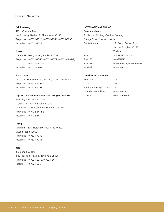### **Pak Phanang**

415/1 Chainam Road, Pak Phanang, Nakhon Sri Thammarat 80140 Telephone : 0-7551-7324, 0-7551-7064, 0-7533-3886 Facsimile : 0-7551-7248

### **Phuket**

206 Phuket Road, Muang, Phuket 83000 Telephone : 0-7621-1566, 0-7621-1577, 0-7621-4901-2, 0-7621-0970-1 Facsimile : 0-7621-4903

### **Surat Thani**

191/1-3 Chonkasem Road, Muang, Surat Thani 84000 Telephone : 0-7728-6292-7 Facsimile : 0-7728-6298

### **Tops Hat Yai Thanon Sanehanusorn (Sub Branch)**

(everyday 9.30 am-8.00 pm) 1 Central Hat Yai Department Store, Sanehanusorn Road, Hat Yai, Songkhla 90110 Telephone : 0-7422-5441-3 Facsimile : 0-7422-5444

### **Trang**

Tammarin Thana Hotel, 69/8 Huay Yod Road, Muang, Trang 92000 Telephone : 0-7521-7782-4 Facsimile : 0-7521-7785

### **Yala**

(8.30 am-3.00 pm) 8-12 Pipitpakdi Road, Muang, Yala 95000 Telephone : 0-7321-2218, 0-7321-2414 Facsimile : 0-7321-3764

### **INTERNATIONAL BRANCH**

### **Cayman Islands**

Scotiabank Building, Cardinal Avenue,

George Town, Cayman Islands

| Contact address | : 191 South Sathon Road,   |
|-----------------|----------------------------|
|                 | Sathon, Bangkok 10120      |
|                 | Thailand                   |
| Telex.          | : 84351 BKASIA TH          |
| S.W.I.F.T.      | : BKASTHBK                 |
| Telephone       | : 0-2343-3371, 0-2343-3362 |
| Facsimile       | : 0-2285-1414              |

### **Distribution Channels**

| Branches                 | : 154               |
|--------------------------|---------------------|
| ATM                      | .329                |
| Foreign Exchange Kiosks  | :15                 |
| <b>UOB Phone Banking</b> | $: 0 - 2285 - 1555$ |
| Website                  | : www.uob.co.th     |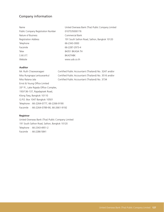## Company information

| Name                               | United Overseas Bank (Thai) Public Company Limited |
|------------------------------------|----------------------------------------------------|
| Public Company Registration Number | 0107535000176                                      |
| Nature of Business                 | Commercial Bank                                    |
| <b>Registration Address</b>        | 191 South Sathon Road, Sathon, Bangkok 10120       |
| Telephone                          | 66-2343-3000                                       |
| Facsimile                          | 66-2287-2973-4                                     |
| Telex                              | 84351 BKASIA TH                                    |
| S.W.I.F.T.                         | <b>BKASTHBK</b>                                    |
| Website                            | www.uob.co.th                                      |

### **Auditor**

Mr. Ruth Chaowanagavi Certified Public Accountant (Thailand) No. 3247 and/or Miss Rungnapa Lertsuwankul Certified Public Accountant (Thailand) No. 3516 and/or Miss Ratana Jala Certified Public Accountant (Thailand) No. 3734 Ernst & Young Office Limited 33rd Fl., Lake Rajada Office Complex, 193/136-137, Rajadapisek Road, Klong Toey, Bangkok 10110 G.P.O. Box 1047 Bangkok 10501 Telephone : 66-2264-0777, 66-2266-9190 Facsimile : 66-2264-0789-90, 66-2661-9192

### **Registrar**

United Overseas Bank (Thai) Public Company Limited 191 South Sathon Road, Sathon, Bangkok 10120 Telephone : 66-2343-4951-2 Facsimile : 66-2286-5841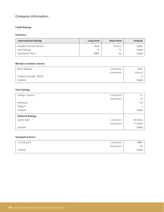# Company Information

## **Credit Ratings**

### **Summary**

| <b>International Ratings</b> | Long-term | Short-term     | <b>Outlook</b> |
|------------------------------|-----------|----------------|----------------|
| Moody's Investors Service    | Baa1      | Prime-2        | Stable         |
| Fitch Ratings                | А-        | F <sub>2</sub> | Stable         |
| Standard & Poor's            | BBB+      | A <sub>2</sub> | Stable         |

### **Moody's Investors Service**

| Bank deposits             | - Long-term  | Baa1    |
|---------------------------|--------------|---------|
|                           | - Short-term | Prime-2 |
| Financial strength (BFSR) |              |         |
| Outlook                   |              | Stable  |

## **Fitch Ratings**

| Foreign currency        | - Long-term  | $A -$          |
|-------------------------|--------------|----------------|
|                         | - Short-term | F <sub>2</sub> |
| Individual              |              | C/D            |
| Support                 |              |                |
| Outlook                 |              | Stable         |
| <b>National Ratings</b> |              |                |
| Senior debt             | - Long-term  | $AA+(tha)$     |
|                         | - Short-term | $F1+(tha)$     |
| Outlook                 |              | Stable         |

## **Standard & Poor's**

| Counterparty | - Long-term  | BBB+   |
|--------------|--------------|--------|
|              | - Short-term | A2     |
| Outlook      |              | Stable |